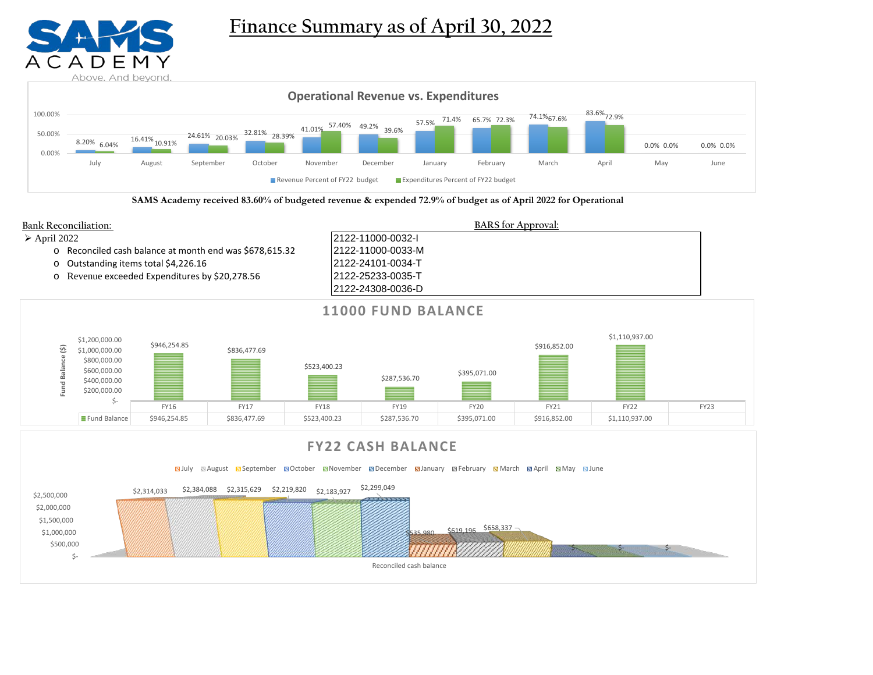

**Finance Summary as of April 30, 2022**



**SAMS Academy received 83.60% of budgeted revenue & expended 72.9% of budget as of April 2022 for Operational**



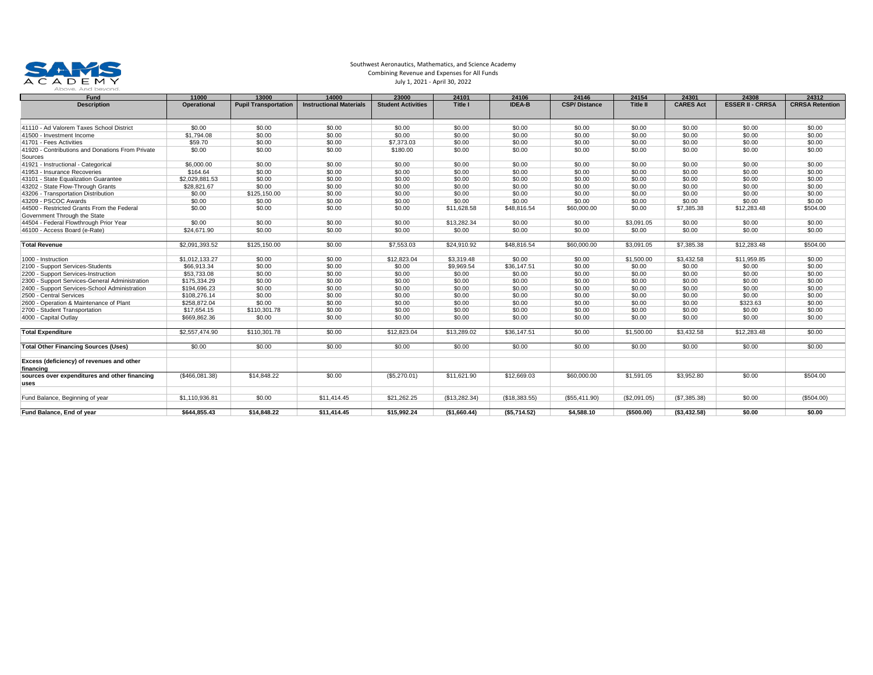

#### Southwest Aeronautics, Mathematics, and Science Academy Combining Revenue and Expenses for All Funds July 1, 2021 - April 30, 2022

| Fund                                                                       | 11000          | 13000                       | 14000                          | 23000                     | 24101         | 24106         | 24146               | 24154        | 24301            | 24308                   | 24312                  |
|----------------------------------------------------------------------------|----------------|-----------------------------|--------------------------------|---------------------------|---------------|---------------|---------------------|--------------|------------------|-------------------------|------------------------|
| <b>Description</b>                                                         | Operational    | <b>Pupil Transportation</b> | <b>Instructional Materials</b> | <b>Student Activities</b> | Title I       | <b>IDEA-B</b> | <b>CSP/Distance</b> | Title II     | <b>CARES Act</b> | <b>ESSER II - CRRSA</b> | <b>CRRSA Retention</b> |
|                                                                            |                |                             |                                |                           |               |               |                     |              |                  |                         |                        |
| 41110 - Ad Valorem Taxes School District                                   | \$0.00         | \$0.00                      | \$0.00                         | \$0.00                    | \$0.00        | \$0.00        | \$0.00              | \$0.00       | \$0.00           | \$0.00                  | \$0.00                 |
| 41500 - Investment Income                                                  | \$1,794.08     | \$0.00                      | \$0.00                         | \$0.00                    | \$0.00        | \$0.00        | \$0.00              | \$0.00       | \$0.00           | \$0.00                  | \$0.00                 |
| 41701 - Fees Activities                                                    | \$59.70        | \$0.00                      | \$0.00                         | \$7,373.03                | \$0.00        | \$0.00        | \$0.00              | \$0.00       | \$0.00           | \$0.00                  | \$0.00                 |
| 41920 - Contributions and Donations From Private<br>Sources                | \$0.00         | \$0.00                      | \$0.00                         | \$180.00                  | \$0.00        | \$0.00        | \$0.00              | \$0.00       | \$0.00           | \$0.00                  | \$0.00                 |
| 41921 - Instructional - Categorical                                        | \$6,000.00     | \$0.00                      | \$0.00                         | \$0.00                    | \$0.00        | \$0.00        | \$0.00              | \$0.00       | \$0.00           | \$0.00                  | \$0.00                 |
| 41953 - Insurance Recoveries                                               | \$164.64       | \$0.00                      | \$0.00                         | \$0.00                    | \$0.00        | \$0.00        | \$0.00              | \$0.00       | \$0.00           | \$0.00                  | \$0.00                 |
| 43101 - State Equalization Guarantee                                       | \$2.029.881.53 | \$0.00                      | \$0.00                         | \$0.00                    | \$0.00        | \$0.00        | \$0.00              | \$0.00       | \$0.00           | \$0.00                  | \$0.00                 |
| 43202 - State Flow-Through Grants                                          | \$28,821.67    | \$0.00                      | \$0.00                         | \$0.00                    | \$0.00        | \$0.00        | \$0.00              | \$0.00       | \$0.00           | \$0.00                  | \$0.00                 |
| 43206 - Transportation Distribution                                        | \$0.00         | \$125,150.00                | \$0.00                         | \$0.00                    | \$0.00        | \$0.00        | \$0.00              | \$0.00       | \$0.00           | \$0.00                  | \$0.00                 |
| 43209 - PSCOC Awards                                                       | \$0.00         | \$0.00                      | \$0.00                         | \$0.00                    | \$0.00        | \$0.00        | \$0.00              | \$0.00       | \$0.00           | \$0.00                  | \$0.00                 |
| 44500 - Restricted Grants From the Federal<br>Government Through the State | \$0.00         | \$0.00                      | \$0.00                         | \$0.00                    | \$11,628.58   | \$48,816.54   | \$60,000.00         | \$0.00       | \$7,385,38       | \$12,283.48             | \$504.00               |
| 44504 - Federal Flowthrough Prior Year                                     | \$0.00         | \$0.00                      | \$0.00                         | \$0.00                    | \$13,282.34   | \$0.00        | \$0.00              | \$3,091.05   | \$0.00           | \$0.00                  | \$0.00                 |
| 46100 - Access Board (e-Rate)                                              | \$24,671.90    | \$0.00                      | \$0.00                         | \$0.00                    | \$0.00        | \$0.00        | \$0.00              | \$0.00       | \$0.00           | \$0.00                  | \$0.00                 |
| <b>Total Revenue</b>                                                       | \$2.091.393.52 | \$125,150,00                | \$0.00                         | \$7,553,03                | \$24,910.92   | \$48,816,54   | \$60,000,00         | \$3,091.05   | \$7,385,38       | \$12,283,48             | \$504.00               |
| 1000 - Instruction                                                         | \$1,012,133.27 | \$0.00                      | \$0.00                         | \$12,823.04               | \$3,319.48    | \$0.00        | \$0.00              | \$1,500.00   | \$3,432.58       | \$11,959.85             | \$0.00                 |
| 2100 - Support Services-Students                                           | \$66,913.34    | \$0.00                      | \$0.00                         | \$0.00                    | \$9,969.54    | \$36,147.51   | \$0.00              | \$0.00       | \$0.00           | \$0.00                  | \$0.00                 |
| 2200 - Support Services-Instruction                                        | \$53,733,08    | \$0.00                      | \$0.00                         | \$0.00                    | \$0.00        | \$0.00        | \$0.00              | \$0.00       | \$0.00           | \$0.00                  | \$0.00                 |
| 2300 - Support Services-General Administration                             | \$175,334.29   | \$0.00                      | \$0.00                         | \$0.00                    | \$0.00        | \$0.00        | \$0.00              | \$0.00       | \$0.00           | \$0.00                  | \$0.00                 |
| 2400 - Support Services-School Administration                              | \$194,696.23   | \$0.00                      | \$0.00                         | \$0.00                    | \$0.00        | \$0.00        | \$0.00              | \$0.00       | \$0.00           | \$0.00                  | \$0.00                 |
| 2500 - Central Services                                                    | \$108,276.14   | \$0.00                      | \$0.00                         | \$0.00                    | \$0.00        | \$0.00        | \$0.00              | \$0.00       | \$0.00           | \$0.00                  | \$0.00                 |
| 2600 - Operation & Maintenance of Plant                                    | \$258,872.04   | \$0.00                      | \$0.00                         | \$0.00                    | \$0.00        | \$0.00        | \$0.00              | \$0.00       | \$0.00           | \$323.63                | \$0.00                 |
| 2700 - Student Transportation                                              | \$17,654.15    | \$110,301.78                | \$0.00                         | \$0.00                    | \$0.00        | \$0.00        | \$0.00              | \$0.00       | \$0.00           | \$0.00                  | \$0.00                 |
| 4000 - Capital Outlay                                                      | \$669,862.36   | \$0.00                      | \$0.00                         | \$0.00                    | \$0.00        | \$0.00        | \$0.00              | \$0.00       | \$0.00           | \$0.00                  | \$0.00                 |
| <b>Total Expenditure</b>                                                   | \$2,557,474.90 | \$110,301.78                | \$0.00                         | \$12,823.04               | \$13,289.02   | \$36,147.51   | \$0.00              | \$1,500.00   | \$3,432.58       | \$12,283.48             | \$0.00                 |
| <b>Total Other Financing Sources (Uses)</b>                                | \$0.00         | \$0.00                      | \$0.00                         | \$0.00                    | \$0.00        | \$0.00        | \$0.00              | \$0.00       | \$0.00           | \$0.00                  | \$0.00                 |
| Excess (deficiency) of revenues and other<br>financing                     |                |                             |                                |                           |               |               |                     |              |                  |                         |                        |
| sources over expenditures and other financing<br>uses                      | (\$466,081.38) | \$14,848.22                 | \$0.00                         | (\$5,270.01)              | \$11,621.90   | \$12,669.03   | \$60,000.00         | \$1,591.05   | \$3,952.80       | \$0.00                  | \$504.00               |
| Fund Balance, Beginning of year                                            | \$1,110,936.81 | \$0.00                      | \$11,414.45                    | \$21,262.25               | (\$13,282.34) | (\$18,383.55) | (\$55,411.90)       | (\$2,091.05) | (\$7,385.38)     | \$0.00                  | (\$504.00)             |
| Fund Balance, End of year                                                  | \$644,855.43   | \$14,848.22                 | \$11,414.45                    | \$15,992.24               | (\$1,660.44)  | (\$5,714.52)  | \$4,588.10          | ( \$500.00)  | ( \$3,432.58)    | \$0.00                  | \$0.00                 |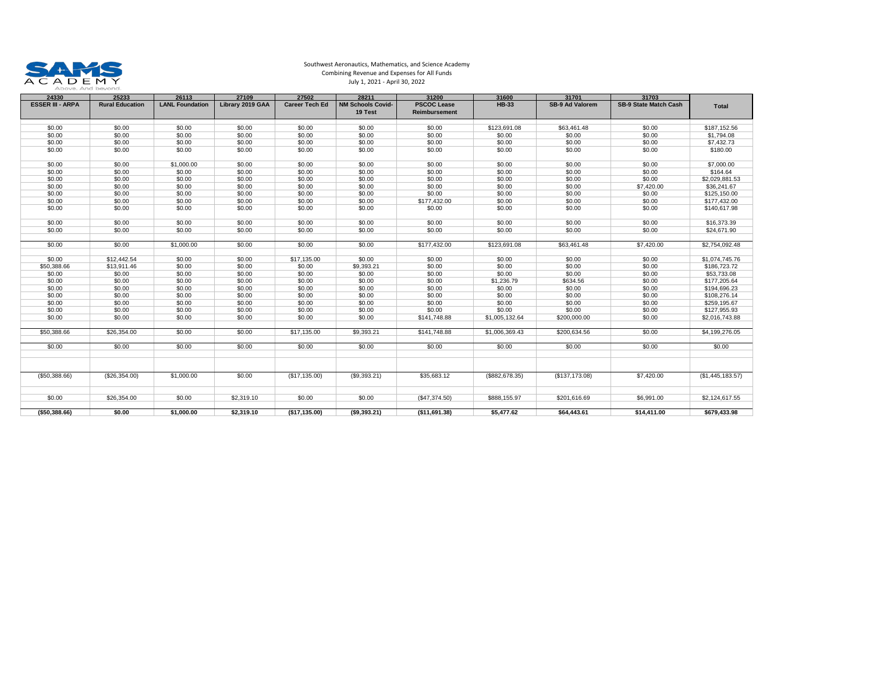

#### Southwest Aeronautics, Mathematics, and Science Academy Combining Revenue and Expenses for All Funds July 1, 2021 - April 30, 2022

| 24330                   | 25233                  | 26113                  | 27109            | 27502                 | 28211                    | 31200              | 31600           | 31701                  | 31703                        |                  |  |  |
|-------------------------|------------------------|------------------------|------------------|-----------------------|--------------------------|--------------------|-----------------|------------------------|------------------------------|------------------|--|--|
| <b>ESSER III - ARPA</b> | <b>Rural Education</b> | <b>LANL Foundation</b> | Library 2019 GAA | <b>Career Tech Ed</b> | <b>NM Schools Covid-</b> | <b>PSCOC Lease</b> | <b>HB-33</b>    | <b>SB-9 Ad Valorem</b> | <b>SB-9 State Match Cash</b> | Total            |  |  |
|                         |                        |                        |                  |                       | 19 Test                  | Reimbursement      |                 |                        |                              |                  |  |  |
|                         |                        |                        |                  |                       |                          |                    |                 |                        |                              |                  |  |  |
| \$0.00                  | \$0.00                 | \$0.00                 | \$0.00           | \$0.00                | \$0.00                   | \$0.00             | \$123,691.08    | \$63,461.48            | \$0.00                       | \$187,152.56     |  |  |
| \$0.00                  | \$0.00                 | \$0.00                 | \$0.00           | \$0.00                | \$0.00                   | \$0.00             | \$0.00          | \$0.00                 | \$0.00                       | \$1,794.08       |  |  |
| \$0.00                  | \$0.00                 | \$0.00                 | \$0.00           | \$0.00                | \$0.00                   | \$0.00             | \$0.00          | \$0.00                 | \$0.00                       | \$7,432.73       |  |  |
| \$0.00                  | \$0.00                 | \$0.00                 | \$0.00           | \$0.00                | \$0.00                   | \$0.00             | \$0.00          | \$0.00                 | \$0.00                       | \$180.00         |  |  |
| \$0.00                  | \$0.00                 | \$1,000.00             | \$0.00           | \$0.00                | \$0.00                   | \$0.00             | \$0.00          | \$0.00                 | \$0.00                       | \$7,000.00       |  |  |
| \$0.00                  | \$0.00                 | \$0.00                 | \$0.00           | \$0.00                | \$0.00                   | \$0.00             | \$0.00          | \$0.00                 | \$0.00                       | \$164.64         |  |  |
| \$0.00                  | \$0.00                 | \$0.00                 |                  | \$0.00                |                          |                    |                 | \$0.00                 |                              | \$2,029,881.53   |  |  |
|                         |                        | \$0.00                 | \$0.00           | \$0.00                | \$0.00<br>\$0.00         | \$0.00<br>\$0.00   | \$0.00          |                        | \$0.00                       | \$36,241.67      |  |  |
| \$0.00                  | \$0.00                 |                        | \$0.00           |                       |                          |                    | \$0.00          | \$0.00                 | \$7,420.00                   |                  |  |  |
| \$0.00                  | \$0.00                 | \$0.00<br>\$0.00       | \$0.00           | \$0.00                | \$0.00                   | \$0.00             | \$0.00          | \$0.00<br>\$0.00       | \$0.00                       | \$125,150.00     |  |  |
| \$0.00                  | \$0.00                 |                        | \$0.00           | \$0.00                | \$0.00                   | \$177,432.00       | \$0.00          |                        | \$0.00                       | \$177,432.00     |  |  |
| \$0.00                  | \$0.00                 | \$0.00                 | \$0.00           | \$0.00                | \$0.00                   | \$0.00             | \$0.00          | \$0.00                 | \$0.00                       | \$140,617.98     |  |  |
| \$0.00                  | \$0.00                 | \$0.00                 | \$0.00           | \$0.00                | \$0.00                   | \$0.00             | \$0.00          | \$0.00                 | \$0.00                       | \$16,373.39      |  |  |
| \$0.00                  | \$0.00                 | \$0.00                 | \$0.00           | \$0.00                | \$0.00                   | \$0.00             | \$0.00          | \$0.00                 | \$0.00                       | \$24,671.90      |  |  |
|                         |                        |                        |                  |                       |                          |                    |                 |                        |                              |                  |  |  |
| \$0.00                  | \$0.00                 | \$1,000.00             | \$0.00           | \$0.00                | \$0.00                   | \$177,432.00       | \$123,691.08    | \$63,461.48            | \$7,420.00                   | \$2,754,092.48   |  |  |
|                         |                        |                        |                  |                       |                          |                    |                 |                        |                              |                  |  |  |
| \$0.00                  | \$12,442.54            | \$0.00                 | \$0.00           | \$17,135.00           | \$0.00                   | \$0.00             | \$0.00          | \$0.00                 | \$0.00                       | \$1,074,745.76   |  |  |
| \$50,388.66             | \$13,911.46            | \$0.00                 | \$0.00           | \$0.00                | \$9,393.21               | \$0.00             | \$0.00          | \$0.00                 | \$0.00                       | \$186,723.72     |  |  |
| \$0.00                  | \$0.00                 | \$0.00                 | \$0.00           | \$0.00                | \$0.00                   | \$0.00             | \$0.00          | \$0.00                 | \$0.00                       | \$53,733.08      |  |  |
| \$0.00                  | \$0.00                 | \$0.00                 | \$0.00           | \$0.00                | \$0.00                   | \$0.00             | \$1,236.79      | \$634.56               | \$0.00                       | \$177,205.64     |  |  |
| \$0.00                  | \$0.00                 | \$0.00                 | \$0.00           | \$0.00                | \$0.00                   | \$0.00             | \$0.00          | \$0.00                 | \$0.00                       | \$194,696.23     |  |  |
| \$0.00                  | \$0.00                 | \$0.00                 | \$0.00           | \$0.00                | \$0.00                   | \$0.00             | \$0.00          | \$0.00                 | \$0.00                       | \$108,276.14     |  |  |
| \$0.00                  | \$0.00                 | \$0.00                 | \$0.00           | \$0.00                | \$0.00                   | \$0.00             | \$0.00          | \$0.00                 | \$0.00                       | \$259,195.67     |  |  |
| \$0.00                  | \$0.00                 | \$0.00                 | \$0.00           | \$0.00                | \$0.00                   | \$0.00             | \$0.00          | \$0.00                 | \$0.00                       | \$127,955.93     |  |  |
| \$0.00                  | \$0.00                 | \$0.00                 | \$0.00           | \$0.00                | \$0.00                   | \$141,748.88       | \$1,005,132.64  | \$200,000.00           | \$0.00                       | \$2,016,743.88   |  |  |
|                         |                        |                        |                  |                       |                          |                    |                 |                        |                              |                  |  |  |
| \$50,388.66             | \$26,354.00            | \$0.00                 | \$0.00           | \$17,135.00           | \$9,393.21               | \$141,748.88       | \$1,006,369.43  | \$200,634.56           | \$0.00                       | \$4,199,276.05   |  |  |
|                         |                        |                        |                  |                       |                          |                    |                 |                        |                              |                  |  |  |
| \$0.00                  | \$0.00                 | \$0.00                 | \$0.00           | \$0.00                | \$0.00                   | \$0.00             | \$0.00          | \$0.00                 | \$0.00                       | \$0.00           |  |  |
|                         |                        |                        |                  |                       |                          |                    |                 |                        |                              |                  |  |  |
|                         |                        |                        |                  |                       |                          |                    |                 |                        |                              |                  |  |  |
| (\$50,388.66)           | (\$26,354.00)          | \$1,000.00             | \$0.00           | (\$17,135.00)         | (\$9,393.21)             | \$35,683.12        | (\$882, 678.35) | (\$137, 173.08)        | \$7,420.00                   | (\$1,445,183.57) |  |  |
|                         |                        |                        |                  |                       |                          |                    |                 |                        |                              |                  |  |  |
|                         |                        |                        |                  |                       |                          |                    |                 |                        |                              |                  |  |  |
| \$0.00                  | \$26,354.00            | \$0.00                 | \$2,319.10       | \$0.00<br>\$0.00      |                          | (\$47,374.50)      | \$888.155.97    | \$201,616.69           | \$6,991.00                   | \$2,124,617.55   |  |  |
| (\$50,388.66)           | \$0.00                 | \$1,000.00             | \$2,319.10       | (\$17,135.00)         | ( \$9,393.21)            | ( \$11,691.38)     | \$5,477.62      | \$64,443.61            | \$14,411.00                  | \$679,433.98     |  |  |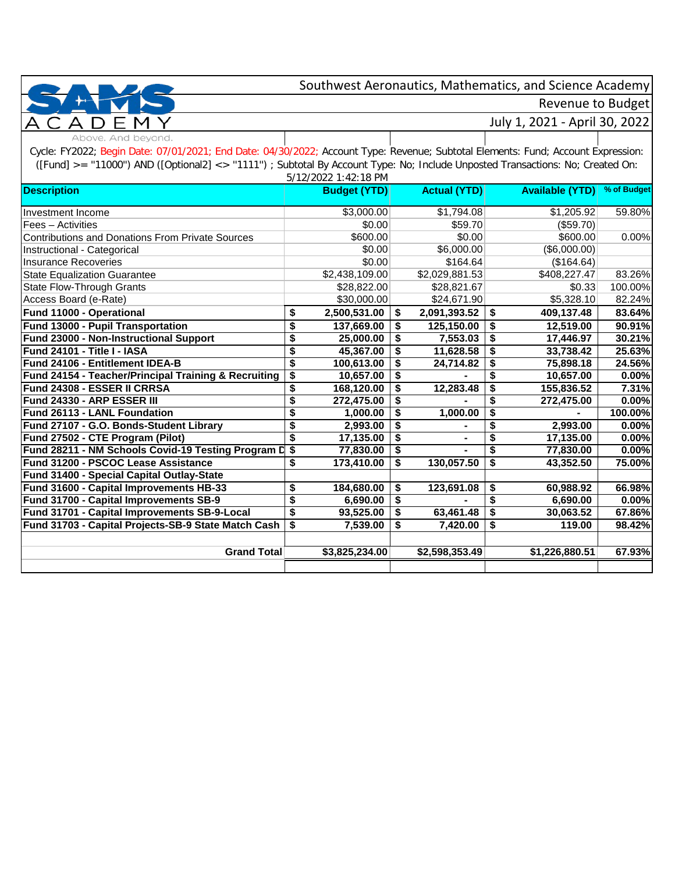# Revenue to Budget

July 1, 2021 - April 30, 2022

Above. And beyond.

Cycle: FY2022; Begin Date: 07/01/2021; End Date: 04/30/2022; Account Type: Revenue; Subtotal Elements: Fund; Account Expression: ([Fund] >= ''11000'') AND ([Optional2] <> ''1111'') ; Subtotal By Account Type: No; Include Unposted Transactions: No; Created On:

|                                                         | 5/12/2022 1:42:18 PM |    |                     |                        |             |
|---------------------------------------------------------|----------------------|----|---------------------|------------------------|-------------|
| <b>Description</b>                                      | <b>Budget (YTD)</b>  |    | <b>Actual (YTD)</b> | <b>Available (YTD)</b> | % of Budget |
| Investment Income                                       | \$3,000.00           |    | \$1,794.08          | \$1,205.92             | 59.80%      |
| Fees - Activities                                       | \$0.00               |    | \$59.70             | (\$59.70)              |             |
| <b>Contributions and Donations From Private Sources</b> | \$600.00             |    | \$0.00              | \$600.00               | 0.00%       |
| Instructional - Categorical                             | \$0.00               |    | \$6,000.00          | (\$6,000.00)           |             |
| <b>Insurance Recoveries</b>                             | \$0.00               |    | \$164.64            | (\$164.64)             |             |
| <b>State Equalization Guarantee</b>                     | \$2,438,109.00       |    | \$2,029,881.53      | \$408,227.47           | 83.26%      |
| <b>State Flow-Through Grants</b>                        | \$28,822.00          |    | \$28,821.67         | \$0.33                 | 100.00%     |
| Access Board (e-Rate)                                   | \$30,000.00          |    | \$24,671.90         | \$5,328.10             | 82.24%      |
| Fund 11000 - Operational                                | \$<br>2,500,531.00   | S  | 2,091,393.52        | \$<br>409,137.48       | 83.64%      |
| Fund 13000 - Pupil Transportation                       | \$<br>137,669.00     | S  | 125,150.00          | \$<br>12,519.00        | 90.91%      |
| Fund 23000 - Non-Instructional Support                  | \$<br>25,000,00      | S  | 7,553.03            | \$<br>17,446.97        | 30.21%      |
| Fund 24101 - Title I - IASA                             | \$<br>45,367.00      | S  | 11,628.58           | \$<br>33,738.42        | 25.63%      |
| Fund 24106 - Entitlement IDEA-B                         | \$<br>100,613.00     |    | 24,714.82           | \$<br>75,898.18        | 24.56%      |
| Fund 24154 - Teacher/Principal Training & Recruiting    | \$<br>10,657.00      | S  |                     | \$<br>10,657.00        | 0.00%       |
| Fund 24308 - ESSER II CRRSA                             | \$<br>168,120.00     | \$ | 12,283.48           | \$<br>155,836.52       | 7.31%       |
| Fund 24330 - ARP ESSER III                              | \$<br>272,475.00     |    |                     | \$<br>272,475.00       | 0.00%       |
| <b>Fund 26113 - LANL Foundation</b>                     | \$<br>1,000.00       | \$ | 1,000.00            | \$                     | 100.00%     |
| Fund 27107 - G.O. Bonds-Student Library                 | \$<br>2,993.00       |    |                     | \$<br>2,993.00         | 0.00%       |
| Fund 27502 - CTE Program (Pilot)                        | \$<br>17,135.00      |    |                     | \$<br>17,135.00        | 0.00%       |
| Fund 28211 - NM Schools Covid-19 Testing Program D \$   | 77,830.00            | S  |                     | \$<br>77,830.00        | 0.00%       |
| Fund 31200 - PSCOC Lease Assistance                     | \$<br>173,410.00     | \$ | 130,057.50          | \$<br>43,352.50        | 75.00%      |
| Fund 31400 - Special Capital Outlay-State               |                      |    |                     |                        |             |
| Fund 31600 - Capital Improvements HB-33                 | \$<br>184,680.00     | \$ | 123,691.08          | \$<br>60,988.92        | 66.98%      |
| Fund 31700 - Capital Improvements SB-9                  | \$<br>6,690.00       | \$ |                     | \$<br>6,690.00         | 0.00%       |
| Fund 31701 - Capital Improvements SB-9-Local            | \$<br>93,525.00      |    | 63,461.48           | \$<br>30,063.52        | 67.86%      |
| Fund 31703 - Capital Projects-SB-9 State Match Cash     | \$<br>7,539.00       | \$ | 7,420.00            | \$<br>119.00           | 98.42%      |
|                                                         |                      |    |                     |                        |             |
| <b>Grand Total</b>                                      | \$3,825,234.00       |    | \$2,598,353.49      | \$1,226,880.51         | 67.93%      |
|                                                         |                      |    |                     |                        |             |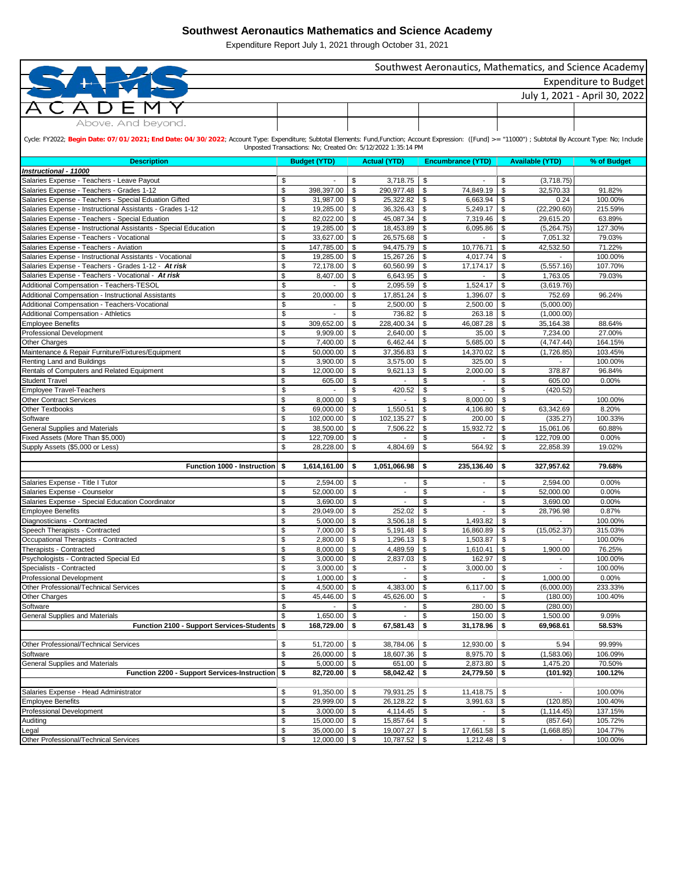| Southwest Aeronautics, Mathematics, and Science Academy                                                                                                                                                   |                              |                               |          |                                                             |                                                |                  |                                   |                               |  |  |  |  |
|-----------------------------------------------------------------------------------------------------------------------------------------------------------------------------------------------------------|------------------------------|-------------------------------|----------|-------------------------------------------------------------|------------------------------------------------|------------------|-----------------------------------|-------------------------------|--|--|--|--|
|                                                                                                                                                                                                           | <b>Expenditure to Budget</b> |                               |          |                                                             |                                                |                  |                                   |                               |  |  |  |  |
|                                                                                                                                                                                                           |                              |                               |          |                                                             |                                                |                  |                                   | July 1, 2021 - April 30, 2022 |  |  |  |  |
| $\bm{\mathsf{A}}^-$<br>D F                                                                                                                                                                                |                              |                               |          |                                                             |                                                |                  |                                   |                               |  |  |  |  |
| Above. And beyond.                                                                                                                                                                                        |                              |                               |          |                                                             |                                                |                  |                                   |                               |  |  |  |  |
| Cycle: FY2022; Begin Date: 07/01/2021; End Date: 04/30/2022; Account Type: Expenditure; Subtotal Elements: Fund,Function; Account Expression: ([Fund] >= "11000") ; Subtotal By Account Type: No; Include |                              |                               |          | Unposted Transactions: No; Created On: 5/12/2022 1:35:14 PM |                                                |                  |                                   |                               |  |  |  |  |
| <b>Description</b>                                                                                                                                                                                        |                              | <b>Budget (YTD)</b>           |          | <b>Actual (YTD)</b>                                         | <b>Encumbrance (YTD)</b>                       |                  | <b>Available (YTD)</b>            | % of Budget                   |  |  |  |  |
| Instructional - 11000                                                                                                                                                                                     | \$                           | $\overline{\phantom{a}}$      | \$       | 3,718.75                                                    | \$<br>$\overline{\phantom{a}}$                 | \$               | (3,718.75)                        |                               |  |  |  |  |
| Salaries Expense - Teachers - Leave Payout<br>Salaries Expense - Teachers - Grades 1-12                                                                                                                   | \$                           | 398,397.00                    | \$       | 290,977.48                                                  | \$<br>74,849.19                                | l \$             | 32,570.33                         | 91.82%                        |  |  |  |  |
| Salaries Expense - Teachers - Special Eduation Gifted                                                                                                                                                     | \$                           | 31,987.00                     | \$       | 25,322.82                                                   | \$<br>6,663.94                                 | \$               | 0.24                              | 100.00%                       |  |  |  |  |
| Salaries Expense - Instructional Assistants - Grades 1-12                                                                                                                                                 | S                            | 19,285.00                     | \$       | 36,326.43                                                   | \$<br>5,249.17                                 | \$               | (22, 290.60)                      | 215.59%                       |  |  |  |  |
| Salaries Expense - Teachers - Special Eduation                                                                                                                                                            | \$                           | 82,022.00                     | \$       | 45,087.34                                                   | \$<br>7,319.46                                 | \$               | 29,615.20                         | 63.89%                        |  |  |  |  |
| Salaries Expense - Instructional Assistants - Special Education                                                                                                                                           | \$                           | 19,285.00                     | \$       | 18,453.89                                                   | \$<br>6,095.86                                 | \$               | (5,264.75)                        | 127.30%                       |  |  |  |  |
| Salaries Expense - Teachers - Vocational                                                                                                                                                                  | \$                           | 33,627.00                     | \$       | 26,575.68                                                   | \$                                             | \$               | 7,051.32                          | 79.03%                        |  |  |  |  |
| Salaries Expense - Teachers - Aviation<br>Salaries Expense - Instructional Assistants - Vocational                                                                                                        | \$<br>\$                     | 147,785.00<br>19,285.00       | \$<br>\$ | 94,475.79<br>15,267.26                                      | \$<br>10,776.71<br>\$<br>4,017.74              | \$<br>\$         | 42,532.50<br>$\blacksquare$       | 71.22%<br>100.00%             |  |  |  |  |
| Salaries Expense - Teachers - Grades 1-12 - At risk                                                                                                                                                       | \$                           | 72,178.00                     | \$       | 60,560.99                                                   | \$<br>17, 174. 17                              | \$               | (5,557.16)                        | 107.70%                       |  |  |  |  |
| Salaries Expense - Teachers - Vocational - At risk                                                                                                                                                        | \$                           | 8,407.00                      | \$       | 6,643.95                                                    | \$<br>$\sim$                                   | \$               | 1,763.05                          | 79.03%                        |  |  |  |  |
| Additional Compensation - Teachers-TESOL                                                                                                                                                                  | \$                           |                               | \$       | 2,095.59                                                    | \$<br>1,524.17                                 | \$               | (3,619.76)                        |                               |  |  |  |  |
| Additional Compensation - Instructional Assistants                                                                                                                                                        | \$                           | 20,000.00                     | \$       | 17,851.24                                                   | 1,396.07<br>\$                                 | \$               | 752.69                            | 96.24%                        |  |  |  |  |
| Additional Compensation - Teachers-Vocational                                                                                                                                                             | \$                           |                               | \$       | 2,500.00                                                    | \$<br>2,500.00                                 | \$               | (5,000.00)                        |                               |  |  |  |  |
| Additional Compensation - Athletics                                                                                                                                                                       | \$                           |                               | \$       | 736.82                                                      | \$<br>263.18                                   | \$               | (1,000.00)                        |                               |  |  |  |  |
| <b>Employee Benefits</b>                                                                                                                                                                                  | S                            | 309,652.00                    | \$       | 228,400.34                                                  | \$<br>46,087.28                                | \$               | 35,164.38                         | 88.64%                        |  |  |  |  |
| Professional Development<br><b>Other Charges</b>                                                                                                                                                          | \$<br>\$                     | 9,909.00<br>7,400.00          | \$<br>\$ | 2,640.00<br>6,462.44                                        | \$<br>35.00<br>\$<br>5,685.00                  | \$<br>$\sqrt{3}$ | 7,234.00<br>(4,747.44)            | 27.00%<br>164.15%             |  |  |  |  |
| Maintenance & Repair Furniture/Fixtures/Equipment                                                                                                                                                         | \$                           | $50,000.00$ \$                |          | 37,356.83                                                   | \$<br>14,370.02                                | \$               | (1,726.85)                        | 103.45%                       |  |  |  |  |
| Renting Land and Buildings                                                                                                                                                                                | \$                           | $3,900.00$ \$                 |          | 3,575.00                                                    | \$<br>325.00                                   | \$               | $\overline{\phantom{a}}$          | 100.00%                       |  |  |  |  |
| Rentals of Computers and Related Equipment                                                                                                                                                                | \$                           | 12,000.00                     | \$       | 9,621.13                                                    | \$<br>2,000.00                                 | \$               | 378.87                            | 96.84%                        |  |  |  |  |
| <b>Student Travel</b>                                                                                                                                                                                     | \$                           | 605.00                        | \$       |                                                             | \$                                             | \$               | 605.00                            | 0.00%                         |  |  |  |  |
| <b>Employee Travel-Teachers</b>                                                                                                                                                                           | \$                           | $\overline{a}$                | \$       | 420.52                                                      | \$<br>$\blacksquare$                           | \$               | (420.52)                          |                               |  |  |  |  |
| <b>Other Contract Services</b>                                                                                                                                                                            | \$                           | 8,000.00                      | \$       |                                                             | \$<br>8,000.00                                 | \$               |                                   | 100.00%                       |  |  |  |  |
| <b>Other Textbooks</b><br>Software                                                                                                                                                                        | \$<br>\$                     | 69,000.00<br>102,000.00       | \$<br>\$ | 1,550.51<br>102,135.27                                      | \$<br>4,106.80<br>\$<br>200.00                 | \$<br>\$         | 63,342.69                         | 8.20%<br>100.33%              |  |  |  |  |
| General Supplies and Materials                                                                                                                                                                            | \$                           | 38,500.00 \$                  |          | 7,506.22                                                    | \$<br>15,932.72                                | \$               | (335.27)<br>15,061.06             | 60.88%                        |  |  |  |  |
| Fixed Assets (More Than \$5,000)                                                                                                                                                                          | \$                           | 122,709.00                    | \$       |                                                             | \$<br>$\overline{\phantom{a}}$                 |                  | \$<br>122,709.00                  | 0.00%                         |  |  |  |  |
| Supply Assets (\$5,000 or Less)                                                                                                                                                                           | S                            | 28,228.00                     | \$       | 4,804.69                                                    | \$<br>564.92                                   | \$               | 22,858.39                         | 19.02%                        |  |  |  |  |
| Function 1000 - Instruction \$                                                                                                                                                                            |                              | 1,614,161.00                  | \$       | 1,051,066.98                                                | 235,136.40<br>\$                               | \$               | 327,957.62                        | 79.68%                        |  |  |  |  |
|                                                                                                                                                                                                           |                              |                               |          |                                                             |                                                |                  |                                   |                               |  |  |  |  |
| Salaries Expense - Title I Tutor<br>Salaries Expense - Counselor                                                                                                                                          | \$<br>S                      | 2,594.00<br>52,000.00         | \$<br>\$ | $\mathbf{r}$                                                | \$<br>$\blacksquare$<br>\$<br>$\sim$           |                  | \$<br>2,594.00<br>\$<br>52,000.00 | 0.00%<br>0.00%                |  |  |  |  |
| Salaries Expense - Special Education Coordinator                                                                                                                                                          | \$                           | 3,690.00                      | \$       |                                                             | \$<br>$\sim$                                   |                  | \$<br>3,690.00                    | 0.00%                         |  |  |  |  |
| <b>Employee Benefits</b>                                                                                                                                                                                  | \$                           | 29,049.00                     | \$       | 252.02                                                      | \$<br>$\overline{\phantom{a}}$                 |                  | \$<br>28,796.98                   | 0.87%                         |  |  |  |  |
| Diagnosticians - Contracted                                                                                                                                                                               | \$                           | 5,000.00 \$                   |          | 3,506.18                                                    | \$<br>1,493.82                                 | \$               | $\blacksquare$                    | 100.00%                       |  |  |  |  |
| Speech Therapists - Contracted                                                                                                                                                                            | \$                           | 7.000.00                      | \$       | 5,191.48                                                    | \$<br>16,860.89                                | \$               | (15,052.37)                       | 315.03%                       |  |  |  |  |
| Occupational Therapists - Contracted                                                                                                                                                                      | \$                           | 2,800.00                      | \$       | 1,296.13                                                    | \$<br>1,503.87                                 |                  | \$                                | 100.00%                       |  |  |  |  |
| Therapists - Contracted                                                                                                                                                                                   | \$                           | 8,000.00                      | \$       | 4,489.59                                                    | \$<br>1,610.41                                 | \$               | 1,900.00                          | 76.25%                        |  |  |  |  |
| Psychologists - Contracted Special Ed<br>Specialists - Contracted                                                                                                                                         | \$<br>\$                     | $3,000.00$ \$<br>3,000.00     | \$       | 2,837.03<br>$\blacksquare$                                  | \$<br>162.97<br>\$<br>3,000.00                 | $\sqrt{S}$<br>\$ | $\blacksquare$                    | 100.00%<br>100.00%            |  |  |  |  |
| Professional Development                                                                                                                                                                                  | \$                           | 1,000.00                      | \$       |                                                             | \$<br>$\blacksquare$                           | \$               | 1,000.00                          | 0.00%                         |  |  |  |  |
| Other Professional/Technical Services                                                                                                                                                                     | \$                           | 4,500.00 \$                   |          | 4,383.00                                                    | \$<br>6,117.00                                 | \$               | (6,000.00)                        | 233.33%                       |  |  |  |  |
| Other Charges                                                                                                                                                                                             | \$                           | 45,446.00                     | \$       | 45,626.00                                                   | \$<br>$\blacksquare$                           | \$               | (180.00)                          | 100.40%                       |  |  |  |  |
| Software                                                                                                                                                                                                  | \$                           | $\overline{\phantom{a}}$      | \$       | $\sim$                                                      | \$<br>$280.00$ \$                              |                  | (280.00)                          |                               |  |  |  |  |
| General Supplies and Materials                                                                                                                                                                            | \$                           | 1,650.00                      | \$       | $\blacksquare$                                              | \$<br>150.00                                   | \$               | 1,500.00                          | 9.09%                         |  |  |  |  |
| Function 2100 - Support Services-Students                                                                                                                                                                 | -\$                          | 168,729.00                    | \$       | 67,581.43                                                   | 31,178.96<br>\$                                | \$               | 69,968.61                         | 58.53%                        |  |  |  |  |
| Other Professional/Technical Services                                                                                                                                                                     | \$                           | 51,720.00                     | \$       | 38,784.06                                                   | 12,930.00<br>\$                                | \$               | 5.94                              | 99.99%                        |  |  |  |  |
| Software                                                                                                                                                                                                  | \$                           | 26,000.00 \$                  |          | 18,607.36                                                   | \$<br>8,975.70 \$                              |                  | (1,583.06)                        | 106.09%                       |  |  |  |  |
| General Supplies and Materials                                                                                                                                                                            | \$                           | 5,000.00 \$                   |          | 651.00 \$                                                   | 2,873.80 \$                                    |                  | 1,475.20                          | 70.50%                        |  |  |  |  |
| Function 2200 - Support Services-Instruction                                                                                                                                                              | -\$                          | 82,720.00 \$                  |          | 58,042.42                                                   | 24,779.50 \$<br>\$                             |                  | (101.92)                          | 100.12%                       |  |  |  |  |
|                                                                                                                                                                                                           |                              |                               |          |                                                             |                                                |                  |                                   |                               |  |  |  |  |
| Salaries Expense - Head Administrator                                                                                                                                                                     | \$                           | 91,350.00 \$                  |          | 79,931.25                                                   | \$<br>11,418.75                                | -\$              |                                   | 100.00%                       |  |  |  |  |
| <b>Employee Benefits</b>                                                                                                                                                                                  | \$                           | 29,999.00                     | \$       | 26,128.22                                                   | \$<br>3,991.63                                 | \$               | (120.85)                          | 100.40%                       |  |  |  |  |
| Professional Development<br>Auditing                                                                                                                                                                      | \$<br>\$                     | $3,000.00$ \$<br>15,000.00 \$ |          | 4,114.45<br>15,857.64                                       | \$<br>$\sim$<br>\$<br>$\overline{\phantom{a}}$ | \$<br>\$         | (1, 114.45)<br>(857.64)           | 137.15%<br>105.72%            |  |  |  |  |
| Legal                                                                                                                                                                                                     | \$                           | 35,000.00 \$                  |          | 19,007.27 \$                                                | 17,661.58                                      | \$               | (1,668.85)                        | 104.77%                       |  |  |  |  |
| Other Professional/Technical Services                                                                                                                                                                     | \$                           | 12,000.00 \$                  |          | 10,787.52 \$                                                | $1,212.48$ \$                                  |                  |                                   | 100.00%                       |  |  |  |  |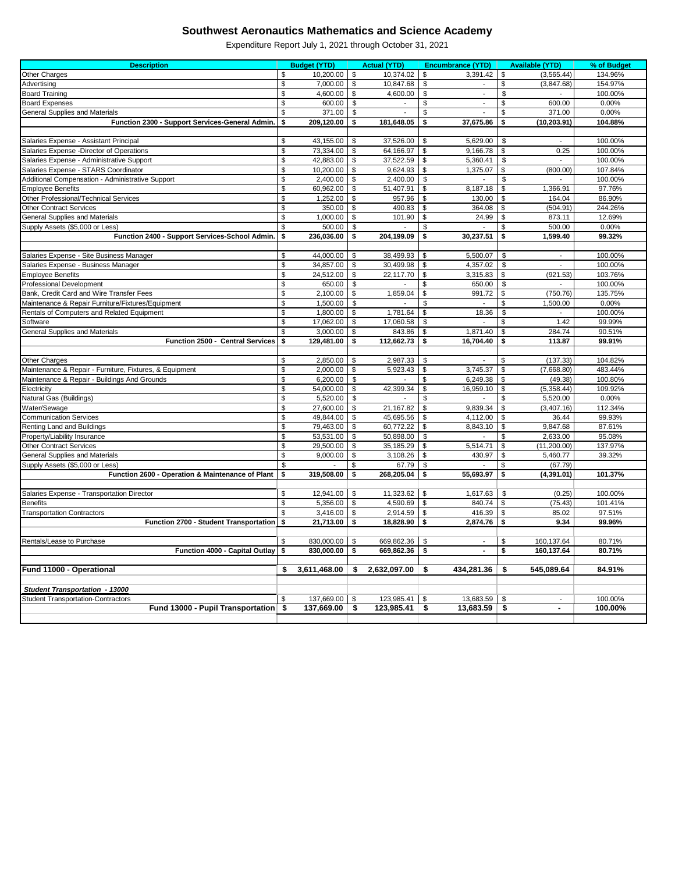| <b>Description</b>                                      |    | <b>Budget (YTD)</b> |          | <b>Actual (YTD)</b>      |      | <b>Encumbrance (YTD)</b> |    | <b>Available (YTD)</b>   | % of Budget |
|---------------------------------------------------------|----|---------------------|----------|--------------------------|------|--------------------------|----|--------------------------|-------------|
| Other Charges                                           | S  | 10,200.00           | \$       | 10,374.02                | \$   | 3,391.42                 | \$ | (3, 565.44)              | 134.96%     |
| Advertising                                             | \$ | 7,000.00            | \$       | 10,847.68                | \$   |                          | \$ | (3,847.68)               | 154.97%     |
| <b>Board Training</b>                                   | \$ | 4,600.00            | \$       | 4,600.00                 | \$   | $\sim$                   | \$ |                          | 100.00%     |
| <b>Board Expenses</b>                                   | \$ | 600.00              | \$       | $\overline{\phantom{a}}$ | \$   | $\overline{\phantom{a}}$ | \$ | 600.00                   | 0.00%       |
| General Supplies and Materials                          | \$ | 371.00              | \$       | $\overline{a}$           | \$   | $\overline{a}$           | \$ | 371.00                   | 0.00%       |
| Function 2300 - Support Services-General Admin.         | \$ | 209,120.00          | \$       | 181,648.05               | \$   | 37,675.86                | \$ | (10, 203.91)             | 104.88%     |
|                                                         |    |                     |          |                          |      |                          |    |                          |             |
| Salaries Expense - Assistant Principal                  | \$ | 43,155.00           | \$       | 37,526.00                | \$   | 5,629.00                 | \$ | $\overline{\phantom{a}}$ | 100.00%     |
| Salaries Expense - Director of Operations               | \$ | 73,334.00           | \$       | 64,166.97                | \$   | 9,166.78                 | \$ | 0.25                     | 100.00%     |
| Salaries Expense - Administrative Support               | \$ | 42,883.00           | \$       | 37,522.59                | \$   | 5,360.41                 | \$ | $\blacksquare$           | 100.00%     |
| Salaries Expense - STARS Coordinator                    | \$ | 10,200.00           | \$       | 9,624.93                 | \$   | 1,375.07                 | \$ | (800.00)                 | 107.84%     |
| Additional Compensation - Administrative Support        | \$ | 2,400.00            | \$       | 2,400.00                 | \$   | $\overline{\phantom{a}}$ | \$ | $\overline{\phantom{a}}$ | 100.00%     |
| <b>Employee Benefits</b>                                | \$ | 60,962.00           | \$       | 51,407.91                | \$   | 8,187.18                 | \$ | 1,366.91                 | 97.76%      |
| Other Professional/Technical Services                   | \$ | 1,252.00            | \$       | 957.96                   | \$   | 130.00                   | \$ | 164.04                   | 86.90%      |
| <b>Other Contract Services</b>                          | \$ | 350.00              | \$       | 490.83                   | \$   | 364.08                   | \$ | (504.91)                 | 244.26%     |
| General Supplies and Materials                          | \$ | 1,000.00            | \$       | 101.90                   | \$   | 24.99                    | \$ | 873.11                   | 12.69%      |
| Supply Assets (\$5,000 or Less)                         | \$ | 500.00              | \$       |                          | \$   | $\overline{\phantom{a}}$ | \$ | 500.00                   | 0.00%       |
| Function 2400 - Support Services-School Admin.          | \$ | 236,036.00          | \$       | 204,199.09               | \$   | 30,237.51                | \$ | 1,599.40                 | 99.32%      |
|                                                         |    |                     |          |                          |      |                          |    |                          |             |
| Salaries Expense - Site Business Manager                | \$ | 44,000.00           | \$       | 38,499.93                | \$   | 5,500.07                 | \$ |                          | 100.00%     |
| Salaries Expense - Business Manager                     | \$ | 34,857.00           | \$       | 30,499.98                | \$   | 4,357.02                 | \$ | $\overline{a}$           | 100.00%     |
| <b>Employee Benefits</b>                                | \$ | 24,512.00           | \$       | 22,117.70                | \$   | 3,315.83                 | \$ | (921.53)                 | 103.76%     |
| <b>Professional Development</b>                         | \$ | 650.00              | \$       |                          | \$   | 650.00                   | \$ | $\blacksquare$           | 100.00%     |
| Bank, Credit Card and Wire Transfer Fees                | \$ | 2,100.00            | \$       | 1,859.04                 | \$   | 991.72                   | \$ | (750.76)                 | 135.75%     |
| Maintenance & Repair Furniture/Fixtures/Equipment       | \$ | 1,500.00            | \$       |                          | \$   | $\overline{\phantom{a}}$ | \$ | 1,500.00                 | 0.00%       |
| Rentals of Computers and Related Equipment              | \$ | 1.800.00            | \$       | 1.781.64                 | \$   | 18.36                    | \$ |                          | 100.00%     |
| Software                                                | \$ | 17,062.00           | \$       | 17,060.58                | \$   | $\sim$                   | \$ | 1.42                     | 99.99%      |
| General Supplies and Materials                          | \$ | 3,000.00            | \$       | 843.86                   | \$   | 1,871.40                 | \$ | 284.74                   | 90.51%      |
| Function 2500 - Central Services                        | \$ | 129,481.00          | \$       | 112,662.73               | \$   | 16,704.40                | \$ | 113.87                   | 99.91%      |
| Other Charges                                           | \$ | 2,850.00            | \$       | 2,987.33                 | \$   | $\overline{a}$           | \$ | (137.33)                 | 104.82%     |
| Maintenance & Repair - Furniture, Fixtures, & Equipment | \$ | 2,000.00            | \$       | 5,923.43                 | \$   | 3,745.37                 | \$ | (7,668.80)               | 483.44%     |
| Maintenance & Repair - Buildings And Grounds            | \$ | 6,200.00            | \$       |                          | \$   | 6,249.38                 | \$ | (49.38)                  | 100.80%     |
| Electricity                                             | \$ | 54,000.00           | \$       | 42,399.34                | \$   | 16,959.10                | \$ | (5,358.44)               | 109.92%     |
| Natural Gas (Buildings)                                 | \$ | 5,520.00            | \$       |                          | \$   |                          | \$ | 5,520.00                 | 0.00%       |
| Water/Sewage                                            | \$ | 27,600.00           | \$       | 21,167.82                | \$   | 9.839.34                 | \$ | (3,407.16)               | 112.34%     |
| <b>Communication Services</b>                           | \$ | 49,844.00           | \$       | 45,695.56                | \$   | 4,112.00                 | \$ | 36.44                    | 99.93%      |
| Renting Land and Buildings                              | \$ | 79,463.00           | \$       | 60,772.22                | \$   | 8,843.10                 | \$ | 9,847.68                 | 87.61%      |
| Property/Liability Insurance                            | S  | 53,531.00           | <b>S</b> | 50,898.00                | \$   | $\blacksquare$           | S  | 2,633.00                 | 95.08%      |
| <b>Other Contract Services</b>                          | S  | 29,500.00           | \$       | 35,185.29                | \$   | 5,514.71                 | \$ | (11, 200.00)             | 137.97%     |
| General Supplies and Materials                          | \$ | 9,000.00            | \$       | 3,108.26                 | \$   | 430.97                   | \$ | 5,460.77                 | 39.32%      |
| Supply Assets (\$5,000 or Less)                         | \$ |                     | \$       | 67.79                    | \$   |                          | \$ | (67.79)                  |             |
| Function 2600 - Operation & Maintenance of Plant        | \$ | 319,508.00          | \$       | 268,205.04               | \$   | 55,693.97                | \$ | (4,391.01)               | 101.37%     |
|                                                         |    |                     |          |                          |      |                          |    |                          |             |
| Salaries Expense - Transportation Director              | \$ | 12,941.00           | \$       | 11,323.62                | \$   | 1,617.63                 | \$ | (0.25)                   | 100.00%     |
| <b>Benefits</b>                                         | \$ | 5,356.00            | \$       | 4,590.69                 | \$   | 840.74                   | \$ | (75.43)                  | 101.41%     |
| <b>Transportation Contractors</b>                       | \$ | 3,416.00            | \$       | 2,914.59                 | \$   | 416.39                   | \$ | 85.02                    | 97.51%      |
| Function 2700 - Student Transportation                  | \$ | 21,713.00           | -\$      | 18,828.90                | \$   | 2,874.76                 | \$ | 9.34                     | 99.96%      |
|                                                         |    |                     |          |                          |      |                          |    |                          |             |
| Rentals/Lease to Purchase                               | S  | 830,000.00          | \$       | 669,862.36               | \$   | $\overline{\phantom{a}}$ | \$ | 160,137.64               | 80.71%      |
| Function 4000 - Capital Outlay                          | \$ | 830,000.00          | \$       | 669,862.36               | \$   | $\blacksquare$           | \$ | 160,137.64               | 80.71%      |
|                                                         |    |                     |          |                          |      |                          |    |                          |             |
| Fund 11000 - Operational                                | \$ | 3,611,468.00        | S        | 2,632,097.00             | \$   | 434,281.36               | \$ | 545.089.64               | 84.91%      |
|                                                         |    |                     |          |                          |      |                          |    |                          |             |
| Student Transportation - 13000                          |    |                     |          |                          |      |                          |    |                          |             |
| <b>Student Transportation-Contractors</b>               |    | 137,669.00          | - \$     | 123,985.41               | \$   | 13,683.59 \$             |    |                          | 100.00%     |
| Fund 13000 - Pupil Transportation                       | Ŝ. | $137,669.00$ \$     |          | 123,985.41               | - \$ | 13,683.59                | Ŝ. | $\blacksquare$           | 100.00%     |
|                                                         |    |                     |          |                          |      |                          |    |                          |             |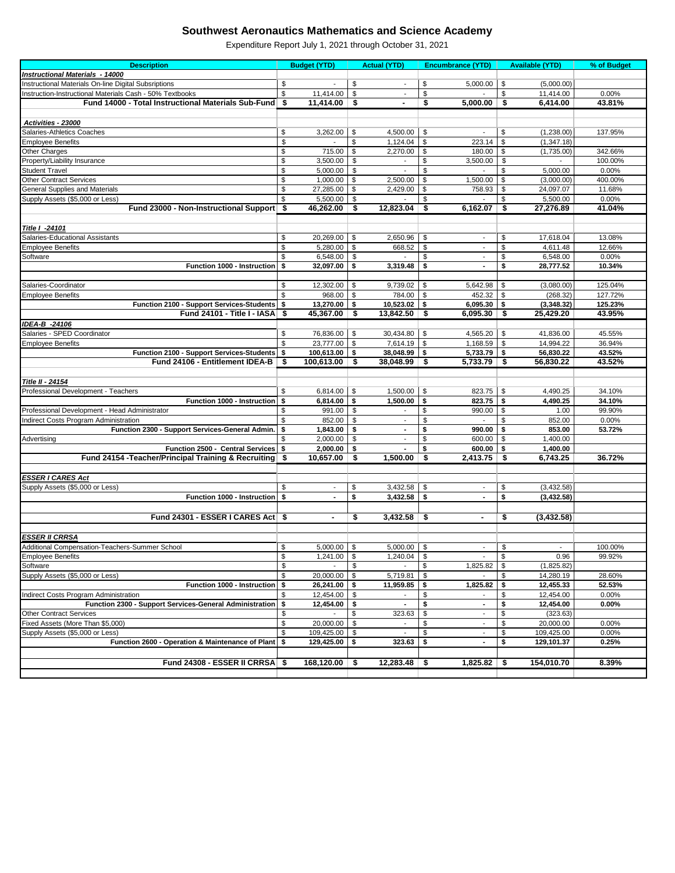| <b>Instructional Materials - 14000</b><br>\$<br>Instructional Materials On-line Digital Subsriptions<br>\$<br>\$<br>5,000.00<br>\$<br>(5,000.00)<br>\$<br>\$<br>\$<br>Instruction-Instructional Materials Cash - 50% Textbooks<br>\$<br>11,414.00<br>0.00%<br>11,414.00<br>$\blacksquare$<br>Fund 14000 - Total Instructional Materials Sub-Fund<br>11,414.00<br>\$<br>6,414.00<br>43.81%<br>\$<br>\$<br>5,000.00<br>\$<br>Activities - 23000<br>Salaries-Athletics Coaches<br>\$<br>3,262.00<br>\$<br>4,500.00<br>\$<br>\$<br>(1,238.00)<br>137.95%<br>$\overline{\phantom{a}}$<br>\$<br>\$<br>\$<br>1,124.04<br>223.14<br>\$<br>(1, 347.18)<br><b>Employee Benefits</b><br>\$<br>\$<br>715.00<br>\$<br>180.00<br>\$<br>342.66%<br><b>Other Charges</b><br>2,270.00<br>(1,735.00)<br>Property/Liability Insurance<br>\$<br>3,500.00<br>\$<br>\$<br>3,500.00<br>\$<br>100.00%<br>$\blacksquare$<br>\$<br>5,000.00<br>\$<br>\$<br>\$<br>5,000.00<br>0.00%<br><b>Student Travel</b><br>$\blacksquare$<br>$\overline{\phantom{a}}$<br>\$<br>\$<br>\$<br>\$<br><b>Other Contract Services</b><br>1,000.00<br>2,500.00<br>1,500.00<br>(3,000.00)<br>400.00%<br>\$<br>\$<br>\$<br>27,285.00<br>\$<br>11.68%<br>General Supplies and Materials<br>2,429.00<br>758.93<br>24,097.07<br>\$<br>\$<br>\$<br>\$<br>5,500.00<br>5,500.00<br>0.00%<br>Supply Assets (\$5,000 or Less)<br>12,823.04<br>6,162.07<br>\$<br>41.04%<br>Fund 23000 - Non-Instructional Support \$<br>46,262.00<br>\$<br>\$<br>27.276.89<br>Title I -24101<br>Salaries-Educational Assistants<br>20,269.00<br>\$<br>\$<br>\$<br>13.08%<br>\$<br>2,650.96<br>17,618.04<br>$\blacksquare$<br>\$<br>\$<br>\$<br>5,280.00<br>668.52<br>\$<br>4,611.48<br>12.66%<br><b>Employee Benefits</b><br>$\overline{\phantom{a}}$<br>\$<br>6,548.00<br>\$<br>\$<br>\$<br>6,548.00<br>0.00%<br>Software<br>$\overline{\phantom{a}}$<br>$\overline{\phantom{a}}$<br>32,097.00<br>\$<br>3,319.48<br>\$<br>\$<br>28,777.52<br>10.34%<br>Function 1000 - Instruction \$<br>$\blacksquare$<br>12,302.00<br>\$<br>9,739.02<br>\$<br>125.04%<br>Salaries-Coordinator<br>\$<br>5,642.98<br>\$<br>(3,080.00)<br>\$<br>784.00<br>\$<br>\$<br>127.72%<br>\$<br>968.00<br>452.32<br>(268.32)<br><b>Employee Benefits</b><br>10,523.02<br>125.23%<br>$13,270.00$ \$<br>\$<br>$6,095.30$ \$<br>(3,348.32)<br>Function 2100 - Support Services-Students   \$<br>Fund 24101 - Title I - IASA<br>45.367.00<br>13,842.50<br>\$<br>25.429.20<br>43.95%<br>\$<br>\$<br>\$<br>6,095.30<br>IDEA-B -24106<br>Salaries - SPED Coordinator<br>76,836.00<br>30,434.80<br>4,565.20<br>\$<br>41,836.00<br>45.55%<br>\$<br>\$<br>\$<br>23,777.00<br>\$<br>7,614.19<br>\$<br>1,168.59<br>\$<br>14,994.22<br>36.94%<br><b>Employee Benefits</b><br>S<br>43.52%<br>Function 2100 - Support Services-Students \$<br>$100,613.00$ \$<br>38,048.99<br>\$<br>$5,733.79$ \$<br>56.830.22<br>Fund 24106 - Entitlement IDEA-B<br>100,613.00<br>38,048.99<br>43.52%<br>\$<br>-\$<br>\$<br>5,733.79<br>\$<br>56,830.22<br>Title II - 24154<br>Professional Development - Teachers<br>\$<br>\$<br>\$<br>\$<br>6,814.00<br>1,500.00<br>823.75<br>4,490.25<br>34.10%<br>\$<br>6,814.00<br>\$<br>\$<br>823.75<br>\$<br>4,490.25<br>Function 1000 - Instruction<br>1,500.00<br>34.10%<br>Professional Development - Head Administrator<br>991.00<br>\$<br>\$<br>990.00<br>\$<br>99.90%<br>\$<br>1.00<br>\$<br>Indirect Costs Program Administration<br>\$<br>852.00<br>\$<br>\$<br>852.00<br>0.00%<br>$\mathbf{r}$<br>$\mathbf{r}$<br>Function 2300 - Support Services-General Admin.<br>\$<br>1,843.00<br>\$<br>\$<br>990.00<br>\$<br>53.72%<br>853.00<br>$\blacksquare$<br>\$<br>\$<br>2,000.00<br>600.00<br>\$<br>\$<br>1,400.00<br>Advertising<br>$\blacksquare$<br>Function 2500 - Central Services \$<br>2,000.00<br>-\$<br>\$<br>$600.00$ \$<br>1,400.00<br>2,413.75<br>Fund 24154 - Teacher/Principal Training & Recruiting<br>10,657.00<br>1,500.00<br>\$<br>\$<br>6,743.25<br>36.72%<br>\$<br>\$<br><b>ESSER I CARES Act</b><br>\$<br>\$<br>3,432.58<br>\$<br>\$<br>(3,432.58)<br>Supply Assets (\$5,000 or Less)<br>$\blacksquare$<br>$\blacksquare$<br>\$<br>\$<br>-\$<br>3,432.58<br>\$<br>(3, 432.58)<br>Function 1000 - Instruction<br>$\blacksquare$<br>$\overline{\phantom{a}}$<br>Fund 24301 - ESSER I CARES Act \$<br>3,432.58<br>(3,432.58)<br>\$<br>\$<br>\$<br>$\blacksquare$<br>$\blacksquare$<br><b>ESSER II CRRSA</b><br>\$<br>Additional Compensation-Teachers-Summer School<br>\$<br>5,000.00 \$<br>$5,000.00$ \$<br>100.00%<br>$\overline{\phantom{a}}$<br>\$<br>\$<br><b>Employee Benefits</b><br>\$<br>1,241.00<br>1,240.04<br>\$<br>0.96<br>99.92%<br>$\sim$<br>\$<br>\$<br>\$<br>\$<br>1,825.82<br>(1,825.82)<br>Software<br>20,000.00 \$<br>\$<br>5,719.81<br>\$<br>\$<br>14,280.19<br>28.60%<br>Function 1000 - Instruction \$<br>26,241.00<br>\$<br>11,959.85<br>\$<br>1,825.82<br>\$<br>12,455.33<br>52.53%<br>\$<br>\$<br>\$<br>\$<br>12,454.00<br>12,454.00<br>0.00%<br>$\blacksquare$<br>\$<br>\$<br>Function 2300 - Support Services-General Administration \$<br>\$<br>12,454.00<br>12,454.00<br>0.00%<br>$\blacksquare$<br>$\blacksquare$<br>\$<br>\$<br>323.63<br>\$<br>\$<br>(323.63)<br>$\sim$<br>$\overline{\phantom{a}}$<br>Fixed Assets (More Than \$5,000)<br>\$<br>20,000.00<br>\$<br>\$<br>\$<br>20,000.00<br>0.00%<br>$\sim$<br>$\overline{\phantom{a}}$<br>\$<br>\$<br>Supply Assets (\$5,000 or Less)<br>\$<br>109,425.00<br>\$<br>109,425.00<br>0.00%<br>$\blacksquare$<br>\$<br>Function 2600 - Operation & Maintenance of Plant \$<br>\$<br>323.63<br>\$<br>0.25%<br>129,425.00<br>129,101.37<br>$\blacksquare$<br>Fund 24308 - ESSER II CRRSA \$<br>168,120.00<br>12,283.48<br>1,825.82<br>154,010.70<br>8.39%<br>\$<br>\$<br>\$ | <b>Description</b>                    | <b>Budget (YTD)</b> | <b>Actual (YTD)</b> | <b>Encumbrance (YTD)</b> | <b>Available (YTD)</b> | % of Budget |
|-----------------------------------------------------------------------------------------------------------------------------------------------------------------------------------------------------------------------------------------------------------------------------------------------------------------------------------------------------------------------------------------------------------------------------------------------------------------------------------------------------------------------------------------------------------------------------------------------------------------------------------------------------------------------------------------------------------------------------------------------------------------------------------------------------------------------------------------------------------------------------------------------------------------------------------------------------------------------------------------------------------------------------------------------------------------------------------------------------------------------------------------------------------------------------------------------------------------------------------------------------------------------------------------------------------------------------------------------------------------------------------------------------------------------------------------------------------------------------------------------------------------------------------------------------------------------------------------------------------------------------------------------------------------------------------------------------------------------------------------------------------------------------------------------------------------------------------------------------------------------------------------------------------------------------------------------------------------------------------------------------------------------------------------------------------------------------------------------------------------------------------------------------------------------------------------------------------------------------------------------------------------------------------------------------------------------------------------------------------------------------------------------------------------------------------------------------------------------------------------------------------------------------------------------------------------------------------------------------------------------------------------------------------------------------------------------------------------------------------------------------------------------------------------------------------------------------------------------------------------------------------------------------------------------------------------------------------------------------------------------------------------------------------------------------------------------------------------------------------------------------------------------------------------------------------------------------------------------------------------------------------------------------------------------------------------------------------------------------------------------------------------------------------------------------------------------------------------------------------------------------------------------------------------------------------------------------------------------------------------------------------------------------------------------------------------------------------------------------------------------------------------------------------------------------------------------------------------------------------------------------------------------------------------------------------------------------------------------------------------------------------------------------------------------------------------------------------------------------------------------------------------------------------------------------------------------------------------------------------------------------------------------------------------------------------------------------------------------------------------------------------------------------------------------------------------------------------------------------------------------------------------------------------------------------------------------------------------------------------------------------------------------------------------------------------------------------------------------------------------------------------------------------------------------------------------------------------------------------------------------------------------------------------------------------------------------------------------------------------------------------------------------------------------------------------------------------------------------------------------------------------------------------------------------------------------------------------------------------------------------------------------------------------------------------------------------------------------------------------------------------------------------------------------------------------------------------------------------------------------------------------------------------------------------------------------------------------------------------------------------------------------------------------------------------------------------------------------------------------------------------------------------------------------|---------------------------------------|---------------------|---------------------|--------------------------|------------------------|-------------|
|                                                                                                                                                                                                                                                                                                                                                                                                                                                                                                                                                                                                                                                                                                                                                                                                                                                                                                                                                                                                                                                                                                                                                                                                                                                                                                                                                                                                                                                                                                                                                                                                                                                                                                                                                                                                                                                                                                                                                                                                                                                                                                                                                                                                                                                                                                                                                                                                                                                                                                                                                                                                                                                                                                                                                                                                                                                                                                                                                                                                                                                                                                                                                                                                                                                                                                                                                                                                                                                                                                                                                                                                                                                                                                                                                                                                                                                                                                                                                                                                                                                                                                                                                                                                                                                                                                                                                                                                                                                                                                                                                                                                                                                                                                                                                                                                                                                                                                                                                                                                                                                                                                                                                                                                                                                                                                                                                                                                                                                                                                                                                                                                                                                                                                                                                                                         |                                       |                     |                     |                          |                        |             |
|                                                                                                                                                                                                                                                                                                                                                                                                                                                                                                                                                                                                                                                                                                                                                                                                                                                                                                                                                                                                                                                                                                                                                                                                                                                                                                                                                                                                                                                                                                                                                                                                                                                                                                                                                                                                                                                                                                                                                                                                                                                                                                                                                                                                                                                                                                                                                                                                                                                                                                                                                                                                                                                                                                                                                                                                                                                                                                                                                                                                                                                                                                                                                                                                                                                                                                                                                                                                                                                                                                                                                                                                                                                                                                                                                                                                                                                                                                                                                                                                                                                                                                                                                                                                                                                                                                                                                                                                                                                                                                                                                                                                                                                                                                                                                                                                                                                                                                                                                                                                                                                                                                                                                                                                                                                                                                                                                                                                                                                                                                                                                                                                                                                                                                                                                                                         |                                       |                     |                     |                          |                        |             |
|                                                                                                                                                                                                                                                                                                                                                                                                                                                                                                                                                                                                                                                                                                                                                                                                                                                                                                                                                                                                                                                                                                                                                                                                                                                                                                                                                                                                                                                                                                                                                                                                                                                                                                                                                                                                                                                                                                                                                                                                                                                                                                                                                                                                                                                                                                                                                                                                                                                                                                                                                                                                                                                                                                                                                                                                                                                                                                                                                                                                                                                                                                                                                                                                                                                                                                                                                                                                                                                                                                                                                                                                                                                                                                                                                                                                                                                                                                                                                                                                                                                                                                                                                                                                                                                                                                                                                                                                                                                                                                                                                                                                                                                                                                                                                                                                                                                                                                                                                                                                                                                                                                                                                                                                                                                                                                                                                                                                                                                                                                                                                                                                                                                                                                                                                                                         |                                       |                     |                     |                          |                        |             |
|                                                                                                                                                                                                                                                                                                                                                                                                                                                                                                                                                                                                                                                                                                                                                                                                                                                                                                                                                                                                                                                                                                                                                                                                                                                                                                                                                                                                                                                                                                                                                                                                                                                                                                                                                                                                                                                                                                                                                                                                                                                                                                                                                                                                                                                                                                                                                                                                                                                                                                                                                                                                                                                                                                                                                                                                                                                                                                                                                                                                                                                                                                                                                                                                                                                                                                                                                                                                                                                                                                                                                                                                                                                                                                                                                                                                                                                                                                                                                                                                                                                                                                                                                                                                                                                                                                                                                                                                                                                                                                                                                                                                                                                                                                                                                                                                                                                                                                                                                                                                                                                                                                                                                                                                                                                                                                                                                                                                                                                                                                                                                                                                                                                                                                                                                                                         |                                       |                     |                     |                          |                        |             |
|                                                                                                                                                                                                                                                                                                                                                                                                                                                                                                                                                                                                                                                                                                                                                                                                                                                                                                                                                                                                                                                                                                                                                                                                                                                                                                                                                                                                                                                                                                                                                                                                                                                                                                                                                                                                                                                                                                                                                                                                                                                                                                                                                                                                                                                                                                                                                                                                                                                                                                                                                                                                                                                                                                                                                                                                                                                                                                                                                                                                                                                                                                                                                                                                                                                                                                                                                                                                                                                                                                                                                                                                                                                                                                                                                                                                                                                                                                                                                                                                                                                                                                                                                                                                                                                                                                                                                                                                                                                                                                                                                                                                                                                                                                                                                                                                                                                                                                                                                                                                                                                                                                                                                                                                                                                                                                                                                                                                                                                                                                                                                                                                                                                                                                                                                                                         |                                       |                     |                     |                          |                        |             |
|                                                                                                                                                                                                                                                                                                                                                                                                                                                                                                                                                                                                                                                                                                                                                                                                                                                                                                                                                                                                                                                                                                                                                                                                                                                                                                                                                                                                                                                                                                                                                                                                                                                                                                                                                                                                                                                                                                                                                                                                                                                                                                                                                                                                                                                                                                                                                                                                                                                                                                                                                                                                                                                                                                                                                                                                                                                                                                                                                                                                                                                                                                                                                                                                                                                                                                                                                                                                                                                                                                                                                                                                                                                                                                                                                                                                                                                                                                                                                                                                                                                                                                                                                                                                                                                                                                                                                                                                                                                                                                                                                                                                                                                                                                                                                                                                                                                                                                                                                                                                                                                                                                                                                                                                                                                                                                                                                                                                                                                                                                                                                                                                                                                                                                                                                                                         |                                       |                     |                     |                          |                        |             |
|                                                                                                                                                                                                                                                                                                                                                                                                                                                                                                                                                                                                                                                                                                                                                                                                                                                                                                                                                                                                                                                                                                                                                                                                                                                                                                                                                                                                                                                                                                                                                                                                                                                                                                                                                                                                                                                                                                                                                                                                                                                                                                                                                                                                                                                                                                                                                                                                                                                                                                                                                                                                                                                                                                                                                                                                                                                                                                                                                                                                                                                                                                                                                                                                                                                                                                                                                                                                                                                                                                                                                                                                                                                                                                                                                                                                                                                                                                                                                                                                                                                                                                                                                                                                                                                                                                                                                                                                                                                                                                                                                                                                                                                                                                                                                                                                                                                                                                                                                                                                                                                                                                                                                                                                                                                                                                                                                                                                                                                                                                                                                                                                                                                                                                                                                                                         |                                       |                     |                     |                          |                        |             |
|                                                                                                                                                                                                                                                                                                                                                                                                                                                                                                                                                                                                                                                                                                                                                                                                                                                                                                                                                                                                                                                                                                                                                                                                                                                                                                                                                                                                                                                                                                                                                                                                                                                                                                                                                                                                                                                                                                                                                                                                                                                                                                                                                                                                                                                                                                                                                                                                                                                                                                                                                                                                                                                                                                                                                                                                                                                                                                                                                                                                                                                                                                                                                                                                                                                                                                                                                                                                                                                                                                                                                                                                                                                                                                                                                                                                                                                                                                                                                                                                                                                                                                                                                                                                                                                                                                                                                                                                                                                                                                                                                                                                                                                                                                                                                                                                                                                                                                                                                                                                                                                                                                                                                                                                                                                                                                                                                                                                                                                                                                                                                                                                                                                                                                                                                                                         |                                       |                     |                     |                          |                        |             |
|                                                                                                                                                                                                                                                                                                                                                                                                                                                                                                                                                                                                                                                                                                                                                                                                                                                                                                                                                                                                                                                                                                                                                                                                                                                                                                                                                                                                                                                                                                                                                                                                                                                                                                                                                                                                                                                                                                                                                                                                                                                                                                                                                                                                                                                                                                                                                                                                                                                                                                                                                                                                                                                                                                                                                                                                                                                                                                                                                                                                                                                                                                                                                                                                                                                                                                                                                                                                                                                                                                                                                                                                                                                                                                                                                                                                                                                                                                                                                                                                                                                                                                                                                                                                                                                                                                                                                                                                                                                                                                                                                                                                                                                                                                                                                                                                                                                                                                                                                                                                                                                                                                                                                                                                                                                                                                                                                                                                                                                                                                                                                                                                                                                                                                                                                                                         |                                       |                     |                     |                          |                        |             |
|                                                                                                                                                                                                                                                                                                                                                                                                                                                                                                                                                                                                                                                                                                                                                                                                                                                                                                                                                                                                                                                                                                                                                                                                                                                                                                                                                                                                                                                                                                                                                                                                                                                                                                                                                                                                                                                                                                                                                                                                                                                                                                                                                                                                                                                                                                                                                                                                                                                                                                                                                                                                                                                                                                                                                                                                                                                                                                                                                                                                                                                                                                                                                                                                                                                                                                                                                                                                                                                                                                                                                                                                                                                                                                                                                                                                                                                                                                                                                                                                                                                                                                                                                                                                                                                                                                                                                                                                                                                                                                                                                                                                                                                                                                                                                                                                                                                                                                                                                                                                                                                                                                                                                                                                                                                                                                                                                                                                                                                                                                                                                                                                                                                                                                                                                                                         |                                       |                     |                     |                          |                        |             |
|                                                                                                                                                                                                                                                                                                                                                                                                                                                                                                                                                                                                                                                                                                                                                                                                                                                                                                                                                                                                                                                                                                                                                                                                                                                                                                                                                                                                                                                                                                                                                                                                                                                                                                                                                                                                                                                                                                                                                                                                                                                                                                                                                                                                                                                                                                                                                                                                                                                                                                                                                                                                                                                                                                                                                                                                                                                                                                                                                                                                                                                                                                                                                                                                                                                                                                                                                                                                                                                                                                                                                                                                                                                                                                                                                                                                                                                                                                                                                                                                                                                                                                                                                                                                                                                                                                                                                                                                                                                                                                                                                                                                                                                                                                                                                                                                                                                                                                                                                                                                                                                                                                                                                                                                                                                                                                                                                                                                                                                                                                                                                                                                                                                                                                                                                                                         |                                       |                     |                     |                          |                        |             |
|                                                                                                                                                                                                                                                                                                                                                                                                                                                                                                                                                                                                                                                                                                                                                                                                                                                                                                                                                                                                                                                                                                                                                                                                                                                                                                                                                                                                                                                                                                                                                                                                                                                                                                                                                                                                                                                                                                                                                                                                                                                                                                                                                                                                                                                                                                                                                                                                                                                                                                                                                                                                                                                                                                                                                                                                                                                                                                                                                                                                                                                                                                                                                                                                                                                                                                                                                                                                                                                                                                                                                                                                                                                                                                                                                                                                                                                                                                                                                                                                                                                                                                                                                                                                                                                                                                                                                                                                                                                                                                                                                                                                                                                                                                                                                                                                                                                                                                                                                                                                                                                                                                                                                                                                                                                                                                                                                                                                                                                                                                                                                                                                                                                                                                                                                                                         |                                       |                     |                     |                          |                        |             |
|                                                                                                                                                                                                                                                                                                                                                                                                                                                                                                                                                                                                                                                                                                                                                                                                                                                                                                                                                                                                                                                                                                                                                                                                                                                                                                                                                                                                                                                                                                                                                                                                                                                                                                                                                                                                                                                                                                                                                                                                                                                                                                                                                                                                                                                                                                                                                                                                                                                                                                                                                                                                                                                                                                                                                                                                                                                                                                                                                                                                                                                                                                                                                                                                                                                                                                                                                                                                                                                                                                                                                                                                                                                                                                                                                                                                                                                                                                                                                                                                                                                                                                                                                                                                                                                                                                                                                                                                                                                                                                                                                                                                                                                                                                                                                                                                                                                                                                                                                                                                                                                                                                                                                                                                                                                                                                                                                                                                                                                                                                                                                                                                                                                                                                                                                                                         |                                       |                     |                     |                          |                        |             |
|                                                                                                                                                                                                                                                                                                                                                                                                                                                                                                                                                                                                                                                                                                                                                                                                                                                                                                                                                                                                                                                                                                                                                                                                                                                                                                                                                                                                                                                                                                                                                                                                                                                                                                                                                                                                                                                                                                                                                                                                                                                                                                                                                                                                                                                                                                                                                                                                                                                                                                                                                                                                                                                                                                                                                                                                                                                                                                                                                                                                                                                                                                                                                                                                                                                                                                                                                                                                                                                                                                                                                                                                                                                                                                                                                                                                                                                                                                                                                                                                                                                                                                                                                                                                                                                                                                                                                                                                                                                                                                                                                                                                                                                                                                                                                                                                                                                                                                                                                                                                                                                                                                                                                                                                                                                                                                                                                                                                                                                                                                                                                                                                                                                                                                                                                                                         |                                       |                     |                     |                          |                        |             |
|                                                                                                                                                                                                                                                                                                                                                                                                                                                                                                                                                                                                                                                                                                                                                                                                                                                                                                                                                                                                                                                                                                                                                                                                                                                                                                                                                                                                                                                                                                                                                                                                                                                                                                                                                                                                                                                                                                                                                                                                                                                                                                                                                                                                                                                                                                                                                                                                                                                                                                                                                                                                                                                                                                                                                                                                                                                                                                                                                                                                                                                                                                                                                                                                                                                                                                                                                                                                                                                                                                                                                                                                                                                                                                                                                                                                                                                                                                                                                                                                                                                                                                                                                                                                                                                                                                                                                                                                                                                                                                                                                                                                                                                                                                                                                                                                                                                                                                                                                                                                                                                                                                                                                                                                                                                                                                                                                                                                                                                                                                                                                                                                                                                                                                                                                                                         |                                       |                     |                     |                          |                        |             |
|                                                                                                                                                                                                                                                                                                                                                                                                                                                                                                                                                                                                                                                                                                                                                                                                                                                                                                                                                                                                                                                                                                                                                                                                                                                                                                                                                                                                                                                                                                                                                                                                                                                                                                                                                                                                                                                                                                                                                                                                                                                                                                                                                                                                                                                                                                                                                                                                                                                                                                                                                                                                                                                                                                                                                                                                                                                                                                                                                                                                                                                                                                                                                                                                                                                                                                                                                                                                                                                                                                                                                                                                                                                                                                                                                                                                                                                                                                                                                                                                                                                                                                                                                                                                                                                                                                                                                                                                                                                                                                                                                                                                                                                                                                                                                                                                                                                                                                                                                                                                                                                                                                                                                                                                                                                                                                                                                                                                                                                                                                                                                                                                                                                                                                                                                                                         |                                       |                     |                     |                          |                        |             |
|                                                                                                                                                                                                                                                                                                                                                                                                                                                                                                                                                                                                                                                                                                                                                                                                                                                                                                                                                                                                                                                                                                                                                                                                                                                                                                                                                                                                                                                                                                                                                                                                                                                                                                                                                                                                                                                                                                                                                                                                                                                                                                                                                                                                                                                                                                                                                                                                                                                                                                                                                                                                                                                                                                                                                                                                                                                                                                                                                                                                                                                                                                                                                                                                                                                                                                                                                                                                                                                                                                                                                                                                                                                                                                                                                                                                                                                                                                                                                                                                                                                                                                                                                                                                                                                                                                                                                                                                                                                                                                                                                                                                                                                                                                                                                                                                                                                                                                                                                                                                                                                                                                                                                                                                                                                                                                                                                                                                                                                                                                                                                                                                                                                                                                                                                                                         |                                       |                     |                     |                          |                        |             |
|                                                                                                                                                                                                                                                                                                                                                                                                                                                                                                                                                                                                                                                                                                                                                                                                                                                                                                                                                                                                                                                                                                                                                                                                                                                                                                                                                                                                                                                                                                                                                                                                                                                                                                                                                                                                                                                                                                                                                                                                                                                                                                                                                                                                                                                                                                                                                                                                                                                                                                                                                                                                                                                                                                                                                                                                                                                                                                                                                                                                                                                                                                                                                                                                                                                                                                                                                                                                                                                                                                                                                                                                                                                                                                                                                                                                                                                                                                                                                                                                                                                                                                                                                                                                                                                                                                                                                                                                                                                                                                                                                                                                                                                                                                                                                                                                                                                                                                                                                                                                                                                                                                                                                                                                                                                                                                                                                                                                                                                                                                                                                                                                                                                                                                                                                                                         |                                       |                     |                     |                          |                        |             |
|                                                                                                                                                                                                                                                                                                                                                                                                                                                                                                                                                                                                                                                                                                                                                                                                                                                                                                                                                                                                                                                                                                                                                                                                                                                                                                                                                                                                                                                                                                                                                                                                                                                                                                                                                                                                                                                                                                                                                                                                                                                                                                                                                                                                                                                                                                                                                                                                                                                                                                                                                                                                                                                                                                                                                                                                                                                                                                                                                                                                                                                                                                                                                                                                                                                                                                                                                                                                                                                                                                                                                                                                                                                                                                                                                                                                                                                                                                                                                                                                                                                                                                                                                                                                                                                                                                                                                                                                                                                                                                                                                                                                                                                                                                                                                                                                                                                                                                                                                                                                                                                                                                                                                                                                                                                                                                                                                                                                                                                                                                                                                                                                                                                                                                                                                                                         |                                       |                     |                     |                          |                        |             |
|                                                                                                                                                                                                                                                                                                                                                                                                                                                                                                                                                                                                                                                                                                                                                                                                                                                                                                                                                                                                                                                                                                                                                                                                                                                                                                                                                                                                                                                                                                                                                                                                                                                                                                                                                                                                                                                                                                                                                                                                                                                                                                                                                                                                                                                                                                                                                                                                                                                                                                                                                                                                                                                                                                                                                                                                                                                                                                                                                                                                                                                                                                                                                                                                                                                                                                                                                                                                                                                                                                                                                                                                                                                                                                                                                                                                                                                                                                                                                                                                                                                                                                                                                                                                                                                                                                                                                                                                                                                                                                                                                                                                                                                                                                                                                                                                                                                                                                                                                                                                                                                                                                                                                                                                                                                                                                                                                                                                                                                                                                                                                                                                                                                                                                                                                                                         |                                       |                     |                     |                          |                        |             |
|                                                                                                                                                                                                                                                                                                                                                                                                                                                                                                                                                                                                                                                                                                                                                                                                                                                                                                                                                                                                                                                                                                                                                                                                                                                                                                                                                                                                                                                                                                                                                                                                                                                                                                                                                                                                                                                                                                                                                                                                                                                                                                                                                                                                                                                                                                                                                                                                                                                                                                                                                                                                                                                                                                                                                                                                                                                                                                                                                                                                                                                                                                                                                                                                                                                                                                                                                                                                                                                                                                                                                                                                                                                                                                                                                                                                                                                                                                                                                                                                                                                                                                                                                                                                                                                                                                                                                                                                                                                                                                                                                                                                                                                                                                                                                                                                                                                                                                                                                                                                                                                                                                                                                                                                                                                                                                                                                                                                                                                                                                                                                                                                                                                                                                                                                                                         |                                       |                     |                     |                          |                        |             |
|                                                                                                                                                                                                                                                                                                                                                                                                                                                                                                                                                                                                                                                                                                                                                                                                                                                                                                                                                                                                                                                                                                                                                                                                                                                                                                                                                                                                                                                                                                                                                                                                                                                                                                                                                                                                                                                                                                                                                                                                                                                                                                                                                                                                                                                                                                                                                                                                                                                                                                                                                                                                                                                                                                                                                                                                                                                                                                                                                                                                                                                                                                                                                                                                                                                                                                                                                                                                                                                                                                                                                                                                                                                                                                                                                                                                                                                                                                                                                                                                                                                                                                                                                                                                                                                                                                                                                                                                                                                                                                                                                                                                                                                                                                                                                                                                                                                                                                                                                                                                                                                                                                                                                                                                                                                                                                                                                                                                                                                                                                                                                                                                                                                                                                                                                                                         |                                       |                     |                     |                          |                        |             |
|                                                                                                                                                                                                                                                                                                                                                                                                                                                                                                                                                                                                                                                                                                                                                                                                                                                                                                                                                                                                                                                                                                                                                                                                                                                                                                                                                                                                                                                                                                                                                                                                                                                                                                                                                                                                                                                                                                                                                                                                                                                                                                                                                                                                                                                                                                                                                                                                                                                                                                                                                                                                                                                                                                                                                                                                                                                                                                                                                                                                                                                                                                                                                                                                                                                                                                                                                                                                                                                                                                                                                                                                                                                                                                                                                                                                                                                                                                                                                                                                                                                                                                                                                                                                                                                                                                                                                                                                                                                                                                                                                                                                                                                                                                                                                                                                                                                                                                                                                                                                                                                                                                                                                                                                                                                                                                                                                                                                                                                                                                                                                                                                                                                                                                                                                                                         |                                       |                     |                     |                          |                        |             |
|                                                                                                                                                                                                                                                                                                                                                                                                                                                                                                                                                                                                                                                                                                                                                                                                                                                                                                                                                                                                                                                                                                                                                                                                                                                                                                                                                                                                                                                                                                                                                                                                                                                                                                                                                                                                                                                                                                                                                                                                                                                                                                                                                                                                                                                                                                                                                                                                                                                                                                                                                                                                                                                                                                                                                                                                                                                                                                                                                                                                                                                                                                                                                                                                                                                                                                                                                                                                                                                                                                                                                                                                                                                                                                                                                                                                                                                                                                                                                                                                                                                                                                                                                                                                                                                                                                                                                                                                                                                                                                                                                                                                                                                                                                                                                                                                                                                                                                                                                                                                                                                                                                                                                                                                                                                                                                                                                                                                                                                                                                                                                                                                                                                                                                                                                                                         |                                       |                     |                     |                          |                        |             |
|                                                                                                                                                                                                                                                                                                                                                                                                                                                                                                                                                                                                                                                                                                                                                                                                                                                                                                                                                                                                                                                                                                                                                                                                                                                                                                                                                                                                                                                                                                                                                                                                                                                                                                                                                                                                                                                                                                                                                                                                                                                                                                                                                                                                                                                                                                                                                                                                                                                                                                                                                                                                                                                                                                                                                                                                                                                                                                                                                                                                                                                                                                                                                                                                                                                                                                                                                                                                                                                                                                                                                                                                                                                                                                                                                                                                                                                                                                                                                                                                                                                                                                                                                                                                                                                                                                                                                                                                                                                                                                                                                                                                                                                                                                                                                                                                                                                                                                                                                                                                                                                                                                                                                                                                                                                                                                                                                                                                                                                                                                                                                                                                                                                                                                                                                                                         |                                       |                     |                     |                          |                        |             |
|                                                                                                                                                                                                                                                                                                                                                                                                                                                                                                                                                                                                                                                                                                                                                                                                                                                                                                                                                                                                                                                                                                                                                                                                                                                                                                                                                                                                                                                                                                                                                                                                                                                                                                                                                                                                                                                                                                                                                                                                                                                                                                                                                                                                                                                                                                                                                                                                                                                                                                                                                                                                                                                                                                                                                                                                                                                                                                                                                                                                                                                                                                                                                                                                                                                                                                                                                                                                                                                                                                                                                                                                                                                                                                                                                                                                                                                                                                                                                                                                                                                                                                                                                                                                                                                                                                                                                                                                                                                                                                                                                                                                                                                                                                                                                                                                                                                                                                                                                                                                                                                                                                                                                                                                                                                                                                                                                                                                                                                                                                                                                                                                                                                                                                                                                                                         |                                       |                     |                     |                          |                        |             |
|                                                                                                                                                                                                                                                                                                                                                                                                                                                                                                                                                                                                                                                                                                                                                                                                                                                                                                                                                                                                                                                                                                                                                                                                                                                                                                                                                                                                                                                                                                                                                                                                                                                                                                                                                                                                                                                                                                                                                                                                                                                                                                                                                                                                                                                                                                                                                                                                                                                                                                                                                                                                                                                                                                                                                                                                                                                                                                                                                                                                                                                                                                                                                                                                                                                                                                                                                                                                                                                                                                                                                                                                                                                                                                                                                                                                                                                                                                                                                                                                                                                                                                                                                                                                                                                                                                                                                                                                                                                                                                                                                                                                                                                                                                                                                                                                                                                                                                                                                                                                                                                                                                                                                                                                                                                                                                                                                                                                                                                                                                                                                                                                                                                                                                                                                                                         |                                       |                     |                     |                          |                        |             |
|                                                                                                                                                                                                                                                                                                                                                                                                                                                                                                                                                                                                                                                                                                                                                                                                                                                                                                                                                                                                                                                                                                                                                                                                                                                                                                                                                                                                                                                                                                                                                                                                                                                                                                                                                                                                                                                                                                                                                                                                                                                                                                                                                                                                                                                                                                                                                                                                                                                                                                                                                                                                                                                                                                                                                                                                                                                                                                                                                                                                                                                                                                                                                                                                                                                                                                                                                                                                                                                                                                                                                                                                                                                                                                                                                                                                                                                                                                                                                                                                                                                                                                                                                                                                                                                                                                                                                                                                                                                                                                                                                                                                                                                                                                                                                                                                                                                                                                                                                                                                                                                                                                                                                                                                                                                                                                                                                                                                                                                                                                                                                                                                                                                                                                                                                                                         |                                       |                     |                     |                          |                        |             |
|                                                                                                                                                                                                                                                                                                                                                                                                                                                                                                                                                                                                                                                                                                                                                                                                                                                                                                                                                                                                                                                                                                                                                                                                                                                                                                                                                                                                                                                                                                                                                                                                                                                                                                                                                                                                                                                                                                                                                                                                                                                                                                                                                                                                                                                                                                                                                                                                                                                                                                                                                                                                                                                                                                                                                                                                                                                                                                                                                                                                                                                                                                                                                                                                                                                                                                                                                                                                                                                                                                                                                                                                                                                                                                                                                                                                                                                                                                                                                                                                                                                                                                                                                                                                                                                                                                                                                                                                                                                                                                                                                                                                                                                                                                                                                                                                                                                                                                                                                                                                                                                                                                                                                                                                                                                                                                                                                                                                                                                                                                                                                                                                                                                                                                                                                                                         |                                       |                     |                     |                          |                        |             |
|                                                                                                                                                                                                                                                                                                                                                                                                                                                                                                                                                                                                                                                                                                                                                                                                                                                                                                                                                                                                                                                                                                                                                                                                                                                                                                                                                                                                                                                                                                                                                                                                                                                                                                                                                                                                                                                                                                                                                                                                                                                                                                                                                                                                                                                                                                                                                                                                                                                                                                                                                                                                                                                                                                                                                                                                                                                                                                                                                                                                                                                                                                                                                                                                                                                                                                                                                                                                                                                                                                                                                                                                                                                                                                                                                                                                                                                                                                                                                                                                                                                                                                                                                                                                                                                                                                                                                                                                                                                                                                                                                                                                                                                                                                                                                                                                                                                                                                                                                                                                                                                                                                                                                                                                                                                                                                                                                                                                                                                                                                                                                                                                                                                                                                                                                                                         |                                       |                     |                     |                          |                        |             |
|                                                                                                                                                                                                                                                                                                                                                                                                                                                                                                                                                                                                                                                                                                                                                                                                                                                                                                                                                                                                                                                                                                                                                                                                                                                                                                                                                                                                                                                                                                                                                                                                                                                                                                                                                                                                                                                                                                                                                                                                                                                                                                                                                                                                                                                                                                                                                                                                                                                                                                                                                                                                                                                                                                                                                                                                                                                                                                                                                                                                                                                                                                                                                                                                                                                                                                                                                                                                                                                                                                                                                                                                                                                                                                                                                                                                                                                                                                                                                                                                                                                                                                                                                                                                                                                                                                                                                                                                                                                                                                                                                                                                                                                                                                                                                                                                                                                                                                                                                                                                                                                                                                                                                                                                                                                                                                                                                                                                                                                                                                                                                                                                                                                                                                                                                                                         |                                       |                     |                     |                          |                        |             |
|                                                                                                                                                                                                                                                                                                                                                                                                                                                                                                                                                                                                                                                                                                                                                                                                                                                                                                                                                                                                                                                                                                                                                                                                                                                                                                                                                                                                                                                                                                                                                                                                                                                                                                                                                                                                                                                                                                                                                                                                                                                                                                                                                                                                                                                                                                                                                                                                                                                                                                                                                                                                                                                                                                                                                                                                                                                                                                                                                                                                                                                                                                                                                                                                                                                                                                                                                                                                                                                                                                                                                                                                                                                                                                                                                                                                                                                                                                                                                                                                                                                                                                                                                                                                                                                                                                                                                                                                                                                                                                                                                                                                                                                                                                                                                                                                                                                                                                                                                                                                                                                                                                                                                                                                                                                                                                                                                                                                                                                                                                                                                                                                                                                                                                                                                                                         |                                       |                     |                     |                          |                        |             |
|                                                                                                                                                                                                                                                                                                                                                                                                                                                                                                                                                                                                                                                                                                                                                                                                                                                                                                                                                                                                                                                                                                                                                                                                                                                                                                                                                                                                                                                                                                                                                                                                                                                                                                                                                                                                                                                                                                                                                                                                                                                                                                                                                                                                                                                                                                                                                                                                                                                                                                                                                                                                                                                                                                                                                                                                                                                                                                                                                                                                                                                                                                                                                                                                                                                                                                                                                                                                                                                                                                                                                                                                                                                                                                                                                                                                                                                                                                                                                                                                                                                                                                                                                                                                                                                                                                                                                                                                                                                                                                                                                                                                                                                                                                                                                                                                                                                                                                                                                                                                                                                                                                                                                                                                                                                                                                                                                                                                                                                                                                                                                                                                                                                                                                                                                                                         |                                       |                     |                     |                          |                        |             |
|                                                                                                                                                                                                                                                                                                                                                                                                                                                                                                                                                                                                                                                                                                                                                                                                                                                                                                                                                                                                                                                                                                                                                                                                                                                                                                                                                                                                                                                                                                                                                                                                                                                                                                                                                                                                                                                                                                                                                                                                                                                                                                                                                                                                                                                                                                                                                                                                                                                                                                                                                                                                                                                                                                                                                                                                                                                                                                                                                                                                                                                                                                                                                                                                                                                                                                                                                                                                                                                                                                                                                                                                                                                                                                                                                                                                                                                                                                                                                                                                                                                                                                                                                                                                                                                                                                                                                                                                                                                                                                                                                                                                                                                                                                                                                                                                                                                                                                                                                                                                                                                                                                                                                                                                                                                                                                                                                                                                                                                                                                                                                                                                                                                                                                                                                                                         |                                       |                     |                     |                          |                        |             |
|                                                                                                                                                                                                                                                                                                                                                                                                                                                                                                                                                                                                                                                                                                                                                                                                                                                                                                                                                                                                                                                                                                                                                                                                                                                                                                                                                                                                                                                                                                                                                                                                                                                                                                                                                                                                                                                                                                                                                                                                                                                                                                                                                                                                                                                                                                                                                                                                                                                                                                                                                                                                                                                                                                                                                                                                                                                                                                                                                                                                                                                                                                                                                                                                                                                                                                                                                                                                                                                                                                                                                                                                                                                                                                                                                                                                                                                                                                                                                                                                                                                                                                                                                                                                                                                                                                                                                                                                                                                                                                                                                                                                                                                                                                                                                                                                                                                                                                                                                                                                                                                                                                                                                                                                                                                                                                                                                                                                                                                                                                                                                                                                                                                                                                                                                                                         |                                       |                     |                     |                          |                        |             |
|                                                                                                                                                                                                                                                                                                                                                                                                                                                                                                                                                                                                                                                                                                                                                                                                                                                                                                                                                                                                                                                                                                                                                                                                                                                                                                                                                                                                                                                                                                                                                                                                                                                                                                                                                                                                                                                                                                                                                                                                                                                                                                                                                                                                                                                                                                                                                                                                                                                                                                                                                                                                                                                                                                                                                                                                                                                                                                                                                                                                                                                                                                                                                                                                                                                                                                                                                                                                                                                                                                                                                                                                                                                                                                                                                                                                                                                                                                                                                                                                                                                                                                                                                                                                                                                                                                                                                                                                                                                                                                                                                                                                                                                                                                                                                                                                                                                                                                                                                                                                                                                                                                                                                                                                                                                                                                                                                                                                                                                                                                                                                                                                                                                                                                                                                                                         |                                       |                     |                     |                          |                        |             |
|                                                                                                                                                                                                                                                                                                                                                                                                                                                                                                                                                                                                                                                                                                                                                                                                                                                                                                                                                                                                                                                                                                                                                                                                                                                                                                                                                                                                                                                                                                                                                                                                                                                                                                                                                                                                                                                                                                                                                                                                                                                                                                                                                                                                                                                                                                                                                                                                                                                                                                                                                                                                                                                                                                                                                                                                                                                                                                                                                                                                                                                                                                                                                                                                                                                                                                                                                                                                                                                                                                                                                                                                                                                                                                                                                                                                                                                                                                                                                                                                                                                                                                                                                                                                                                                                                                                                                                                                                                                                                                                                                                                                                                                                                                                                                                                                                                                                                                                                                                                                                                                                                                                                                                                                                                                                                                                                                                                                                                                                                                                                                                                                                                                                                                                                                                                         |                                       |                     |                     |                          |                        |             |
|                                                                                                                                                                                                                                                                                                                                                                                                                                                                                                                                                                                                                                                                                                                                                                                                                                                                                                                                                                                                                                                                                                                                                                                                                                                                                                                                                                                                                                                                                                                                                                                                                                                                                                                                                                                                                                                                                                                                                                                                                                                                                                                                                                                                                                                                                                                                                                                                                                                                                                                                                                                                                                                                                                                                                                                                                                                                                                                                                                                                                                                                                                                                                                                                                                                                                                                                                                                                                                                                                                                                                                                                                                                                                                                                                                                                                                                                                                                                                                                                                                                                                                                                                                                                                                                                                                                                                                                                                                                                                                                                                                                                                                                                                                                                                                                                                                                                                                                                                                                                                                                                                                                                                                                                                                                                                                                                                                                                                                                                                                                                                                                                                                                                                                                                                                                         |                                       |                     |                     |                          |                        |             |
|                                                                                                                                                                                                                                                                                                                                                                                                                                                                                                                                                                                                                                                                                                                                                                                                                                                                                                                                                                                                                                                                                                                                                                                                                                                                                                                                                                                                                                                                                                                                                                                                                                                                                                                                                                                                                                                                                                                                                                                                                                                                                                                                                                                                                                                                                                                                                                                                                                                                                                                                                                                                                                                                                                                                                                                                                                                                                                                                                                                                                                                                                                                                                                                                                                                                                                                                                                                                                                                                                                                                                                                                                                                                                                                                                                                                                                                                                                                                                                                                                                                                                                                                                                                                                                                                                                                                                                                                                                                                                                                                                                                                                                                                                                                                                                                                                                                                                                                                                                                                                                                                                                                                                                                                                                                                                                                                                                                                                                                                                                                                                                                                                                                                                                                                                                                         |                                       |                     |                     |                          |                        |             |
|                                                                                                                                                                                                                                                                                                                                                                                                                                                                                                                                                                                                                                                                                                                                                                                                                                                                                                                                                                                                                                                                                                                                                                                                                                                                                                                                                                                                                                                                                                                                                                                                                                                                                                                                                                                                                                                                                                                                                                                                                                                                                                                                                                                                                                                                                                                                                                                                                                                                                                                                                                                                                                                                                                                                                                                                                                                                                                                                                                                                                                                                                                                                                                                                                                                                                                                                                                                                                                                                                                                                                                                                                                                                                                                                                                                                                                                                                                                                                                                                                                                                                                                                                                                                                                                                                                                                                                                                                                                                                                                                                                                                                                                                                                                                                                                                                                                                                                                                                                                                                                                                                                                                                                                                                                                                                                                                                                                                                                                                                                                                                                                                                                                                                                                                                                                         |                                       |                     |                     |                          |                        |             |
|                                                                                                                                                                                                                                                                                                                                                                                                                                                                                                                                                                                                                                                                                                                                                                                                                                                                                                                                                                                                                                                                                                                                                                                                                                                                                                                                                                                                                                                                                                                                                                                                                                                                                                                                                                                                                                                                                                                                                                                                                                                                                                                                                                                                                                                                                                                                                                                                                                                                                                                                                                                                                                                                                                                                                                                                                                                                                                                                                                                                                                                                                                                                                                                                                                                                                                                                                                                                                                                                                                                                                                                                                                                                                                                                                                                                                                                                                                                                                                                                                                                                                                                                                                                                                                                                                                                                                                                                                                                                                                                                                                                                                                                                                                                                                                                                                                                                                                                                                                                                                                                                                                                                                                                                                                                                                                                                                                                                                                                                                                                                                                                                                                                                                                                                                                                         |                                       |                     |                     |                          |                        |             |
|                                                                                                                                                                                                                                                                                                                                                                                                                                                                                                                                                                                                                                                                                                                                                                                                                                                                                                                                                                                                                                                                                                                                                                                                                                                                                                                                                                                                                                                                                                                                                                                                                                                                                                                                                                                                                                                                                                                                                                                                                                                                                                                                                                                                                                                                                                                                                                                                                                                                                                                                                                                                                                                                                                                                                                                                                                                                                                                                                                                                                                                                                                                                                                                                                                                                                                                                                                                                                                                                                                                                                                                                                                                                                                                                                                                                                                                                                                                                                                                                                                                                                                                                                                                                                                                                                                                                                                                                                                                                                                                                                                                                                                                                                                                                                                                                                                                                                                                                                                                                                                                                                                                                                                                                                                                                                                                                                                                                                                                                                                                                                                                                                                                                                                                                                                                         |                                       |                     |                     |                          |                        |             |
|                                                                                                                                                                                                                                                                                                                                                                                                                                                                                                                                                                                                                                                                                                                                                                                                                                                                                                                                                                                                                                                                                                                                                                                                                                                                                                                                                                                                                                                                                                                                                                                                                                                                                                                                                                                                                                                                                                                                                                                                                                                                                                                                                                                                                                                                                                                                                                                                                                                                                                                                                                                                                                                                                                                                                                                                                                                                                                                                                                                                                                                                                                                                                                                                                                                                                                                                                                                                                                                                                                                                                                                                                                                                                                                                                                                                                                                                                                                                                                                                                                                                                                                                                                                                                                                                                                                                                                                                                                                                                                                                                                                                                                                                                                                                                                                                                                                                                                                                                                                                                                                                                                                                                                                                                                                                                                                                                                                                                                                                                                                                                                                                                                                                                                                                                                                         |                                       |                     |                     |                          |                        |             |
|                                                                                                                                                                                                                                                                                                                                                                                                                                                                                                                                                                                                                                                                                                                                                                                                                                                                                                                                                                                                                                                                                                                                                                                                                                                                                                                                                                                                                                                                                                                                                                                                                                                                                                                                                                                                                                                                                                                                                                                                                                                                                                                                                                                                                                                                                                                                                                                                                                                                                                                                                                                                                                                                                                                                                                                                                                                                                                                                                                                                                                                                                                                                                                                                                                                                                                                                                                                                                                                                                                                                                                                                                                                                                                                                                                                                                                                                                                                                                                                                                                                                                                                                                                                                                                                                                                                                                                                                                                                                                                                                                                                                                                                                                                                                                                                                                                                                                                                                                                                                                                                                                                                                                                                                                                                                                                                                                                                                                                                                                                                                                                                                                                                                                                                                                                                         |                                       |                     |                     |                          |                        |             |
|                                                                                                                                                                                                                                                                                                                                                                                                                                                                                                                                                                                                                                                                                                                                                                                                                                                                                                                                                                                                                                                                                                                                                                                                                                                                                                                                                                                                                                                                                                                                                                                                                                                                                                                                                                                                                                                                                                                                                                                                                                                                                                                                                                                                                                                                                                                                                                                                                                                                                                                                                                                                                                                                                                                                                                                                                                                                                                                                                                                                                                                                                                                                                                                                                                                                                                                                                                                                                                                                                                                                                                                                                                                                                                                                                                                                                                                                                                                                                                                                                                                                                                                                                                                                                                                                                                                                                                                                                                                                                                                                                                                                                                                                                                                                                                                                                                                                                                                                                                                                                                                                                                                                                                                                                                                                                                                                                                                                                                                                                                                                                                                                                                                                                                                                                                                         |                                       |                     |                     |                          |                        |             |
|                                                                                                                                                                                                                                                                                                                                                                                                                                                                                                                                                                                                                                                                                                                                                                                                                                                                                                                                                                                                                                                                                                                                                                                                                                                                                                                                                                                                                                                                                                                                                                                                                                                                                                                                                                                                                                                                                                                                                                                                                                                                                                                                                                                                                                                                                                                                                                                                                                                                                                                                                                                                                                                                                                                                                                                                                                                                                                                                                                                                                                                                                                                                                                                                                                                                                                                                                                                                                                                                                                                                                                                                                                                                                                                                                                                                                                                                                                                                                                                                                                                                                                                                                                                                                                                                                                                                                                                                                                                                                                                                                                                                                                                                                                                                                                                                                                                                                                                                                                                                                                                                                                                                                                                                                                                                                                                                                                                                                                                                                                                                                                                                                                                                                                                                                                                         |                                       |                     |                     |                          |                        |             |
|                                                                                                                                                                                                                                                                                                                                                                                                                                                                                                                                                                                                                                                                                                                                                                                                                                                                                                                                                                                                                                                                                                                                                                                                                                                                                                                                                                                                                                                                                                                                                                                                                                                                                                                                                                                                                                                                                                                                                                                                                                                                                                                                                                                                                                                                                                                                                                                                                                                                                                                                                                                                                                                                                                                                                                                                                                                                                                                                                                                                                                                                                                                                                                                                                                                                                                                                                                                                                                                                                                                                                                                                                                                                                                                                                                                                                                                                                                                                                                                                                                                                                                                                                                                                                                                                                                                                                                                                                                                                                                                                                                                                                                                                                                                                                                                                                                                                                                                                                                                                                                                                                                                                                                                                                                                                                                                                                                                                                                                                                                                                                                                                                                                                                                                                                                                         |                                       |                     |                     |                          |                        |             |
|                                                                                                                                                                                                                                                                                                                                                                                                                                                                                                                                                                                                                                                                                                                                                                                                                                                                                                                                                                                                                                                                                                                                                                                                                                                                                                                                                                                                                                                                                                                                                                                                                                                                                                                                                                                                                                                                                                                                                                                                                                                                                                                                                                                                                                                                                                                                                                                                                                                                                                                                                                                                                                                                                                                                                                                                                                                                                                                                                                                                                                                                                                                                                                                                                                                                                                                                                                                                                                                                                                                                                                                                                                                                                                                                                                                                                                                                                                                                                                                                                                                                                                                                                                                                                                                                                                                                                                                                                                                                                                                                                                                                                                                                                                                                                                                                                                                                                                                                                                                                                                                                                                                                                                                                                                                                                                                                                                                                                                                                                                                                                                                                                                                                                                                                                                                         |                                       |                     |                     |                          |                        |             |
|                                                                                                                                                                                                                                                                                                                                                                                                                                                                                                                                                                                                                                                                                                                                                                                                                                                                                                                                                                                                                                                                                                                                                                                                                                                                                                                                                                                                                                                                                                                                                                                                                                                                                                                                                                                                                                                                                                                                                                                                                                                                                                                                                                                                                                                                                                                                                                                                                                                                                                                                                                                                                                                                                                                                                                                                                                                                                                                                                                                                                                                                                                                                                                                                                                                                                                                                                                                                                                                                                                                                                                                                                                                                                                                                                                                                                                                                                                                                                                                                                                                                                                                                                                                                                                                                                                                                                                                                                                                                                                                                                                                                                                                                                                                                                                                                                                                                                                                                                                                                                                                                                                                                                                                                                                                                                                                                                                                                                                                                                                                                                                                                                                                                                                                                                                                         |                                       |                     |                     |                          |                        |             |
|                                                                                                                                                                                                                                                                                                                                                                                                                                                                                                                                                                                                                                                                                                                                                                                                                                                                                                                                                                                                                                                                                                                                                                                                                                                                                                                                                                                                                                                                                                                                                                                                                                                                                                                                                                                                                                                                                                                                                                                                                                                                                                                                                                                                                                                                                                                                                                                                                                                                                                                                                                                                                                                                                                                                                                                                                                                                                                                                                                                                                                                                                                                                                                                                                                                                                                                                                                                                                                                                                                                                                                                                                                                                                                                                                                                                                                                                                                                                                                                                                                                                                                                                                                                                                                                                                                                                                                                                                                                                                                                                                                                                                                                                                                                                                                                                                                                                                                                                                                                                                                                                                                                                                                                                                                                                                                                                                                                                                                                                                                                                                                                                                                                                                                                                                                                         |                                       |                     |                     |                          |                        |             |
|                                                                                                                                                                                                                                                                                                                                                                                                                                                                                                                                                                                                                                                                                                                                                                                                                                                                                                                                                                                                                                                                                                                                                                                                                                                                                                                                                                                                                                                                                                                                                                                                                                                                                                                                                                                                                                                                                                                                                                                                                                                                                                                                                                                                                                                                                                                                                                                                                                                                                                                                                                                                                                                                                                                                                                                                                                                                                                                                                                                                                                                                                                                                                                                                                                                                                                                                                                                                                                                                                                                                                                                                                                                                                                                                                                                                                                                                                                                                                                                                                                                                                                                                                                                                                                                                                                                                                                                                                                                                                                                                                                                                                                                                                                                                                                                                                                                                                                                                                                                                                                                                                                                                                                                                                                                                                                                                                                                                                                                                                                                                                                                                                                                                                                                                                                                         |                                       |                     |                     |                          |                        |             |
|                                                                                                                                                                                                                                                                                                                                                                                                                                                                                                                                                                                                                                                                                                                                                                                                                                                                                                                                                                                                                                                                                                                                                                                                                                                                                                                                                                                                                                                                                                                                                                                                                                                                                                                                                                                                                                                                                                                                                                                                                                                                                                                                                                                                                                                                                                                                                                                                                                                                                                                                                                                                                                                                                                                                                                                                                                                                                                                                                                                                                                                                                                                                                                                                                                                                                                                                                                                                                                                                                                                                                                                                                                                                                                                                                                                                                                                                                                                                                                                                                                                                                                                                                                                                                                                                                                                                                                                                                                                                                                                                                                                                                                                                                                                                                                                                                                                                                                                                                                                                                                                                                                                                                                                                                                                                                                                                                                                                                                                                                                                                                                                                                                                                                                                                                                                         |                                       |                     |                     |                          |                        |             |
|                                                                                                                                                                                                                                                                                                                                                                                                                                                                                                                                                                                                                                                                                                                                                                                                                                                                                                                                                                                                                                                                                                                                                                                                                                                                                                                                                                                                                                                                                                                                                                                                                                                                                                                                                                                                                                                                                                                                                                                                                                                                                                                                                                                                                                                                                                                                                                                                                                                                                                                                                                                                                                                                                                                                                                                                                                                                                                                                                                                                                                                                                                                                                                                                                                                                                                                                                                                                                                                                                                                                                                                                                                                                                                                                                                                                                                                                                                                                                                                                                                                                                                                                                                                                                                                                                                                                                                                                                                                                                                                                                                                                                                                                                                                                                                                                                                                                                                                                                                                                                                                                                                                                                                                                                                                                                                                                                                                                                                                                                                                                                                                                                                                                                                                                                                                         |                                       |                     |                     |                          |                        |             |
|                                                                                                                                                                                                                                                                                                                                                                                                                                                                                                                                                                                                                                                                                                                                                                                                                                                                                                                                                                                                                                                                                                                                                                                                                                                                                                                                                                                                                                                                                                                                                                                                                                                                                                                                                                                                                                                                                                                                                                                                                                                                                                                                                                                                                                                                                                                                                                                                                                                                                                                                                                                                                                                                                                                                                                                                                                                                                                                                                                                                                                                                                                                                                                                                                                                                                                                                                                                                                                                                                                                                                                                                                                                                                                                                                                                                                                                                                                                                                                                                                                                                                                                                                                                                                                                                                                                                                                                                                                                                                                                                                                                                                                                                                                                                                                                                                                                                                                                                                                                                                                                                                                                                                                                                                                                                                                                                                                                                                                                                                                                                                                                                                                                                                                                                                                                         |                                       |                     |                     |                          |                        |             |
|                                                                                                                                                                                                                                                                                                                                                                                                                                                                                                                                                                                                                                                                                                                                                                                                                                                                                                                                                                                                                                                                                                                                                                                                                                                                                                                                                                                                                                                                                                                                                                                                                                                                                                                                                                                                                                                                                                                                                                                                                                                                                                                                                                                                                                                                                                                                                                                                                                                                                                                                                                                                                                                                                                                                                                                                                                                                                                                                                                                                                                                                                                                                                                                                                                                                                                                                                                                                                                                                                                                                                                                                                                                                                                                                                                                                                                                                                                                                                                                                                                                                                                                                                                                                                                                                                                                                                                                                                                                                                                                                                                                                                                                                                                                                                                                                                                                                                                                                                                                                                                                                                                                                                                                                                                                                                                                                                                                                                                                                                                                                                                                                                                                                                                                                                                                         |                                       |                     |                     |                          |                        |             |
|                                                                                                                                                                                                                                                                                                                                                                                                                                                                                                                                                                                                                                                                                                                                                                                                                                                                                                                                                                                                                                                                                                                                                                                                                                                                                                                                                                                                                                                                                                                                                                                                                                                                                                                                                                                                                                                                                                                                                                                                                                                                                                                                                                                                                                                                                                                                                                                                                                                                                                                                                                                                                                                                                                                                                                                                                                                                                                                                                                                                                                                                                                                                                                                                                                                                                                                                                                                                                                                                                                                                                                                                                                                                                                                                                                                                                                                                                                                                                                                                                                                                                                                                                                                                                                                                                                                                                                                                                                                                                                                                                                                                                                                                                                                                                                                                                                                                                                                                                                                                                                                                                                                                                                                                                                                                                                                                                                                                                                                                                                                                                                                                                                                                                                                                                                                         | Supply Assets (\$5,000 or Less)       |                     |                     |                          |                        |             |
|                                                                                                                                                                                                                                                                                                                                                                                                                                                                                                                                                                                                                                                                                                                                                                                                                                                                                                                                                                                                                                                                                                                                                                                                                                                                                                                                                                                                                                                                                                                                                                                                                                                                                                                                                                                                                                                                                                                                                                                                                                                                                                                                                                                                                                                                                                                                                                                                                                                                                                                                                                                                                                                                                                                                                                                                                                                                                                                                                                                                                                                                                                                                                                                                                                                                                                                                                                                                                                                                                                                                                                                                                                                                                                                                                                                                                                                                                                                                                                                                                                                                                                                                                                                                                                                                                                                                                                                                                                                                                                                                                                                                                                                                                                                                                                                                                                                                                                                                                                                                                                                                                                                                                                                                                                                                                                                                                                                                                                                                                                                                                                                                                                                                                                                                                                                         |                                       |                     |                     |                          |                        |             |
|                                                                                                                                                                                                                                                                                                                                                                                                                                                                                                                                                                                                                                                                                                                                                                                                                                                                                                                                                                                                                                                                                                                                                                                                                                                                                                                                                                                                                                                                                                                                                                                                                                                                                                                                                                                                                                                                                                                                                                                                                                                                                                                                                                                                                                                                                                                                                                                                                                                                                                                                                                                                                                                                                                                                                                                                                                                                                                                                                                                                                                                                                                                                                                                                                                                                                                                                                                                                                                                                                                                                                                                                                                                                                                                                                                                                                                                                                                                                                                                                                                                                                                                                                                                                                                                                                                                                                                                                                                                                                                                                                                                                                                                                                                                                                                                                                                                                                                                                                                                                                                                                                                                                                                                                                                                                                                                                                                                                                                                                                                                                                                                                                                                                                                                                                                                         | Indirect Costs Program Administration |                     |                     |                          |                        |             |
|                                                                                                                                                                                                                                                                                                                                                                                                                                                                                                                                                                                                                                                                                                                                                                                                                                                                                                                                                                                                                                                                                                                                                                                                                                                                                                                                                                                                                                                                                                                                                                                                                                                                                                                                                                                                                                                                                                                                                                                                                                                                                                                                                                                                                                                                                                                                                                                                                                                                                                                                                                                                                                                                                                                                                                                                                                                                                                                                                                                                                                                                                                                                                                                                                                                                                                                                                                                                                                                                                                                                                                                                                                                                                                                                                                                                                                                                                                                                                                                                                                                                                                                                                                                                                                                                                                                                                                                                                                                                                                                                                                                                                                                                                                                                                                                                                                                                                                                                                                                                                                                                                                                                                                                                                                                                                                                                                                                                                                                                                                                                                                                                                                                                                                                                                                                         |                                       |                     |                     |                          |                        |             |
|                                                                                                                                                                                                                                                                                                                                                                                                                                                                                                                                                                                                                                                                                                                                                                                                                                                                                                                                                                                                                                                                                                                                                                                                                                                                                                                                                                                                                                                                                                                                                                                                                                                                                                                                                                                                                                                                                                                                                                                                                                                                                                                                                                                                                                                                                                                                                                                                                                                                                                                                                                                                                                                                                                                                                                                                                                                                                                                                                                                                                                                                                                                                                                                                                                                                                                                                                                                                                                                                                                                                                                                                                                                                                                                                                                                                                                                                                                                                                                                                                                                                                                                                                                                                                                                                                                                                                                                                                                                                                                                                                                                                                                                                                                                                                                                                                                                                                                                                                                                                                                                                                                                                                                                                                                                                                                                                                                                                                                                                                                                                                                                                                                                                                                                                                                                         | <b>Other Contract Services</b>        |                     |                     |                          |                        |             |
|                                                                                                                                                                                                                                                                                                                                                                                                                                                                                                                                                                                                                                                                                                                                                                                                                                                                                                                                                                                                                                                                                                                                                                                                                                                                                                                                                                                                                                                                                                                                                                                                                                                                                                                                                                                                                                                                                                                                                                                                                                                                                                                                                                                                                                                                                                                                                                                                                                                                                                                                                                                                                                                                                                                                                                                                                                                                                                                                                                                                                                                                                                                                                                                                                                                                                                                                                                                                                                                                                                                                                                                                                                                                                                                                                                                                                                                                                                                                                                                                                                                                                                                                                                                                                                                                                                                                                                                                                                                                                                                                                                                                                                                                                                                                                                                                                                                                                                                                                                                                                                                                                                                                                                                                                                                                                                                                                                                                                                                                                                                                                                                                                                                                                                                                                                                         |                                       |                     |                     |                          |                        |             |
|                                                                                                                                                                                                                                                                                                                                                                                                                                                                                                                                                                                                                                                                                                                                                                                                                                                                                                                                                                                                                                                                                                                                                                                                                                                                                                                                                                                                                                                                                                                                                                                                                                                                                                                                                                                                                                                                                                                                                                                                                                                                                                                                                                                                                                                                                                                                                                                                                                                                                                                                                                                                                                                                                                                                                                                                                                                                                                                                                                                                                                                                                                                                                                                                                                                                                                                                                                                                                                                                                                                                                                                                                                                                                                                                                                                                                                                                                                                                                                                                                                                                                                                                                                                                                                                                                                                                                                                                                                                                                                                                                                                                                                                                                                                                                                                                                                                                                                                                                                                                                                                                                                                                                                                                                                                                                                                                                                                                                                                                                                                                                                                                                                                                                                                                                                                         |                                       |                     |                     |                          |                        |             |
|                                                                                                                                                                                                                                                                                                                                                                                                                                                                                                                                                                                                                                                                                                                                                                                                                                                                                                                                                                                                                                                                                                                                                                                                                                                                                                                                                                                                                                                                                                                                                                                                                                                                                                                                                                                                                                                                                                                                                                                                                                                                                                                                                                                                                                                                                                                                                                                                                                                                                                                                                                                                                                                                                                                                                                                                                                                                                                                                                                                                                                                                                                                                                                                                                                                                                                                                                                                                                                                                                                                                                                                                                                                                                                                                                                                                                                                                                                                                                                                                                                                                                                                                                                                                                                                                                                                                                                                                                                                                                                                                                                                                                                                                                                                                                                                                                                                                                                                                                                                                                                                                                                                                                                                                                                                                                                                                                                                                                                                                                                                                                                                                                                                                                                                                                                                         |                                       |                     |                     |                          |                        |             |
|                                                                                                                                                                                                                                                                                                                                                                                                                                                                                                                                                                                                                                                                                                                                                                                                                                                                                                                                                                                                                                                                                                                                                                                                                                                                                                                                                                                                                                                                                                                                                                                                                                                                                                                                                                                                                                                                                                                                                                                                                                                                                                                                                                                                                                                                                                                                                                                                                                                                                                                                                                                                                                                                                                                                                                                                                                                                                                                                                                                                                                                                                                                                                                                                                                                                                                                                                                                                                                                                                                                                                                                                                                                                                                                                                                                                                                                                                                                                                                                                                                                                                                                                                                                                                                                                                                                                                                                                                                                                                                                                                                                                                                                                                                                                                                                                                                                                                                                                                                                                                                                                                                                                                                                                                                                                                                                                                                                                                                                                                                                                                                                                                                                                                                                                                                                         |                                       |                     |                     |                          |                        |             |
|                                                                                                                                                                                                                                                                                                                                                                                                                                                                                                                                                                                                                                                                                                                                                                                                                                                                                                                                                                                                                                                                                                                                                                                                                                                                                                                                                                                                                                                                                                                                                                                                                                                                                                                                                                                                                                                                                                                                                                                                                                                                                                                                                                                                                                                                                                                                                                                                                                                                                                                                                                                                                                                                                                                                                                                                                                                                                                                                                                                                                                                                                                                                                                                                                                                                                                                                                                                                                                                                                                                                                                                                                                                                                                                                                                                                                                                                                                                                                                                                                                                                                                                                                                                                                                                                                                                                                                                                                                                                                                                                                                                                                                                                                                                                                                                                                                                                                                                                                                                                                                                                                                                                                                                                                                                                                                                                                                                                                                                                                                                                                                                                                                                                                                                                                                                         |                                       |                     |                     |                          |                        |             |
|                                                                                                                                                                                                                                                                                                                                                                                                                                                                                                                                                                                                                                                                                                                                                                                                                                                                                                                                                                                                                                                                                                                                                                                                                                                                                                                                                                                                                                                                                                                                                                                                                                                                                                                                                                                                                                                                                                                                                                                                                                                                                                                                                                                                                                                                                                                                                                                                                                                                                                                                                                                                                                                                                                                                                                                                                                                                                                                                                                                                                                                                                                                                                                                                                                                                                                                                                                                                                                                                                                                                                                                                                                                                                                                                                                                                                                                                                                                                                                                                                                                                                                                                                                                                                                                                                                                                                                                                                                                                                                                                                                                                                                                                                                                                                                                                                                                                                                                                                                                                                                                                                                                                                                                                                                                                                                                                                                                                                                                                                                                                                                                                                                                                                                                                                                                         |                                       |                     |                     |                          |                        |             |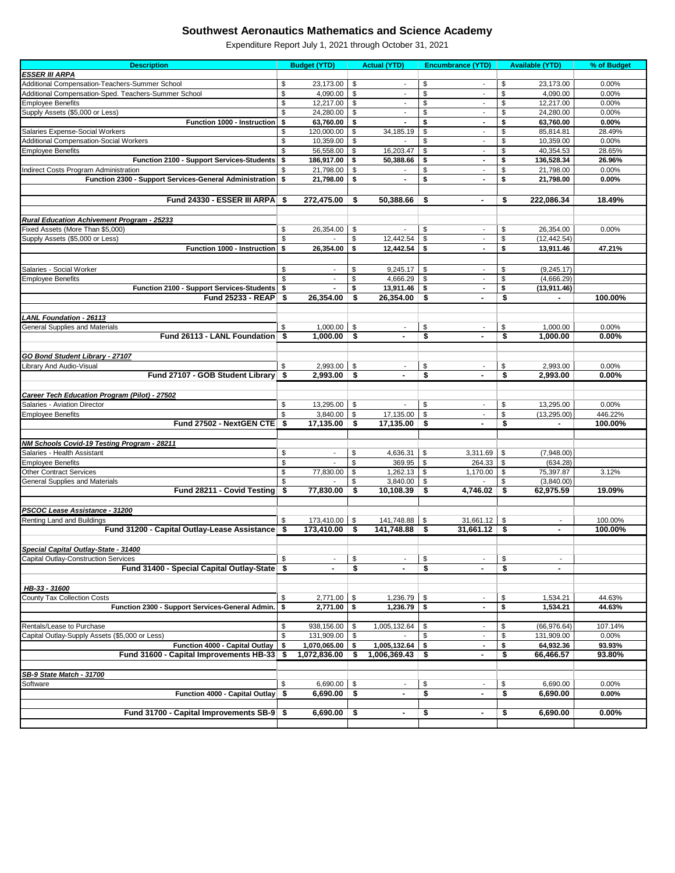| <b>Description</b>                                         |           | <b>Budget (YTD)</b>      |          | <b>Actual (YTD)</b>      |          | <b>Encumbrance (YTD)</b>                   |          | <b>Available (YTD)</b>         | % of Budget        |
|------------------------------------------------------------|-----------|--------------------------|----------|--------------------------|----------|--------------------------------------------|----------|--------------------------------|--------------------|
| <b>ESSER III ARPA</b>                                      |           |                          |          |                          |          |                                            |          |                                |                    |
| Additional Compensation-Teachers-Summer School             | \$        | 23,173.00                | \$       | $\blacksquare$           | \$       | $\blacksquare$                             | \$       | 23,173.00                      | 0.00%              |
| Additional Compensation-Sped. Teachers-Summer School       | \$        | 4,090.00                 | \$       | $\overline{\phantom{a}}$ | \$       | $\blacksquare$                             | \$       | 4,090.00                       | 0.00%              |
| <b>Employee Benefits</b>                                   | \$        | 12,217.00                | \$       |                          | \$       | $\overline{\phantom{a}}$                   | \$       | 12,217.00                      | 0.00%              |
| Supply Assets (\$5,000 or Less)                            | \$        | 24,280.00                | \$       | $\blacksquare$           | \$       | $\overline{\phantom{a}}$                   | \$       | 24,280.00                      | 0.00%              |
| Function 1000 - Instruction                                | \$        | 63,760.00                | \$       | $\blacksquare$           | \$       | $\blacksquare$                             | \$       | 63,760.00                      | 0.00%              |
| Salaries Expense-Social Workers                            | \$        | 120,000.00               | \$       | 34,185.19                | \$       | $\overline{\phantom{a}}$                   | \$       | 85,814.81                      | 28.49%             |
| <b>Additional Compensation-Social Workers</b>              | \$        | 10,359.00                | \$       |                          | \$       | $\overline{\phantom{a}}$                   | \$       | 10,359.00                      | 0.00%              |
| <b>Employee Benefits</b>                                   | \$        | 56,558.00                | \$       | 16,203.47                | \$       | $\overline{\phantom{a}}$                   | \$       | 40,354.53                      | 28.65%             |
| Function 2100 - Support Services-Students                  | \$        | 186,917.00               | \$       | 50,388.66                | \$       | $\blacksquare$                             | \$       | 136,528.34                     | 26.96%             |
| Indirect Costs Program Administration                      | \$        | 21,798.00                | \$       |                          | \$       | $\blacksquare$                             | \$       | 21,798.00                      | 0.00%              |
| Function 2300 - Support Services-General Administration \$ |           | 21,798.00                | \$       | $\blacksquare$           | \$       | $\blacksquare$                             | \$       | 21,798.00                      | $0.00\%$           |
|                                                            |           |                          |          |                          |          |                                            |          |                                |                    |
| Fund 24330 - ESSER III ARPA \$                             |           | 272,475.00               | \$       | 50,388.66                | \$       | $\blacksquare$                             | S        | 222,086.34                     | 18.49%             |
|                                                            |           |                          |          |                          |          |                                            |          |                                |                    |
| Rural Education Achivement Program - 25233                 |           |                          |          |                          |          |                                            |          |                                |                    |
| Fixed Assets (More Than \$5,000)                           | \$        | 26,354.00                | \$       |                          | \$       | $\overline{\phantom{a}}$                   | \$       | 26,354.00                      | 0.00%              |
| Supply Assets (\$5,000 or Less)                            | \$        |                          | \$       | 12,442.54                | \$       | $\blacksquare$                             | \$       | (12, 442.54)                   |                    |
| Function 1000 - Instruction                                | \$        | 26,354.00                | \$       | 12,442.54                | -\$      | $\blacksquare$                             | \$       | 13,911.46                      | 47.21%             |
|                                                            |           |                          |          |                          |          |                                            |          |                                |                    |
| Salaries - Social Worker                                   | \$        | $\sim$                   | \$       | 9,245.17                 | \$       | $\overline{\phantom{a}}$                   | \$       | (9, 245.17)                    |                    |
| <b>Employee Benefits</b>                                   | \$        | $\overline{\phantom{a}}$ | \$       | 4,666.29                 | \$       | $\blacksquare$                             | \$       | (4,666.29)                     |                    |
| Function 2100 - Support Services-Students \$               |           | $\blacksquare$           | \$       | 13,911.46                | <b>S</b> | $\blacksquare$                             | \$       | (13,911.46)                    |                    |
| <b>Fund 25233 - REAP</b>                                   | \$        | 26,354.00                | \$       | 26,354.00                | \$       | $\blacksquare$                             | \$       | $\blacksquare$                 | 100.00%            |
|                                                            |           |                          |          |                          |          |                                            |          |                                |                    |
| <b>LANL Foundation - 26113</b>                             |           |                          |          |                          |          |                                            |          |                                |                    |
| General Supplies and Materials                             | \$        | 1,000.00                 | - \$     | $\overline{\phantom{a}}$ | \$       | $\overline{\phantom{a}}$                   | \$       | 1,000.00                       | 0.00%              |
| Fund 26113 - LANL Foundation                               | -\$       | 1,000.00                 | \$       |                          | \$       |                                            | \$       | 1.000.00                       | 0.00%              |
|                                                            |           |                          |          |                          |          |                                            |          |                                |                    |
| GO Bond Student Library - 27107                            |           |                          |          |                          |          |                                            |          |                                |                    |
| Library And Audio-Visual                                   | \$        | 2,993.00                 | \$       |                          | \$       | $\overline{\phantom{a}}$                   | \$       | 2,993.00                       | 0.00%              |
| Fund 27107 - GOB Student Library \$                        |           | 2,993.00                 | \$       | $\blacksquare$           | \$       | $\blacksquare$                             | \$       | 2.993.00                       | $0.00\%$           |
|                                                            |           |                          |          |                          |          |                                            |          |                                |                    |
| Career Tech Education Program (Pilot) - 27502              |           |                          |          |                          |          |                                            |          |                                |                    |
| Salaries - Aviation Director                               | \$        | 13,295.00                | -\$      |                          | \$       | $\blacksquare$                             | \$       | 13,295.00                      | 0.00%              |
| <b>Employee Benefits</b><br>Fund 27502 - NextGEN CTE       | \$<br>-\$ | 3,840.00<br>17,135.00    | \$<br>\$ | 17,135.00<br>17,135.00   | \$<br>\$ | $\overline{\phantom{a}}$<br>$\blacksquare$ | \$<br>\$ | (13, 295.00)<br>$\blacksquare$ | 446.22%<br>100.00% |
|                                                            |           |                          |          |                          |          |                                            |          |                                |                    |
| NM Schools Covid-19 Testing Program - 28211                |           |                          |          |                          |          |                                            |          |                                |                    |
| Salaries - Health Assistant                                | \$        | $\overline{\phantom{a}}$ | \$       | 4,636.31                 | \$       | $3,311.69$ \$                              |          | (7,948.00)                     |                    |
| <b>Employee Benefits</b>                                   | \$        |                          | \$       | 369.95                   | \$       | 264.33                                     | \$       | (634.28)                       |                    |
| <b>Other Contract Services</b>                             | \$        | 77,830.00                | \$       | 1,262.13                 | \$       | 1,170.00                                   | \$       | 75,397.87                      | 3.12%              |
| General Supplies and Materials                             | \$        |                          | \$       | 3,840.00                 | \$       |                                            | \$       | (3,840.00)                     |                    |
| Fund 28211 - Covid Testing                                 | \$        | 77,830.00                | \$       | 10,108.39                | \$       | 4,746.02                                   | -\$      | 62,975.59                      | 19.09%             |
|                                                            |           |                          |          |                          |          |                                            |          |                                |                    |
| PSCOC Lease Assistance - 31200                             |           |                          |          |                          |          |                                            |          |                                |                    |
| Renting Land and Buildings                                 | \$        | 173,410.00               | \$       | 141,748.88               | \$       | 31,661.12                                  | \$       |                                | 100.00%            |
| Fund 31200 - Capital Outlay-Lease Assistance \$            |           | 173,410.00               | \$       | 141,748.88               | \$       | $31,661.12$ \$                             |          |                                | 100.00%            |
|                                                            |           |                          |          |                          |          |                                            |          |                                |                    |
| Special Capital Outlay-State - 31400                       |           |                          |          |                          |          |                                            |          |                                |                    |
| Capital Outlay-Construction Services                       | \$        |                          | \$       |                          | \$       |                                            | \$       | $\overline{\phantom{a}}$       |                    |
| Fund 31400 - Special Capital Outlay-State \$               |           |                          | \$       |                          | \$       |                                            | \$       | $\blacksquare$                 |                    |
|                                                            |           |                          |          |                          |          |                                            |          |                                |                    |
| HB-33 - 31600                                              |           |                          |          |                          |          |                                            |          |                                |                    |
| County Tax Collection Costs                                | \$        | 2,771.00                 | \$       | 1,236.79                 | \$       | $\overline{\phantom{a}}$                   | \$       | 1,534.21                       | 44.63%             |
| Function 2300 - Support Services-General Admin.            | \$        | 2,771.00                 | \$       | 1,236.79                 | \$       | ä,                                         | \$       | 1,534.21                       | 44.63%             |
|                                                            |           |                          |          |                          |          |                                            |          |                                |                    |
| Rentals/Lease to Purchase                                  | \$        | 938,156.00               | \$       | 1,005,132.64             | \$       | $\overline{\phantom{a}}$                   | \$       | (66, 976.64)                   | 107.14%            |
| Capital Outlay-Supply Assets (\$5,000 or Less)             | \$        | 131,909.00               | \$       |                          | \$       |                                            | \$       | 131,909.00                     | 0.00%              |
| Function 4000 - Capital Outlay                             | \$        | 1,070,065.00             | \$       | 1,005,132.64             | \$       | $\blacksquare$                             | \$       | 64,932.36                      | 93.93%             |
| Fund 31600 - Capital Improvements HB-33                    | - \$      | 1,072,836.00             | \$       | 1,006,369.43             | \$       | $\blacksquare$                             | \$       | 66,466.57                      | 93.80%             |
|                                                            |           |                          |          |                          |          |                                            |          |                                |                    |
| SB-9 State Match - 31700                                   |           |                          |          |                          |          |                                            |          |                                |                    |
| Software                                                   | \$        | 6,690.00                 | \$       |                          | \$       | $\overline{\phantom{a}}$                   | \$       | 6,690.00                       | 0.00%              |
| Function 4000 - Capital Outlay                             | -\$       | 6,690.00                 | \$       |                          | \$       |                                            | \$       | 6,690.00                       | 0.00%              |
|                                                            |           |                          |          |                          |          |                                            |          |                                |                    |
| Fund 31700 - Capital Improvements SB-9 \$                  |           | 6,690.00                 | \$       |                          | \$       |                                            | \$       | 6,690.00                       | $0.00\%$           |
|                                                            |           |                          |          |                          |          |                                            |          |                                |                    |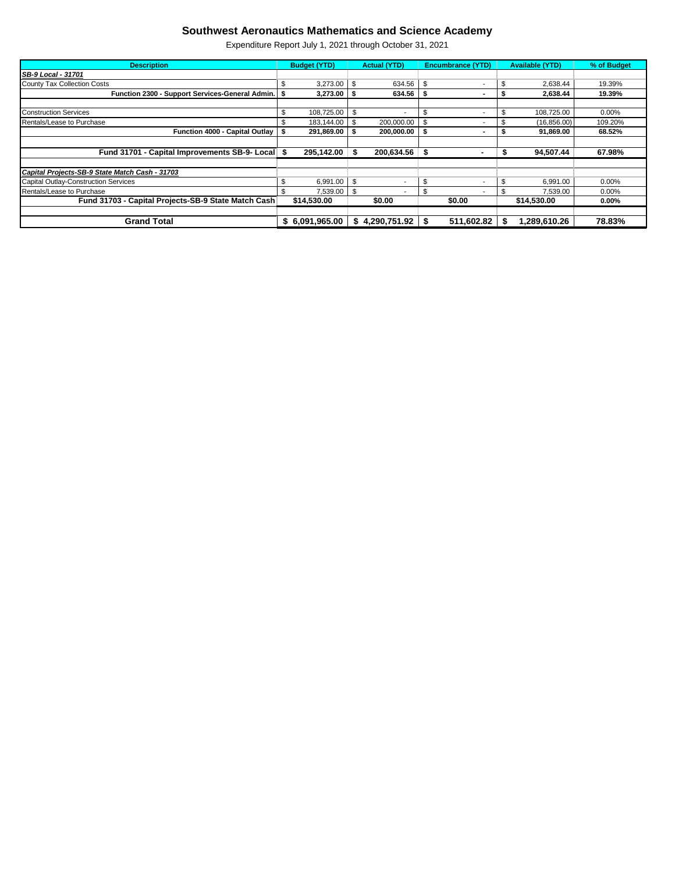| <b>Description</b>                                  |     | <b>Budget (YTD)</b> | <b>Actual (YTD)</b> |              | <b>Encumbrance (YTD)</b> |                          | <b>Available (YTD)</b> |              | % of Budget |
|-----------------------------------------------------|-----|---------------------|---------------------|--------------|--------------------------|--------------------------|------------------------|--------------|-------------|
| SB-9 Local - 31701                                  |     |                     |                     |              |                          |                          |                        |              |             |
| County Tax Collection Costs                         | S   | 3,273.00            | \$                  | 634.56       | \$                       | $\overline{\phantom{a}}$ | S.                     | 2,638.44     | 19.39%      |
| Function 2300 - Support Services-General Admin.     |     | 3,273.00            | - \$                | 634.56       | ж                        | $\overline{\phantom{a}}$ |                        | 2.638.44     | 19.39%      |
|                                                     |     |                     |                     |              |                          |                          |                        |              |             |
| <b>Construction Services</b>                        | \$. | 108,725.00          | S                   |              | \$                       | $\overline{\phantom{a}}$ |                        | 108,725.00   | 0.00%       |
| Rentals/Lease to Purchase                           |     | 183.144.00          |                     | 200,000.00   |                          | -                        |                        | (16, 856.00) | 109.20%     |
| Function 4000 - Capital Outlay                      |     | 291,869.00          |                     | 200.000.00   |                          |                          |                        | 91.869.00    | 68.52%      |
|                                                     |     |                     |                     |              |                          |                          |                        |              |             |
| Fund 31701 - Capital Improvements SB-9- Local \$    |     | 295,142.00          |                     | 200,634.56   |                          |                          |                        | 94.507.44    | 67.98%      |
|                                                     |     |                     |                     |              |                          |                          |                        |              |             |
| Capital Projects-SB-9 State Match Cash - 31703      |     |                     |                     |              |                          |                          |                        |              |             |
| <b>Capital Outlay-Construction Services</b>         |     | 6.991.00            | - \$                |              | \$                       | $\overline{\phantom{a}}$ |                        | 6,991.00     | 0.00%       |
| Rentals/Lease to Purchase                           |     | 7,539.00 \$         |                     |              | \$                       | $\overline{\phantom{a}}$ |                        | 7,539.00     | $0.00\%$    |
| Fund 31703 - Capital Projects-SB-9 State Match Cash |     | \$14,530.00         |                     | \$0.00       |                          | \$0.00                   |                        | \$14,530.00  | $0.00\%$    |
|                                                     |     |                     |                     |              |                          |                          |                        |              |             |
| <b>Grand Total</b>                                  | S   | 6,091,965.00        | \$                  | 4.290.751.92 | ъ                        | 511,602.82               |                        | 1,289,610.26 | 78.83%      |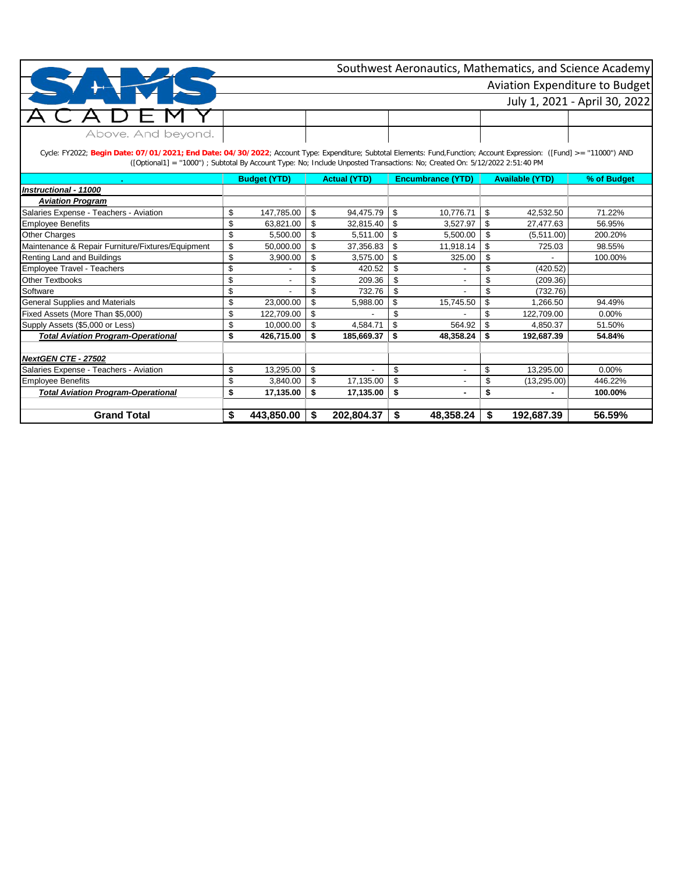

Aviation Expenditure to Budget

July 1, 2021 - April 30, 2022

Cycle: FY2022; **Begin Date: 07/01/2021; End Date: 04/30/2022**; Account Type: Expenditure; Subtotal Elements: Fund,Function; Account Expression: ([Fund] >= ''11000'') AND ([Optional1] = ''1000'') ; Subtotal By Account Type: No; Include Unposted Transactions: No; Created On: 5/12/2022 2:51:40 PM

|                                                   |    | <b>Budget (YTD)</b>      | <b>Actual (YTD)</b> |            |    | <b>Encumbrance (YTD)</b> | <b>Available (YTD)</b> | % of Budget |
|---------------------------------------------------|----|--------------------------|---------------------|------------|----|--------------------------|------------------------|-------------|
| Instructional - 11000                             |    |                          |                     |            |    |                          |                        |             |
| <b>Aviation Program</b>                           |    |                          |                     |            |    |                          |                        |             |
| Salaries Expense - Teachers - Aviation            | \$ | 147,785.00               | \$                  | 94,475.79  | \$ | 10,776.71                | \$<br>42,532.50        | 71.22%      |
| <b>Employee Benefits</b>                          | \$ | 63,821.00                | \$                  | 32,815.40  | \$ | 3,527.97                 | \$<br>27,477.63        | 56.95%      |
| <b>Other Charges</b>                              | \$ | 5,500.00                 | \$                  | 5,511.00   | \$ | 5,500.00                 | \$<br>(5,511.00)       | 200.20%     |
| Maintenance & Repair Furniture/Fixtures/Equipment | \$ | 50,000.00                | \$                  | 37,356.83  |    | 11,918.14                | \$<br>725.03           | 98.55%      |
| Renting Land and Buildings                        | \$ | 3,900.00                 | \$                  | 3,575.00   | \$ | 325.00                   | \$                     | 100.00%     |
| <b>Employee Travel - Teachers</b>                 | \$ |                          | \$                  | 420.52     | \$ |                          | \$<br>(420.52)         |             |
| <b>Other Textbooks</b>                            | \$ | $\overline{\phantom{a}}$ | \$                  | 209.36     | \$ |                          | \$<br>(209.36)         |             |
| Software                                          | \$ |                          |                     | 732.76     | \$ |                          | \$<br>(732.76)         |             |
| General Supplies and Materials                    | \$ | 23,000.00                | \$                  | 5,988.00   | \$ | 15,745.50                | \$<br>1,266.50         | 94.49%      |
| Fixed Assets (More Than \$5,000)                  | \$ | 122,709.00               | \$                  |            | \$ |                          | \$<br>122,709.00       | $0.00\%$    |
| Supply Assets (\$5,000 or Less)                   | \$ | 10,000.00                | \$                  | 4,584.71   | \$ | 564.92                   | \$<br>4,850.37         | 51.50%      |
| <b>Total Aviation Program-Operational</b>         | \$ | 426,715.00               | \$                  | 185,669.37 | \$ | 48,358.24                | \$<br>192,687.39       | 54.84%      |
| NextGEN CTE - 27502                               |    |                          |                     |            |    |                          |                        |             |
| Salaries Expense - Teachers - Aviation            | \$ | 13,295.00                | \$                  |            | \$ |                          | \$<br>13,295.00        | $0.00\%$    |
| <b>Employee Benefits</b>                          | \$ | 3,840.00                 | \$                  | 17,135.00  | \$ |                          | \$<br>(13, 295.00)     | 446.22%     |
| <b>Total Aviation Program-Operational</b>         | \$ | 17,135.00                | \$.                 | 17,135.00  | \$ | ٠                        | \$                     | 100.00%     |
|                                                   |    |                          |                     |            |    |                          |                        |             |
| <b>Grand Total</b>                                | \$ | 443,850.00               |                     | 202,804.37 | S  | 48,358.24                | \$<br>192,687.39       | 56.59%      |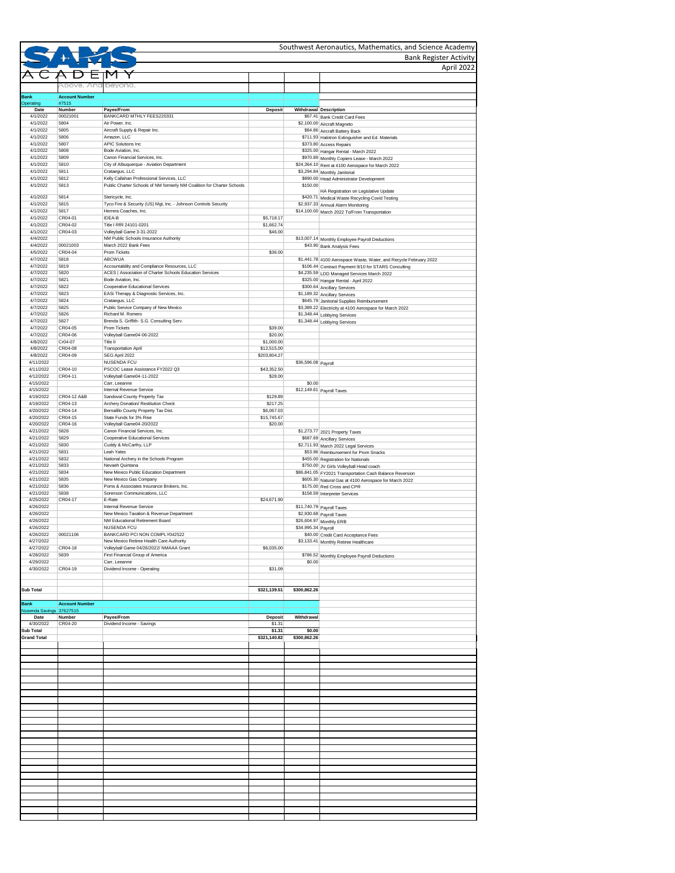|                                |                       |                                                                                 |                          |                     | Southwest Aeronautics, Mathematics, and Science Academy<br><b>Bank Register Activity</b>            |
|--------------------------------|-----------------------|---------------------------------------------------------------------------------|--------------------------|---------------------|-----------------------------------------------------------------------------------------------------|
|                                |                       |                                                                                 |                          |                     | April 2022                                                                                          |
|                                |                       |                                                                                 |                          |                     |                                                                                                     |
|                                |                       | peyond.                                                                         |                          |                     |                                                                                                     |
| <b>Bank</b>                    | <b>Account Number</b> |                                                                                 |                          |                     |                                                                                                     |
| Operating<br>Date              | #7515<br>Number       | Payee/From                                                                      | Deposit                  |                     | <b>Withdrawal Description</b>                                                                       |
| 4/1/2022                       | 00021001              | BANKCARD MTHLY FEES220331                                                       |                          |                     | \$67.41 Bank Credit Card Fees                                                                       |
| 4/1/2022<br>4/1/2022           | 5804<br>5805          | Air Power, Inc.<br>Aircraft Supply & Repair Inc.                                |                          |                     | \$2,100.00 Aircraft Magneto<br>\$84.86 Aircraft Battery Back                                        |
| 4/1/2022                       | 5806                  | Amazon, LLC                                                                     |                          |                     | \$711.93 Halotron Extinguisher and Ed. Materials                                                    |
| 4/1/2022                       | 5807<br>5808          | <b>APIC Solutions Inc.</b>                                                      |                          |                     | \$373.80 Access Repairs                                                                             |
| 4/1/2022<br>4/1/2022           | 5809                  | Bode Aviation, Inc.<br>Canon Financial Services, Inc.                           |                          |                     | \$325.00 Hangar Rental - March 2022<br>\$970.89 Monthly Copiers Lease - March 2022                  |
| 4/1/2022                       | 5810                  | City of Albuquerque - Aviation Department                                       |                          |                     | \$24,364.10 Rent at 4100 Aerospace for March 2022                                                   |
| 4/1/2022<br>4/1/2022           | 5811<br>5812          | Crataegus, LLC<br>Kelly Callahan Professional Services, LLC                     |                          |                     | \$3,294.84 Monthly Janitorial                                                                       |
| 4/1/2022                       | 5813                  | Public Charter Schools of NM formerly NM Coalition for Charter Schools          |                          | \$150.00            | \$890.00 Head Administrator Development                                                             |
| 4/1/2022                       | 5814                  | Stericycle, Inc.                                                                |                          |                     | HA Registration on Legislative Update                                                               |
| 4/1/2022                       | 5815                  | Tyco Fire & Security (US) Mgt, Inc. - Johnson Controls Security                 |                          |                     | \$420.71 Medical Waste Recycling-Covid Testing<br>\$2,937.33 Annual Alarm Monitoring                |
| 4/1/2022                       | 5817                  | Herrera Coaches, Inc.                                                           |                          |                     | \$14,100.00 March 2022 To/From Transportation                                                       |
| 4/1/2022<br>4/1/2022           | CR04-01<br>CR04-02    | IDEA-B<br>Title I RfR 24101-0201                                                | \$5,718.17<br>\$1,662.74 |                     |                                                                                                     |
| 4/1/2022                       | CR04-03               | Volleyball Game 3-31-2022                                                       | \$46.00                  |                     |                                                                                                     |
| 4/4/2022                       |                       | NM Public Schools Insurance Authority                                           |                          |                     | \$13,007.14 Monthly Employee Payroll Deductions                                                     |
| 4/4/2022<br>4/5/2022           | 00021003<br>CR04-04   | March 2022 Bank Fees<br>Prom Tickets                                            | \$36.00                  |                     | \$43.90 Bank Analysis Fees                                                                          |
| 4/7/2022                       | 5818                  | <b>ABCWUA</b>                                                                   |                          |                     | \$1,441.78 4100 Aerospace Waste, Water, and Recycle February 2022                                   |
| 4/7/2022                       | 5819                  | Accountability and Compliance Resources, LLC                                    |                          |                     | \$106.44 Contract Payment 9/10 for STARS Conculting                                                 |
| 4/7/2022<br>4/7/2022           | 5820<br>5821          | ACES   Association of Charter Schools Education Services<br>Bode Aviation, Inc. |                          |                     | \$4,235.59 LDD Managed Services March 2022<br>\$325.00 Hangar Rental - April 2022                   |
| 4/7/2022                       | 5822                  | Cooperative Educational Services                                                |                          |                     | \$300.64 Ancillary Services                                                                         |
| 4/7/2022                       | 5823                  | EASi Therapy & Diagnostic Services, Inc.                                        |                          |                     | \$1,189.32 Ancillary Services                                                                       |
| 4/7/2022<br>4/7/2022           | 5824<br>5825          | Crataegus, LLC<br>Public Service Company of New Mexico                          |                          |                     | \$645.79 Janitorial Supplies Reimbursement                                                          |
| 4/7/2022                       | 5826                  | Richard M. Romero                                                               |                          |                     | \$3,389.22 Electricity at 4100 Aerospace for March 2022<br>\$1,348.44 Lobbying Services             |
| 4/7/2022                       | 5827                  | Brenda S. Griffith- S.G. Consulting Serv.                                       |                          |                     | \$1,348.44 Lobbying Services                                                                        |
| 4/7/2022<br>4/7/2022           | CR04-05<br>CR04-06    | Prom Tickets<br>Volleyball Game04-06-2022                                       | \$39.00<br>\$20.00       |                     |                                                                                                     |
| 4/8/2022                       | Cr04-07               | Title II                                                                        | \$1,000.00               |                     |                                                                                                     |
| 4/8/2022                       | CR04-08               | <b>Transportation April</b>                                                     | \$12,515.00              |                     |                                                                                                     |
| 4/8/2022<br>4/11/2022          | CR04-09               | SEG April 2022<br><b>NUSENDA FCU</b>                                            | \$203,804.27             | \$36,596.08 Payroll |                                                                                                     |
| 4/11/2022                      | CR04-10               | PSCOC Lease Assistance FY2022 Q3                                                | \$43,352.50              |                     |                                                                                                     |
| 4/12/2022                      | CR04-11               | Volleyball Game04-11-2022                                                       | \$28.00                  |                     |                                                                                                     |
| 4/15/2022<br>4/15/2022         |                       | Carr, Leeanne<br>Internal Revenue Service                                       |                          | \$0.00              |                                                                                                     |
| 4/19/2022                      | CR04-12 A&B           | Sandoval County Property Tax                                                    | \$129.89                 |                     | $$12,149.61$ Payroll Taxes                                                                          |
| 4/19/2022                      | CR04-13               | Archery Donation/ Restitution Check                                             | \$217.25                 |                     |                                                                                                     |
| 4/20/2022<br>4/20/2022         | CR04-14               | Bernalillo County Property Tax Dist.                                            | \$6,067.03               |                     |                                                                                                     |
| 4/20/2022                      | CR04-15<br>CR04-16    | State Funds for 3% Rise<br>Volleyball Game04-20/2022                            | \$15,745.67<br>\$20.00   |                     |                                                                                                     |
| 4/21/2022                      | 5828                  | Canon Financial Services, Inc.                                                  |                          |                     | \$1,273.77 2021 Property Taxes                                                                      |
| 4/21/2022<br>4/21/2022         | 5829<br>5830          | Cooperative Educational Services<br>Cuddy & McCarthy, LLP                       |                          |                     | \$687.69 Ancillary Services                                                                         |
| 4/21/2022                      | 5831                  | Leah Yates                                                                      |                          |                     | \$2,711.93 March 2022 Legal Services<br>\$53.96 Reimbursement for Prom Snacks                       |
| 4/21/2022                      | 5832                  | National Archery in the Schools Program                                         |                          |                     | \$455.00 Registration for Nationals                                                                 |
| 4/21/2022<br>4/21/2022         | 5833<br>5834          | Nevaeh Quintana<br>New Mexico Public Education Department                       |                          |                     | \$750.00 JV Girls Volleyball Head coach<br>\$86,841.05 FY2021 Transportation Cash Balance Reversion |
| 4/21/2022                      | 5835                  | New Mexico Gas Company                                                          |                          |                     | \$605.30 Natural Gas at 4100 Aerospace for March 2022                                               |
| 4/21/2022                      | 5836                  | Poms & Associates Insurance Brokers, Inc.                                       |                          |                     | \$175.00 Red Cross and CPR                                                                          |
| 4/21/2022<br>4/25/2022         | 5838<br>CR04-17       | Sorenson Communications, LLC<br>E-Rate                                          | \$24,671.90              |                     | \$158.59 Interpreter Services                                                                       |
| 4/26/2022                      |                       | Internal Revenue Service                                                        |                          |                     | \$11,740.79 Payroll Taxes                                                                           |
| 4/26/2022                      |                       | New Mexico Taxation & Revenue Department                                        |                          |                     | \$2,930.68 Payroll Taxes                                                                            |
| 4/26/2022<br>4/26/2022         |                       | NM Educational Retirement Board<br><b>NUSENDA FCU</b>                           |                          | \$34,995.34 Payroll | \$26,604.97 Monthly ERB                                                                             |
| 4/26/2022                      | 00021106              | BANKCARD PCI NON COMPLY042522                                                   |                          |                     | \$40.00 Credit Card Acceptance Fees                                                                 |
| 4/27/2022                      | CR04-18               | New Mexico Retiree Health Care Authority                                        |                          |                     | \$3,133.41 Monthly Retiree Healthcare                                                               |
| 4/27/2022<br>4/28/2022         | 5839                  | Volleyball Game 04/26/2022/ NMAAA Grant<br>First Financial Group of America     | \$6,035.00               |                     | \$786.52 Monthly Employee Payroll Deductions                                                        |
| 4/29/2022                      |                       | Carr, Leeanne                                                                   |                          | \$0.00              |                                                                                                     |
| 4/30/2022                      | CR04-19               | Dividend Income - Operating                                                     | \$31.09                  |                     |                                                                                                     |
|                                |                       |                                                                                 |                          |                     |                                                                                                     |
| Sub Total                      |                       |                                                                                 | \$321,139.51             | \$300,862.26        |                                                                                                     |
|                                |                       |                                                                                 |                          |                     |                                                                                                     |
|                                |                       |                                                                                 |                          |                     |                                                                                                     |
| <b>Bank</b>                    | <b>Account Number</b> |                                                                                 |                          |                     |                                                                                                     |
| <b>Nusenda Savings</b><br>Date | 37627515<br>Number    | Payee/From                                                                      | <b>Deposit</b>           | Withdrawal          |                                                                                                     |
| 4/30/2022                      | CR04-20               | Dividend Income - Savings                                                       | \$1.31                   |                     |                                                                                                     |
| <b>Sub Total</b>               |                       |                                                                                 | \$1.31                   | \$0.00              |                                                                                                     |
| <b>Grand Total</b>             |                       |                                                                                 | \$321,140.82             | \$300,862.26        |                                                                                                     |
|                                |                       |                                                                                 |                          |                     |                                                                                                     |
|                                |                       |                                                                                 |                          |                     |                                                                                                     |
|                                |                       |                                                                                 |                          |                     |                                                                                                     |
|                                |                       |                                                                                 |                          |                     |                                                                                                     |
|                                |                       |                                                                                 |                          |                     |                                                                                                     |
|                                |                       |                                                                                 |                          |                     |                                                                                                     |
|                                |                       |                                                                                 |                          |                     |                                                                                                     |
|                                |                       |                                                                                 |                          |                     |                                                                                                     |
|                                |                       |                                                                                 |                          |                     |                                                                                                     |
|                                |                       |                                                                                 |                          |                     |                                                                                                     |
|                                |                       |                                                                                 |                          |                     |                                                                                                     |
|                                |                       |                                                                                 |                          |                     |                                                                                                     |
|                                |                       |                                                                                 |                          |                     |                                                                                                     |
|                                |                       |                                                                                 |                          |                     |                                                                                                     |
|                                |                       |                                                                                 |                          |                     |                                                                                                     |
|                                |                       |                                                                                 |                          |                     |                                                                                                     |
|                                |                       |                                                                                 |                          |                     |                                                                                                     |
|                                |                       |                                                                                 |                          |                     |                                                                                                     |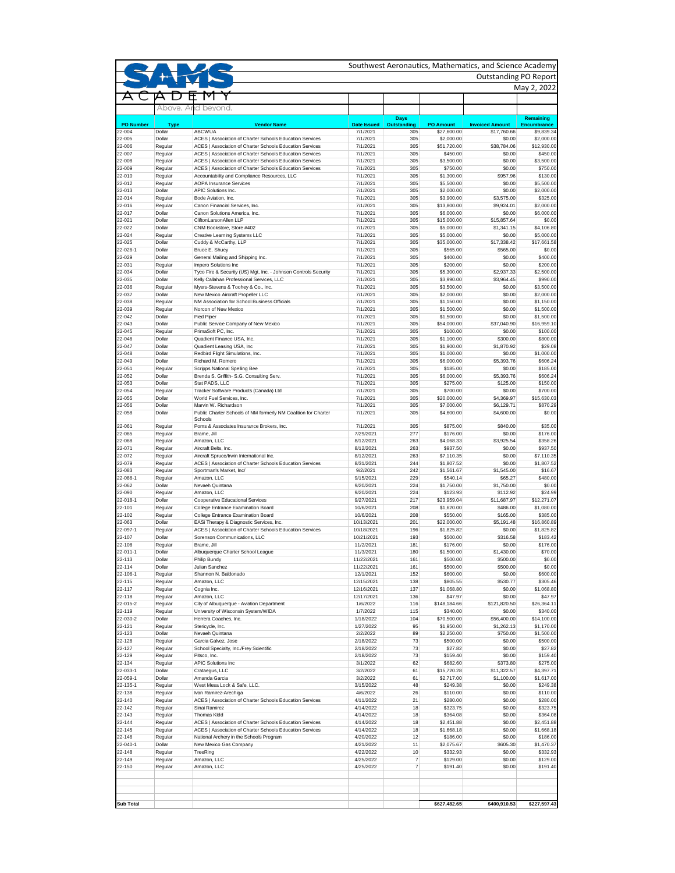|                    |                       |                                                                                                                      |                          |                            |                           | <b>Outstanding PO Report</b> |                                        |
|--------------------|-----------------------|----------------------------------------------------------------------------------------------------------------------|--------------------------|----------------------------|---------------------------|------------------------------|----------------------------------------|
|                    |                       |                                                                                                                      |                          |                            |                           |                              | May 2, 2022                            |
|                    |                       |                                                                                                                      |                          |                            |                           |                              |                                        |
|                    |                       | beyo                                                                                                                 |                          |                            |                           |                              |                                        |
| <b>PO Number</b>   |                       | <b>Vendor Name</b>                                                                                                   | <b>Date Issued</b>       | Days<br><b>Outstanding</b> | <b>PO Amount</b>          | <b>Invoiced Amount</b>       | <b>Remaining</b><br><b>Encumbrance</b> |
| 22-004             | <b>Type</b><br>Dollar | <b>ABCWUA</b>                                                                                                        | 7/1/2021                 | 305                        | \$27,600.00               | \$17,760.66                  | \$9,839.34                             |
| 22-005             | Dollar                | ACES   Association of Charter Schools Education Services                                                             | 7/1/2021                 | 305                        | \$2,000.00                | \$0.00                       | \$2,000.00                             |
| 22-006<br>22-007   | Regular<br>Regular    | ACES   Association of Charter Schools Education Services<br>ACES   Association of Charter Schools Education Services | 7/1/2021<br>7/1/2021     | 305<br>305                 | \$51,720.00<br>\$450.00   | \$38,784.06<br>\$0.00        | \$12,930.00<br>\$450.00                |
| 22-008             | Regular               | ACES   Association of Charter Schools Education Services                                                             | 7/1/2021                 | 305                        | \$3,500.00                | \$0.00                       | \$3,500.00                             |
| 22-009             | Regular               | ACES   Association of Charter Schools Education Services                                                             | 7/1/2021                 | 305                        | \$750.00                  | \$0.00                       | \$750.00                               |
| 22-010<br>22-012   | Regular<br>Regular    | Accountability and Compliance Resources, LLC<br><b>AOPA Insurance Services</b>                                       | 7/1/2021<br>7/1/2021     | 305<br>305                 | \$1,300.00<br>\$5,500.00  | \$957.96<br>\$0.00           | \$130.00<br>\$5,500.00                 |
| 22-013             | Dollar                | <b>APIC Solutions Inc.</b>                                                                                           | 7/1/2021                 | 305                        | \$2,000.00                | \$0.00                       | \$2,000.00                             |
| 22-014             | Regular               | Bode Aviation, Inc.                                                                                                  | 7/1/2021                 | 305                        | \$3,900.00                | \$3,575.00                   | \$325.00                               |
| 22-016             | Regular               | Canon Financial Services, Inc.                                                                                       | 7/1/2021                 | 305                        | \$13,800.00               | \$9,924.01                   | \$2,000.00                             |
| 22-017<br>22-021   | Dollar<br>Dollar      | Canon Solutions America, Inc.<br>CliftonLarsonAllen LLP                                                              | 7/1/2021<br>7/1/2021     | 305<br>305                 | \$6,000.00<br>\$15,000.00 | \$0.00<br>\$15,857.64        | \$6,000.00<br>\$0.00                   |
| 22-022             | Dollar                | CNM Bookstore, Store #402                                                                                            | 7/1/2021                 | 305                        | \$5,000.00                | \$1,341.15                   | \$4,106.80                             |
| 22-024             | Regular               | Creative Learning Systems LLC                                                                                        | 7/1/2021                 | 305                        | \$5,000.00                | \$0.00                       | \$5,000.00                             |
| 22-025             | Dollar                | Cuddy & McCarthy, LLP                                                                                                | 7/1/2021                 | 305                        | \$35,000.00               | \$17,338.42                  | \$17,661.58                            |
| 22-026-1<br>22-029 | Dollar<br>Dollar      | Bruce E. Shuey<br>General Mailing and Shipping Inc.                                                                  | 7/1/2021<br>7/1/2021     | 305<br>305                 | \$565.00<br>\$400.00      | \$565.00<br>\$0.00           | \$0.00<br>\$400.00                     |
| 22-031             | Regular               | Impero Solutions Inc                                                                                                 | 7/1/2021                 | 305                        | \$200.00                  | \$0.00                       | \$200.00                               |
| 22-034             | Dollar                | Tyco Fire & Security (US) Mgt, Inc. - Johnson Controls Security                                                      | 7/1/2021                 | 305                        | \$5,300.00                | \$2,937.33                   | \$2,500.00                             |
| 22-035             | Dollar                | Kelly Callahan Professional Services, LLC                                                                            | 7/1/2021                 | 305                        | \$3,990.00                | \$3,964.45                   | \$990.00                               |
| 22-036<br>22-037   | Regular<br>Dollar     | Myers-Stevens & Toohey & Co., Inc.<br>New Mexico Aircraft Propeller LLC                                              | 7/1/2021<br>7/1/2021     | 305<br>305                 | \$3,500.00<br>\$2,000.00  | \$0.00<br>\$0.00             | \$3,500.00<br>\$2,000.00               |
| 22-038             | Regular               | NM Association for School Business Officials                                                                         | 7/1/2021                 | 305                        | \$1,150.00                | \$0.00                       | \$1,150.00                             |
| 22-039             | Regular               | Norcon of New Mexico                                                                                                 | 7/1/2021                 | 305                        | \$1,500.00                | \$0.00                       | \$1,500.00                             |
| 22-042             | Dollar                | Pied Piper                                                                                                           | 7/1/2021                 | 305                        | \$1,500.00                | \$0.00                       | \$1,500.00                             |
| 22-043<br>22-045   | Dollar<br>Regular     | Public Service Company of New Mexico<br>PrimaSoft PC, Inc.                                                           | 7/1/2021<br>7/1/2021     | 305<br>305                 | \$54,000.00<br>\$100.00   | \$37,040.90<br>\$0.00        | \$16,959.10<br>\$100.00                |
| 22-046             | Dollar                | Quadient Finance USA, Inc.                                                                                           | 7/1/2021                 | 305                        | \$1,100.00                | \$300.00                     | \$800.00                               |
| 22-047             | Dollar                | Quadient Leasing USA, Inc.                                                                                           | 7/1/2021                 | 305                        | \$1,900.00                | \$1,870.92                   | \$29.08                                |
| 22-048             | Dollar                | Redbird Flight Simulations, Inc.                                                                                     | 7/1/2021                 | 305                        | \$1,000.00                | \$0.00                       | \$1,000.00                             |
| 22-049<br>22-051   | Dollar<br>Regular     | Richard M. Romero<br><b>Scripps National Spelling Bee</b>                                                            | 7/1/2021<br>7/1/2021     | 305<br>305                 | \$6,000.00<br>\$185.00    | \$5,393.76<br>\$0.00         | \$606.24<br>\$185.00                   |
| 22-052             | Dollar                | Brenda S. Griffith- S.G. Consulting Serv.                                                                            | 7/1/2021                 | 305                        | \$6,000.00                | \$5,393.76                   | \$606.24                               |
| 22-053             | Dollar                | Stat PADS, LLC                                                                                                       | 7/1/2021                 | 305                        | \$275.00                  | \$125.00                     | \$150.00                               |
| 22-054             | Regular               | Tracker Software Products (Canada) Ltd                                                                               | 7/1/2021                 | 305                        | \$700.00                  | \$0.00                       | \$700.00                               |
| 22-055             | Dollar                | World Fuel Services, Inc.                                                                                            | 7/1/2021                 | 305                        | \$20,000.00               | \$4,369.97                   | \$15,630.03                            |
| 22-056<br>22-058   | Dollar<br>Dollar      | Marvin W. Richardson<br>Public Charter Schools of NM formerly NM Coalition for Charter                               | 7/1/2021<br>7/1/2021     | 305<br>305                 | \$7,000.00<br>\$4,600.00  | \$6,129.71<br>\$4,600.00     | \$870.29<br>\$0.00                     |
|                    |                       | Schools                                                                                                              |                          |                            |                           |                              |                                        |
| 22-061             | Regular               | Poms & Associates Insurance Brokers, Inc.                                                                            | 7/1/2021                 | 305                        | \$875.00                  | \$840.00                     | \$35.00                                |
| 22-065<br>22-068   | Regular<br>Regular    | Brame, Jill<br>Amazon, LLC                                                                                           | 7/29/2021<br>8/12/2021   | 277<br>263                 | \$176.00<br>\$4,068.33    | \$0.00<br>\$3,925.54         | \$176.00<br>\$358.26                   |
| 22-071             | Regular               | Aircraft Belts, Inc.                                                                                                 | 8/12/2021                | 263                        | \$937.50                  | \$0.00                       | \$937.50                               |
| 22-072             | Regular               | Aircraft Spruce/Irwin International Inc.                                                                             | 8/12/2021                | 263                        | \$7,110.35                | \$0.00                       | \$7,110.35                             |
| 22-079             | Regular               | ACES   Association of Charter Schools Education Services                                                             | 8/31/2021                | 244                        | \$1,807.52                | \$0.00                       | \$1,807.52                             |
| 22-083<br>22-086-1 | Regular<br>Regular    | Sportman's Market, Inc/<br>Amazon, LLC                                                                               | 9/2/2021<br>9/15/2021    | 242<br>229                 | \$1,561.67<br>\$540.14    | \$1,545.00<br>\$65.27        | \$16.67<br>\$480.00                    |
| 22-062             | Dollar                | Nevaeh Quintana                                                                                                      | 9/20/2021                | 224                        | \$1,750.00                | \$1,750.00                   | \$0.00                                 |
| 22-090             | Regular               | Amazon, LLC                                                                                                          | 9/20/2021                | 224                        | \$123.93                  | \$112.92                     | \$24.99                                |
| 22-018-1           | Dollar                | Cooperative Educational Services                                                                                     | 9/27/2021                | 217                        | \$23,959.04               | \$11,687.97                  | \$12,271.07                            |
| 22-101<br>22-102   | Regular<br>Regular    | College Entrance Examination Board<br>College Entrance Examination Board                                             | 10/6/2021<br>10/6/2021   | 208<br>208                 | \$1,620.00<br>\$550.00    | \$486.00<br>\$165.00         | \$1,080.00<br>\$385.00                 |
| 22-063             | Dollar                | EASi Therapy & Diagnostic Services, Inc.                                                                             | 10/13/2021               | 201                        | \$22,000.00               | \$5,191.48                   | \$16,860.89                            |
| 22-097-1           | Regular               | ACES   Association of Charter Schools Education Services                                                             | 10/18/2021               | 196                        | \$1,825.82                | \$0.00                       | \$1,825.82                             |
| 22-107             | Dollar                | Sorenson Communications, LLC                                                                                         | 10/21/2021               | 193                        | \$500.00                  | \$316.58                     | \$183.42                               |
| 22-108             | Regular               | Brame, Jill                                                                                                          | 11/2/2021                | 181                        | \$176.00                  | \$0.00                       | \$176.00                               |
| 22-011-1<br>22-113 | Dollar<br>Dollar      | Albuquerque Charter School League<br>Philip Bundy                                                                    | 11/3/2021<br>11/22/2021  | 180<br>161                 | \$1,500.00<br>\$500.00    | \$1,430.00<br>\$500.00       | \$70.00<br>\$0.00                      |
| 22-114             | Dollar                | Julian Sanchez                                                                                                       | 11/22/2021               | 161                        | \$500.00                  | \$500.00                     | \$0.00                                 |
| 22-106-1           | Regular               | Shannon N. Baldonado                                                                                                 | 12/1/2021                | 152                        | \$600.00                  | \$0.00                       | \$600.00                               |
| 22-115             | Regular               | Amazon, LLC                                                                                                          | 12/15/2021               | 138                        | \$805.55                  | \$530.77                     | \$305.46                               |
| 22-117<br>22-118   | Regular<br>Regular    | Cognia Inc.<br>Amazon, LLC                                                                                           | 12/16/2021<br>12/17/2021 | 137<br>136                 | \$1,068.80<br>\$47.97     | \$0.00<br>\$0.00             | \$1,068.80<br>\$47.97                  |
| 22-015-2           | Regular               | City of Albuquerque - Aviation Department                                                                            | 1/6/2022                 | 116                        | \$148,184.66              | \$121,820.50                 | \$26,364.11                            |
| 22-119             | Regular               | University of Wisconsin System/WIDA                                                                                  | 1/7/2022                 | 115                        | \$340.00                  | \$0.00                       | \$340.00                               |
| 22-030-2           | Dollar                | Herrera Coaches, Inc.                                                                                                | 1/18/2022                | 104                        | \$70,500.00               | \$56,400.00                  | \$14,100.00                            |
| 22-121<br>22-123   | Regular<br>Dollar     | Stericycle, Inc.<br>Nevaeh Quintana                                                                                  | 1/27/2022<br>2/2/2022    | 95<br>89                   | \$1,950.00<br>\$2,250.00  | \$1,262.13<br>\$750.00       | \$1,170.00<br>\$1,500.00               |
| 22-126             | Regular               | Garcia Galvez, Jose                                                                                                  | 2/18/2022                | 73                         | \$500.00                  | \$0.00                       | \$500.00                               |
| 22-127             | Regular               | School Specialty, Inc./Frey Scientific                                                                               | 2/18/2022                | 73                         | \$27.82                   | \$0.00                       | \$27.82                                |
| 22-129             | Regular               | Pitsco, Inc.                                                                                                         | 2/18/2022                | 73                         | \$159.40                  | \$0.00                       | \$159.40                               |
| 22-134<br>22-033-1 | Regular<br>Dollar     | <b>APIC Solutions Inc</b><br>Crataegus, LLC                                                                          | 3/1/2022<br>3/2/2022     | 62<br>61                   | \$682.60<br>\$15,720.28   | \$373.80<br>\$11,322.57      | \$275.00<br>\$4,397.71                 |
| 22-059-1           | Dollar                | Amanda Garcia                                                                                                        | 3/2/2022                 | 61                         | \$2,717.00                | \$1,100.00                   | \$1,617.00                             |
| 22-135-1           | Regular               | West Mesa Lock & Safe, LLC.                                                                                          | 3/15/2022                | 48                         | \$249.38                  | \$0.00                       | \$249.38                               |
| 22-138             | Regular               | Ivan Ramirez-Arechiga                                                                                                | 4/6/2022                 | 26                         | \$110.00                  | \$0.00                       | \$110.00                               |
| 22-140<br>22-142   | Regular               | ACES   Association of Charter Schools Education Services<br>Sinai Ramirez                                            | 4/11/2022<br>4/14/2022   | 21<br>18                   | \$280.00                  | \$0.00<br>\$0.00             | \$280.00<br>\$323.75                   |
| 22-143             | Regular<br>Regular    | <b>Thomas Kidd</b>                                                                                                   | 4/14/2022                | 18                         | \$323.75<br>\$364.08      | \$0.00                       | \$364.08                               |
| 22-144             | Regular               | ACES   Association of Charter Schools Education Services                                                             | 4/14/2022                | 18                         | \$2,451.88                | \$0.00                       | \$2,451.88                             |
| 22-145             | Regular               | ACES   Association of Charter Schools Education Services                                                             | 4/14/2022                | 18                         | \$1,668.18                | \$0.00                       | \$1,668.18                             |
| 22-146             | Regular               | National Archery in the Schools Program                                                                              | 4/20/2022                | 12                         | \$186.00                  | \$0.00                       | \$186.00                               |
| 22-040-1<br>22-148 | Dollar<br>Regular     | New Mexico Gas Company<br>TreeRing                                                                                   | 4/21/2022<br>4/22/2022   | 11<br>10                   | \$2,075.67<br>\$332.93    | \$605.30<br>\$0.00           | \$1,470.37<br>\$332.93                 |
| 22-149             | Regular               | Amazon, LLC                                                                                                          | 4/25/2022                | $\overline{7}$             | \$129.00                  | \$0.00                       | \$129.00                               |
| 22-150             | Regular               | Amazon, LLC                                                                                                          | 4/25/2022                | 7                          | \$191.40                  | \$0.00                       | \$191.40                               |
|                    |                       |                                                                                                                      |                          |                            |                           |                              |                                        |
|                    |                       |                                                                                                                      |                          |                            |                           |                              |                                        |
|                    |                       |                                                                                                                      |                          |                            |                           |                              |                                        |
| <b>Sub Total</b>   |                       |                                                                                                                      |                          |                            | \$627,482.65              | \$400,910.53                 | \$227,597.43                           |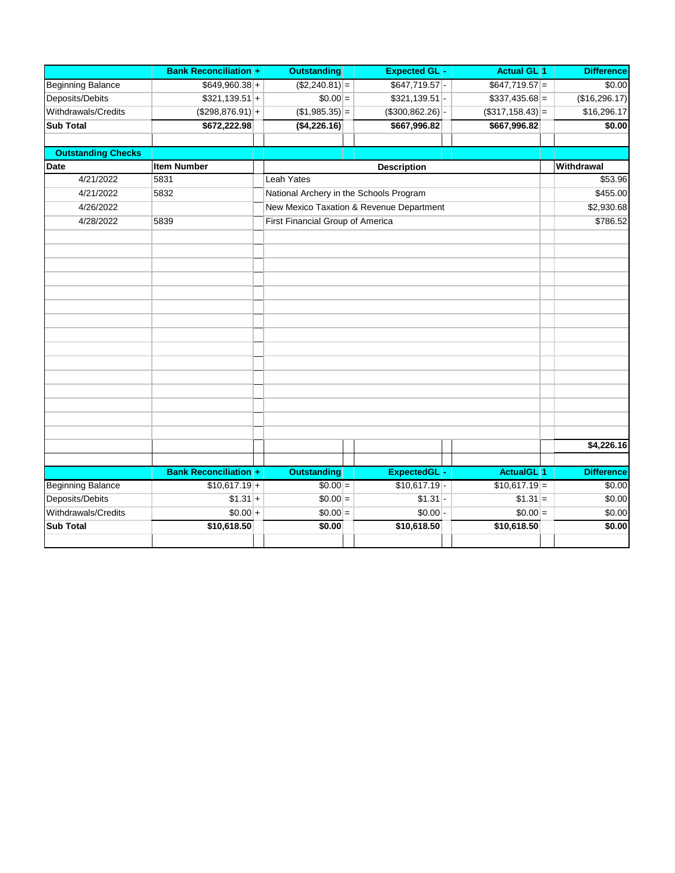|                           | <b>Bank Reconciliation +</b> | <b>Outstanding</b>                      | <b>Expected GL-</b>                      | <b>Actual GL1</b>            | <b>Difference</b> |
|---------------------------|------------------------------|-----------------------------------------|------------------------------------------|------------------------------|-------------------|
| <b>Beginning Balance</b>  | $$649,960.38$ +              | $($2,240.81)$ =                         | \$647,719.57                             | $$647,719.57$ =              | \$0.00            |
| Deposits/Debits           | $$321,139.51$ +              | $$0.00$ =                               | $$321,139.51$ -                          | $$337,435.68$ =              | (\$16,296.17)     |
| Withdrawals/Credits       | $($ \$298,876.91) +          | $($1,985.35)$ =                         | (\$300, 862.26)                          | $($ \$317,158.43 $)$  =      | \$16,296.17       |
| <b>Sub Total</b>          | \$672,222.98                 | (\$4,226.16)                            | \$667,996.82                             | \$667,996.82                 | \$0.00            |
|                           |                              |                                         |                                          |                              |                   |
| <b>Outstanding Checks</b> |                              |                                         |                                          |                              |                   |
| <b>Date</b>               | <b>Item Number</b>           |                                         | <b>Description</b>                       |                              | Withdrawal        |
| 4/21/2022                 | 5831                         | <b>Leah Yates</b>                       |                                          |                              | \$53.96           |
| 4/21/2022                 | 5832                         | National Archery in the Schools Program |                                          |                              | \$455.00          |
| 4/26/2022                 |                              |                                         | New Mexico Taxation & Revenue Department |                              | \$2,930.68        |
| 4/28/2022                 | 5839                         | First Financial Group of America        |                                          |                              | \$786.52          |
|                           |                              |                                         |                                          |                              |                   |
|                           |                              |                                         |                                          |                              |                   |
|                           |                              |                                         |                                          |                              |                   |
|                           |                              |                                         |                                          |                              |                   |
|                           |                              |                                         |                                          |                              |                   |
|                           |                              |                                         |                                          |                              |                   |
|                           |                              |                                         |                                          |                              |                   |
|                           |                              |                                         |                                          |                              |                   |
|                           |                              |                                         |                                          |                              |                   |
|                           |                              |                                         |                                          |                              |                   |
|                           |                              |                                         |                                          |                              |                   |
|                           |                              |                                         |                                          |                              |                   |
|                           |                              |                                         |                                          |                              |                   |
|                           |                              |                                         |                                          |                              |                   |
|                           |                              |                                         |                                          |                              |                   |
|                           |                              |                                         |                                          |                              |                   |
|                           |                              |                                         |                                          |                              | \$4,226.16        |
|                           |                              |                                         |                                          |                              |                   |
|                           | <b>Bank Reconciliation +</b> | <b>Outstanding</b>                      | ExpectedGL-                              | <b>ActualGL</b> <sup>1</sup> | <b>Difference</b> |
| <b>Beginning Balance</b>  | $$10,617.19+$                | $$0.00 =$                               | \$10,617.19                              | $$10,617.19$ =               | \$0.00            |
| Deposits/Debits           | $$1.31$ +                    | $$0.00  =$                              | $$1.31$ -                                | $$1.31$ =                    | \$0.00            |
| Withdrawals/Credits       | $$0.00 +$                    | $$0.00 =$                               | $$0.00$ -                                | $$0.00 =$                    | \$0.00            |
| <b>Sub Total</b>          | \$10,618.50                  | \$0.00                                  | \$10,618.50                              | \$10,618.50                  | \$0.00            |
|                           |                              |                                         |                                          |                              |                   |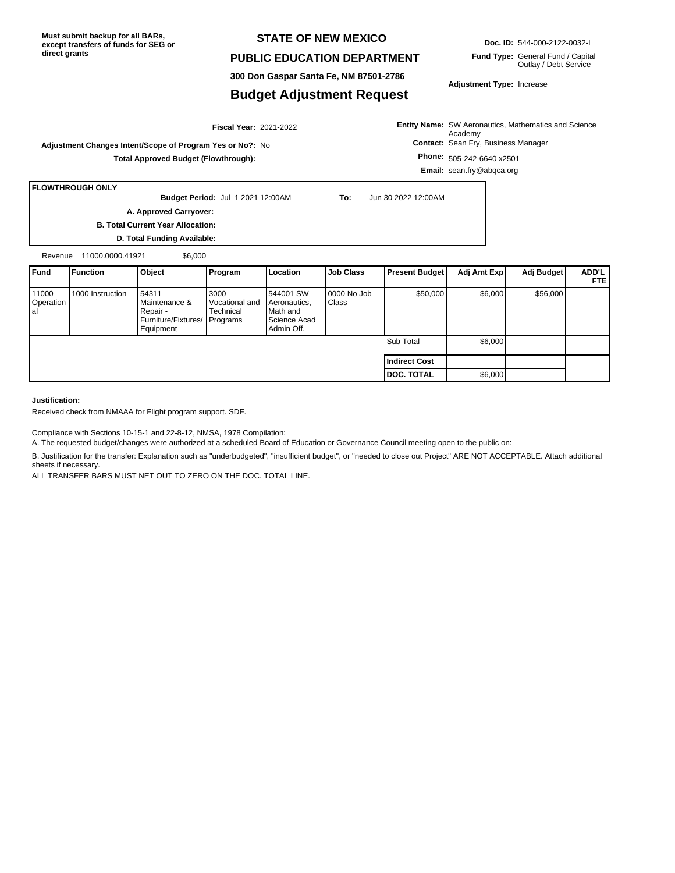## **STATE OF NEW MEXICO**

### **PUBLIC EDUCATION DEPARTMENT**

**300 Don Gaspar Santa Fe, NM 87501-2786**

## **Budget Adjustment Request**

**Doc. ID:** 544-000-2122-0032-I

**Fund Type:** General Fund / Capital Outlay / Debt Service

**Adjustment Type:** Increase

**Entity Name:** SW Aeronautics, Mathematics and Science

**Adjustment Changes Intent/Scope of Program Yes or No?:** No **Total Approved Budget (Flowthrough):**

**Contact:** Sean Fry, Business Manager Academy

**Phone:** 505-242-6640 x2501

**Email:** sean.fry@abqca.org

**FLOWTHROUGH ONLY**

**B. Total Current Year Allocation: D. Total Funding Available:** Jul 1 2021 12:00AM **To:** Jun 30 2022 12:00AM **Budget Period: A. Approved Carryover:**  Revenue 11000.0000.41921 \$6,000

| <b>Fund</b>               | <b>Function</b>  | Object                                                                          | <b>Program</b>                      | Location                                                            | <b>Job Class</b>      | Present Budget       | Adj Amt Exp | Adj Budget | <b>ADD'L</b><br><b>FTE</b> |
|---------------------------|------------------|---------------------------------------------------------------------------------|-------------------------------------|---------------------------------------------------------------------|-----------------------|----------------------|-------------|------------|----------------------------|
| 11000<br>Operation<br>lal | 1000 Instruction | 54311<br>Maintenance &<br>Repair -<br>Furniture/Fixtures/ Programs<br>Equipment | 3000<br>Vocational and<br>Technical | 544001 SW<br>Aeronautics,<br>Math and<br>Science Acad<br>Admin Off. | 10000 No Job<br>Class | \$50,000             | \$6,000     | \$56,000   |                            |
|                           |                  |                                                                                 |                                     |                                                                     |                       | Sub Total            | \$6,000     |            |                            |
|                           |                  |                                                                                 |                                     |                                                                     |                       | <b>Indirect Cost</b> |             |            |                            |
|                           |                  |                                                                                 |                                     |                                                                     |                       | <b>DOC. TOTAL</b>    | \$6,000     |            |                            |

#### **Justification:**

Received check from NMAAA for Flight program support. SDF.

Compliance with Sections 10-15-1 and 22-8-12, NMSA, 1978 Compilation:

A. The requested budget/changes were authorized at a scheduled Board of Education or Governance Council meeting open to the public on:

B. Justification for the transfer: Explanation such as "underbudgeted", "insufficient budget", or "needed to close out Project" ARE NOT ACCEPTABLE. Attach additional sheets if necessary.

ALL TRANSFER BARS MUST NET OUT TO ZERO ON THE DOC. TOTAL LINE.

2021-2022 **Fiscal Year:**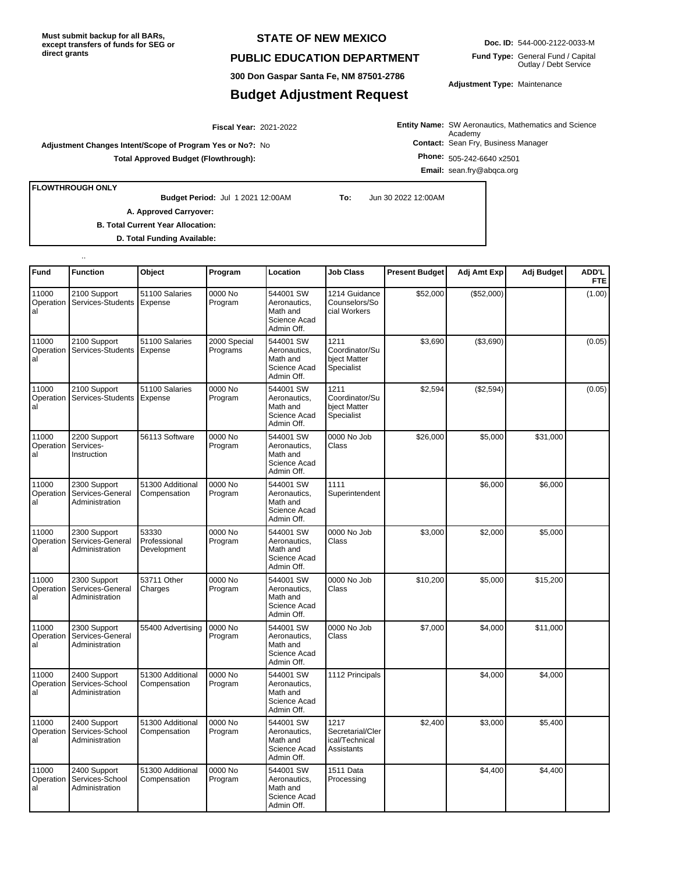## **STATE OF NEW MEXICO**

### **PUBLIC EDUCATION DEPARTMENT**

**300 Don Gaspar Santa Fe, NM 87501-2786**

## **Budget Adjustment Request**

**Doc. ID:** 544-000-2122-0033-M

**Fund Type:** General Fund / Capital Outlay / Debt Service

**Adjustment Type:** Maintenance

2021-2022 **Fiscal Year:**

**Entity Name:** SW Aeronautics, Mathematics and Science **Contact:** Sean Fry, Business Manager Academy

**Phone:** 505-242-6640 x2501

**Email:** sean.fry@abqca.org

**FLOWTHROUGH ONLY**

..

**Budget Period:**

Jul 1 2021 12:00AM **To:** Jun 30 2022 12:00AM

**B. Total Current Year Allocation: A. Approved Carryover:** 

**Total Approved Budget (Flowthrough):**

**D. Total Funding Available:**

**Adjustment Changes Intent/Scope of Program Yes or No?:** No

| Fund                      | <b>Function</b>                                    | Object                               | Program                  | Location                                                            | <b>Job Class</b>                                         | <b>Present Budget</b> | Adj Amt Exp | Adj Budget | <b>ADD'L</b><br><b>FTE</b> |
|---------------------------|----------------------------------------------------|--------------------------------------|--------------------------|---------------------------------------------------------------------|----------------------------------------------------------|-----------------------|-------------|------------|----------------------------|
| 11000<br>Operation<br>lal | 2100 Support<br>Services-Students Expense          | 51100 Salaries                       | 0000 No<br>Program       | 544001 SW<br>Aeronautics,<br>Math and<br>Science Acad<br>Admin Off. | 1214 Guidance<br>Counselors/So<br>cial Workers           | \$52,000              | (\$52,000)  |            | (1.00)                     |
| 11000<br>Operation<br>al  | 2100 Support<br>Services-Students                  | 51100 Salaries<br>Expense            | 2000 Special<br>Programs | 544001 SW<br>Aeronautics,<br>Math and<br>Science Acad<br>Admin Off. | 1211<br>Coordinator/Su<br>bject Matter<br>Specialist     | \$3,690               | (\$3,690)   |            | (0.05)                     |
| 11000<br>Operation<br>lal | 2100 Support<br>Services-Students                  | 51100 Salaries<br>Expense            | 0000 No<br>Program       | 544001 SW<br>Aeronautics,<br>Math and<br>Science Acad<br>Admin Off. | 1211<br>Coordinator/Su<br>bject Matter<br>Specialist     | \$2,594               | (\$2,594)   |            | (0.05)                     |
| 11000<br>Operation<br>al  | 2200 Support<br>Services-<br>Instruction           | 56113 Software                       | 0000 No<br>Program       | 544001 SW<br>Aeronautics,<br>Math and<br>Science Acad<br>Admin Off. | 0000 No Job<br>Class                                     | \$26,000              | \$5,000     | \$31,000   |                            |
| 11000<br>Operation<br>al  | 2300 Support<br>Services-General<br>Administration | 51300 Additional<br>Compensation     | 0000 No<br>Program       | 544001 SW<br>Aeronautics,<br>Math and<br>Science Acad<br>Admin Off. | 1111<br>Superintendent                                   |                       | \$6,000     | \$6,000    |                            |
| 11000<br>Operation<br>al  | 2300 Support<br>Services-General<br>Administration | 53330<br>Professional<br>Development | 0000 No<br>Program       | 544001 SW<br>Aeronautics,<br>Math and<br>Science Acad<br>Admin Off. | 0000 No Job<br>Class                                     | \$3,000               | \$2,000     | \$5,000    |                            |
| 11000<br>Operation<br>al  | 2300 Support<br>Services-General<br>Administration | 53711 Other<br>Charges               | 0000 No<br>Program       | 544001 SW<br>Aeronautics.<br>Math and<br>Science Acad<br>Admin Off. | 0000 No Job<br>Class                                     | \$10,200              | \$5,000     | \$15,200   |                            |
| 11000<br>Operation<br>lal | 2300 Support<br>Services-General<br>Administration | 55400 Advertising                    | 0000 No<br>Program       | 544001 SW<br>Aeronautics,<br>Math and<br>Science Acad<br>Admin Off. | 0000 No Job<br>Class                                     | \$7,000               | \$4,000     | \$11,000   |                            |
| 11000<br>Operation<br>lal | 2400 Support<br>Services-School<br>Administration  | 51300 Additional<br>Compensation     | 0000 No<br>Program       | 544001 SW<br>Aeronautics,<br>Math and<br>Science Acad<br>Admin Off. | 1112 Principals                                          |                       | \$4,000     | \$4,000    |                            |
| 11000<br>Operation<br>lal | 2400 Support<br>Services-School<br>Administration  | 51300 Additional<br>Compensation     | 0000 No<br>Program       | 544001 SW<br>Aeronautics,<br>Math and<br>Science Acad<br>Admin Off. | 1217<br>Secretarial/Cler<br>ical/Technical<br>Assistants | \$2,400               | \$3,000     | \$5,400    |                            |
| 11000<br>Operation<br>al  | 2400 Support<br>Services-School<br>Administration  | 51300 Additional<br>Compensation     | 0000 No<br>Program       | 544001 SW<br>Aeronautics,<br>Math and<br>Science Acad<br>Admin Off. | 1511 Data<br>Processing                                  |                       | \$4,400     | \$4,400    |                            |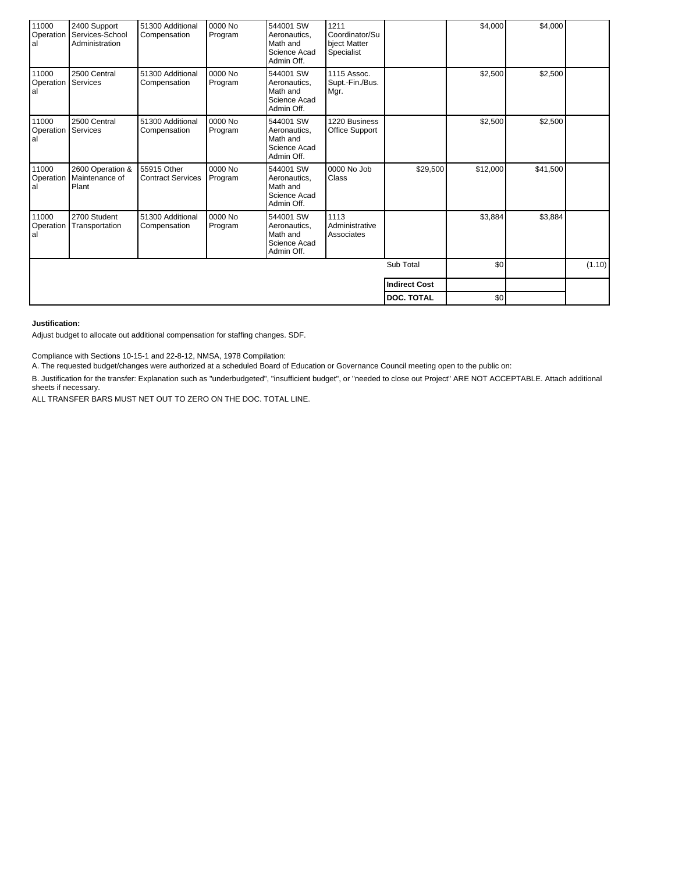| 11000<br>Operation<br>al | 2400 Support<br>Services-School<br>Administration | 51300 Additional<br>Compensation        | 0000 No<br>Program | 544001 SW<br>Aeronautics,<br>Math and<br>Science Acad<br>Admin Off. | 1211<br>Coordinator/Su<br>bject Matter<br>Specialist |                      | \$4,000  | \$4,000  |        |
|--------------------------|---------------------------------------------------|-----------------------------------------|--------------------|---------------------------------------------------------------------|------------------------------------------------------|----------------------|----------|----------|--------|
| 11000<br>Operation<br>al | 2500 Central<br>Services                          | 51300 Additional<br>Compensation        | 0000 No<br>Program | 544001 SW<br>Aeronautics,<br>Math and<br>Science Acad<br>Admin Off. | 1115 Assoc.<br>Supt.-Fin./Bus.<br>Mgr.               |                      | \$2,500  | \$2,500  |        |
| 11000<br>Operation<br>al | 2500 Central<br>Services                          | 51300 Additional<br>Compensation        | 0000 No<br>Program | 544001 SW<br>Aeronautics.<br>Math and<br>Science Acad<br>Admin Off. | 1220 Business<br>Office Support                      |                      | \$2,500  | \$2,500  |        |
| 11000<br>Operation<br>al | 2600 Operation &<br>Maintenance of<br>Plant       | 55915 Other<br><b>Contract Services</b> | 0000 No<br>Program | 544001 SW<br>Aeronautics,<br>Math and<br>Science Acad<br>Admin Off. | 0000 No Job<br>Class                                 | \$29,500             | \$12,000 | \$41,500 |        |
| 11000<br>Operation<br>al | 2700 Student<br>Transportation                    | 51300 Additional<br>Compensation        | 0000 No<br>Program | 544001 SW<br>Aeronautics,<br>Math and<br>Science Acad<br>Admin Off. | 1113<br>Administrative<br>Associates                 |                      | \$3,884  | \$3,884  |        |
|                          |                                                   |                                         |                    |                                                                     |                                                      | Sub Total            | \$0      |          | (1.10) |
|                          |                                                   |                                         |                    |                                                                     |                                                      | <b>Indirect Cost</b> |          |          |        |
|                          |                                                   |                                         |                    |                                                                     |                                                      | <b>DOC. TOTAL</b>    | \$0      |          |        |

#### **Justification:**

Adjust budget to allocate out additional compensation for staffing changes. SDF.

Compliance with Sections 10-15-1 and 22-8-12, NMSA, 1978 Compilation:

A. The requested budget/changes were authorized at a scheduled Board of Education or Governance Council meeting open to the public on:

B. Justification for the transfer: Explanation such as "underbudgeted", "insufficient budget", or "needed to close out Project" ARE NOT ACCEPTABLE. Attach additional sheets if necessary.

ALL TRANSFER BARS MUST NET OUT TO ZERO ON THE DOC. TOTAL LINE.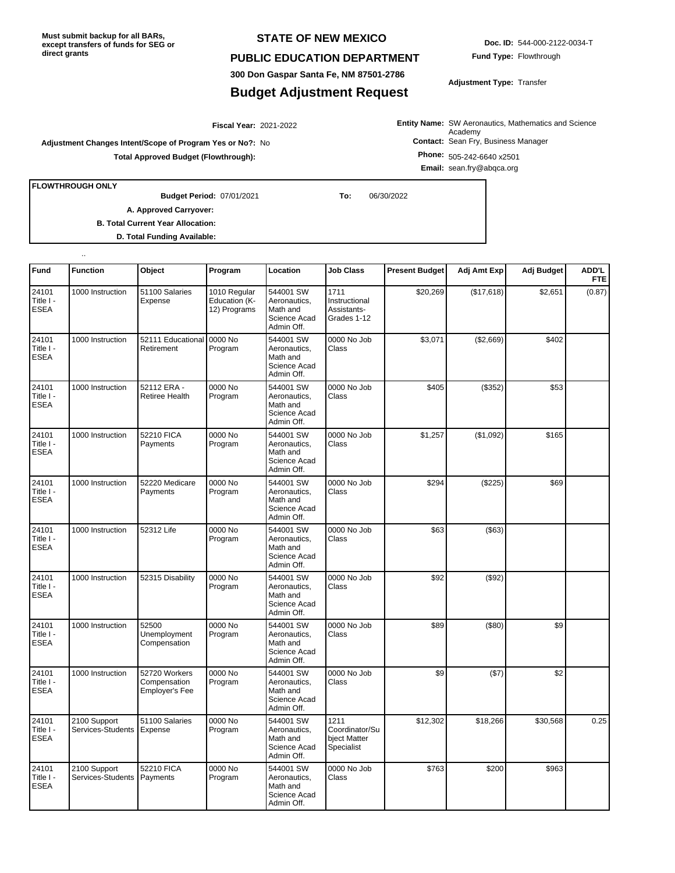### **STATE OF NEW MEXICO**

## **PUBLIC EDUCATION DEPARTMENT**

**300 Don Gaspar Santa Fe, NM 87501-2786**

# **Budget Adjustment Request**

**Doc. ID:** 544-000-2122-0034-T **Fund Type:** Flowthrough

**Adjustment Type:** Transfer

**Entity Name:** SW Aeronautics, Mathematics and Science **Contact:** Sean Fry, Business Manager Academy

**Adjustment Changes Intent/Scope of Program Yes or No?:** No **Total Approved Budget (Flowthrough):**

**Phone:** 505-242-6640 x2501 **Email:** sean.fry@abqca.org

**FLOWTHROUGH ONLY**

..

07/01/2021 **To:** 06/30/2022

**A. Approved Carryover:** 

**Budget Period:**

2021-2022 **Fiscal Year:**

**B. Total Current Year Allocation: D. Total Funding Available:**

| Fund                              | <b>Function</b>                   | Object                                          | Program                                       | Location                                                            | <b>Job Class</b>                                     | <b>Present Budget</b> | Adj Amt Exp | Adj Budget | <b>ADD'L</b><br><b>FTE</b> |
|-----------------------------------|-----------------------------------|-------------------------------------------------|-----------------------------------------------|---------------------------------------------------------------------|------------------------------------------------------|-----------------------|-------------|------------|----------------------------|
| 24101<br>Title I -<br>ESEA        | 1000 Instruction                  | 51100 Salaries<br>Expense                       | 1010 Regular<br>Education (K-<br>12) Programs | 544001 SW<br>Aeronautics,<br>Math and<br>Science Acad<br>Admin Off. | 1711<br>Instructional<br>Assistants-<br>Grades 1-12  | \$20,269              | (\$17,618)  | \$2,651    | (0.87)                     |
| 24101<br>Title I -<br><b>ESEA</b> | 1000 Instruction                  | 52111 Educational 0000 No<br>Retirement         | Program                                       | 544001 SW<br>Aeronautics,<br>Math and<br>Science Acad<br>Admin Off. | 0000 No Job<br>Class                                 | \$3,071               | (\$2,669)   | \$402      |                            |
| 24101<br>Title I -<br><b>ESEA</b> | 1000 Instruction                  | 52112 ERA -<br><b>Retiree Health</b>            | 0000 No<br>Program                            | 544001 SW<br>Aeronautics.<br>Math and<br>Science Acad<br>Admin Off. | 0000 No Job<br>Class                                 | \$405                 | (\$352)     | \$53       |                            |
| 24101<br>Title I -<br><b>ESEA</b> | 1000 Instruction                  | 52210 FICA<br>Payments                          | 0000 No<br>Program                            | 544001 SW<br>Aeronautics,<br>Math and<br>Science Acad<br>Admin Off. | 0000 No Job<br>Class                                 | \$1,257               | (\$1,092)   | \$165      |                            |
| 24101<br>Title I -<br>ESEA        | 1000 Instruction                  | 52220 Medicare<br>Payments                      | 0000 No<br>Program                            | 544001 SW<br>Aeronautics,<br>Math and<br>Science Acad<br>Admin Off. | 0000 No Job<br>Class                                 | \$294                 | (\$225)     | \$69       |                            |
| 24101<br>Title I -<br><b>ESEA</b> | 1000 Instruction                  | 52312 Life                                      | 0000 No<br>Program                            | 544001 SW<br>Aeronautics,<br>Math and<br>Science Acad<br>Admin Off. | 0000 No Job<br>Class                                 | \$63                  | ( \$63)     |            |                            |
| 24101<br>Title I -<br><b>ESEA</b> | 1000 Instruction                  | 52315 Disability                                | 0000 No<br>Program                            | 544001 SW<br>Aeronautics,<br>Math and<br>Science Acad<br>Admin Off. | 0000 No Job<br>Class                                 | \$92                  | (\$92)      |            |                            |
| 24101<br>Title I -<br>ESEA        | 1000 Instruction                  | 52500<br>Unemployment<br>Compensation           | 0000 No<br>Program                            | 544001 SW<br>Aeronautics.<br>Math and<br>Science Acad<br>Admin Off. | 0000 No Job<br>Class                                 | \$89                  | ( \$80)     | \$9        |                            |
| 24101<br>Title I -<br><b>ESEA</b> | 1000 Instruction                  | 52720 Workers<br>Compensation<br>Employer's Fee | 0000 No<br>Program                            | 544001 SW<br>Aeronautics,<br>Math and<br>Science Acad<br>Admin Off. | 0000 No Job<br>Class                                 | \$9                   | (\$7)       | \$2        |                            |
| 24101<br>Title I -<br><b>ESEA</b> | 2100 Support<br>Services-Students | 51100 Salaries<br>Expense                       | 0000 No<br>Program                            | 544001 SW<br>Aeronautics.<br>Math and<br>Science Acad<br>Admin Off. | 1211<br>Coordinator/Su<br>bject Matter<br>Specialist | \$12,302              | \$18,266    | \$30,568   | 0.25                       |
| 24101<br>Title I -<br><b>ESEA</b> | 2100 Support<br>Services-Students | 52210 FICA<br>Payments                          | 0000 No<br>Program                            | 544001 SW<br>Aeronautics,<br>Math and<br>Science Acad<br>Admin Off. | 0000 No Job<br>Class                                 | \$763                 | \$200       | \$963      |                            |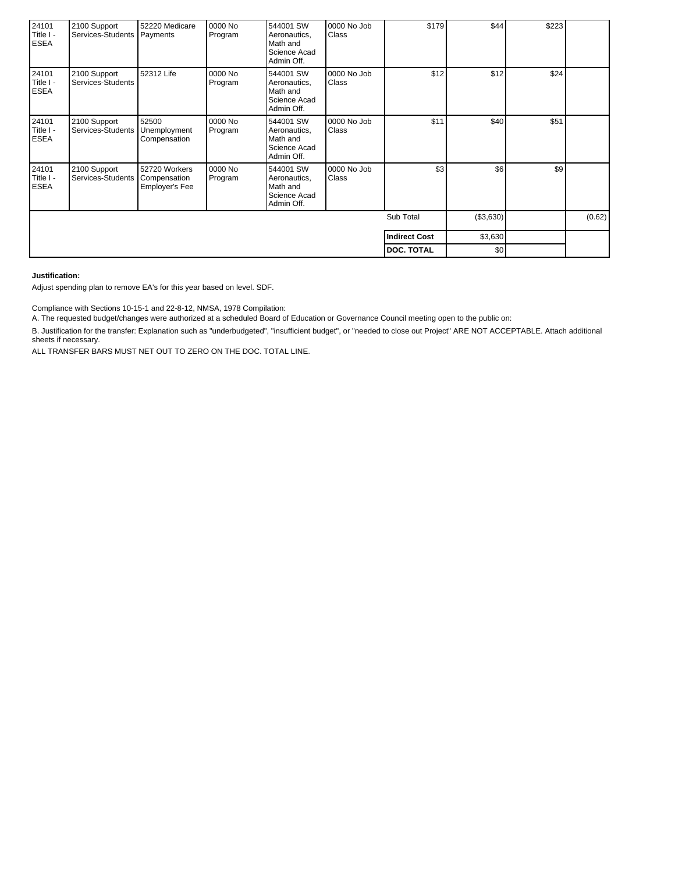| 24101<br>Title I -<br><b>ESEA</b> | 2100 Support<br>Services-Students   Payments | 52220 Medicare                                  | 0000 No<br>Program | 544001 SW<br>Aeronautics,<br>Math and<br>Science Acad<br>Admin Off. | $0000$ No Job<br><b>Class</b> | \$179                | \$44      | \$223 |        |
|-----------------------------------|----------------------------------------------|-------------------------------------------------|--------------------|---------------------------------------------------------------------|-------------------------------|----------------------|-----------|-------|--------|
| 24101<br>Title I -<br><b>ESEA</b> | 2100 Support<br>Services-Students            | 52312 Life                                      | 0000 No<br>Program | 544001 SW<br>Aeronautics,<br>Math and<br>Science Acad<br>Admin Off. | 0000 No Job<br><b>Class</b>   | \$12                 | \$12      | \$24  |        |
| 24101<br>Title I -<br><b>ESEA</b> | 2100 Support<br>Services-Students            | 52500<br>Unemployment<br>Compensation           | 0000 No<br>Program | 544001 SW<br>Aeronautics,<br>Math and<br>Science Acad<br>Admin Off. | 0000 No Job<br><b>Class</b>   | \$11                 | \$40      | \$51  |        |
| 24101<br>Title I -<br><b>ESEA</b> | 2100 Support<br>Services-Students            | 52720 Workers<br>Compensation<br>Employer's Fee | 0000 No<br>Program | 544001 SW<br>Aeronautics,<br>Math and<br>Science Acad<br>Admin Off. | 0000 No Job<br><b>Class</b>   | \$3                  | \$6       | \$9   |        |
|                                   |                                              |                                                 |                    |                                                                     |                               | Sub Total            | (\$3,630) |       | (0.62) |
|                                   |                                              |                                                 |                    |                                                                     |                               | <b>Indirect Cost</b> | \$3,630   |       |        |
|                                   |                                              |                                                 |                    |                                                                     |                               | <b>DOC. TOTAL</b>    | \$0       |       |        |

#### **Justification:**

Adjust spending plan to remove EA's for this year based on level. SDF.

Compliance with Sections 10-15-1 and 22-8-12, NMSA, 1978 Compilation:

A. The requested budget/changes were authorized at a scheduled Board of Education or Governance Council meeting open to the public on:

B. Justification for the transfer: Explanation such as "underbudgeted", "insufficient budget", or "needed to close out Project" ARE NOT ACCEPTABLE. Attach additional sheets if necessary.

ALL TRANSFER BARS MUST NET OUT TO ZERO ON THE DOC. TOTAL LINE.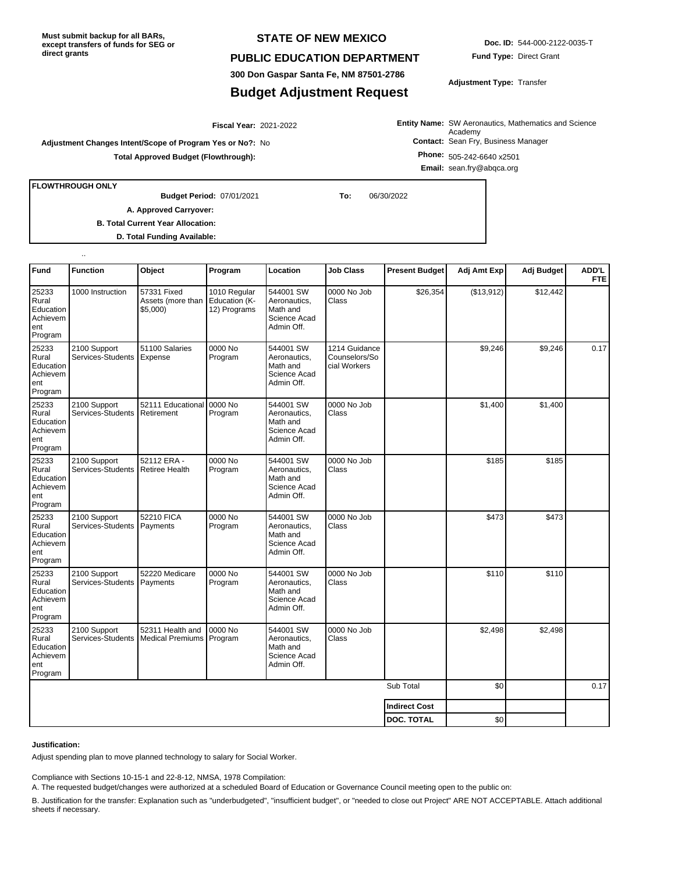## **STATE OF NEW MEXICO**

### **PUBLIC EDUCATION DEPARTMENT**

**300 Don Gaspar Santa Fe, NM 87501-2786**

# **Budget Adjustment Request**

**Doc. ID:** 544-000-2122-0035-T **Fund Type:** Direct Grant

**Adjustment Type:** Transfer

**Entity Name:** SW Aeronautics, Mathematics and Science **Contact:** Sean Fry, Business Manager Academy

**Adjustment Changes Intent/Scope of Program Yes or No?:** No **Total Approved Budget (Flowthrough):**

**FLOWTHROUGH ONLY**

..

07/01/2021 **To:** 06/30/2022

**A. Approved Carryover:** 

**Budget Period:**

2021-2022 **Fiscal Year:**

**B. Total Current Year Allocation:**

**D. Total Funding Available:**

| Fund                                                      | Function                          | Object                                         | Program                                       | Location                                                            | <b>Job Class</b>                               | <b>Present Budget</b> | Adj Amt Exp | Adj Budget | ADD'L<br><b>FTE</b> |
|-----------------------------------------------------------|-----------------------------------|------------------------------------------------|-----------------------------------------------|---------------------------------------------------------------------|------------------------------------------------|-----------------------|-------------|------------|---------------------|
| 25233<br>Rural<br>Education<br>Achievem<br>ent<br>Program | 1000 Instruction                  | 57331 Fixed<br>Assets (more than<br>$$5,000$ ) | 1010 Regular<br>Education (K-<br>12) Programs | 544001 SW<br>Aeronautics,<br>Math and<br>Science Acad<br>Admin Off. | 0000 No Job<br>Class                           | \$26,354              | (\$13,912)  | \$12,442   |                     |
| 25233<br>Rural<br>Education<br>Achievem<br>ent<br>Program | 2100 Support<br>Services-Students | 51100 Salaries<br>Expense                      | 0000 No<br>Program                            | 544001 SW<br>Aeronautics,<br>Math and<br>Science Acad<br>Admin Off. | 1214 Guidance<br>Counselors/So<br>cial Workers |                       | \$9,246     | \$9,246    | 0.17                |
| 25233<br>Rural<br>Education<br>Achievem<br>ent<br>Program | 2100 Support<br>Services-Students | 52111 Educational 0000 No<br>Retirement        | Program                                       | 544001 SW<br>Aeronautics,<br>Math and<br>Science Acad<br>Admin Off. | 0000 No Job<br>Class                           |                       | \$1,400     | \$1,400    |                     |
| 25233<br>Rural<br>Education<br>Achievem<br>ent<br>Program | 2100 Support<br>Services-Students | 52112 ERA -<br>Retiree Health                  | 0000 No<br>Program                            | 544001 SW<br>Aeronautics,<br>Math and<br>Science Acad<br>Admin Off. | 0000 No Job<br>Class                           |                       | \$185       | \$185      |                     |
| 25233<br>Rural<br>Education<br>Achievem<br>ent<br>Program | 2100 Support<br>Services-Students | 52210 FICA<br>Payments                         | 0000 No<br>Program                            | 544001 SW<br>Aeronautics,<br>Math and<br>Science Acad<br>Admin Off. | 0000 No Job<br>Class                           |                       | \$473       | \$473      |                     |
| 25233<br>Rural<br>Education<br>Achievem<br>ent<br>Program | 2100 Support<br>Services-Students | 52220 Medicare<br>Payments                     | 0000 No<br>Program                            | 544001 SW<br>Aeronautics,<br>Math and<br>Science Acad<br>Admin Off. | 0000 No Job<br>Class                           |                       | \$110       | \$110      |                     |
| 25233<br>Rural<br>Education<br>Achievem<br>ent<br>Program | 2100 Support<br>Services-Students | 52311 Health and<br>Medical Premiums Program   | 0000 No                                       | 544001 SW<br>Aeronautics,<br>Math and<br>Science Acad<br>Admin Off. | 0000 No Job<br>Class                           |                       | \$2,498     | \$2,498    |                     |
|                                                           |                                   |                                                |                                               |                                                                     |                                                | Sub Total             | \$0         |            | 0.17                |
|                                                           |                                   |                                                |                                               |                                                                     |                                                | <b>Indirect Cost</b>  |             |            |                     |
|                                                           |                                   |                                                |                                               |                                                                     |                                                | <b>DOC. TOTAL</b>     | \$0         |            |                     |

#### **Justification:**

Adjust spending plan to move planned technology to salary for Social Worker.

Compliance with Sections 10-15-1 and 22-8-12, NMSA, 1978 Compilation:

A. The requested budget/changes were authorized at a scheduled Board of Education or Governance Council meeting open to the public on:

B. Justification for the transfer: Explanation such as "underbudgeted", "insufficient budget", or "needed to close out Project" ARE NOT ACCEPTABLE. Attach additional sheets if necessary.

**Phone:** 505-242-6640 x2501

**Email:** sean.fry@abqca.org